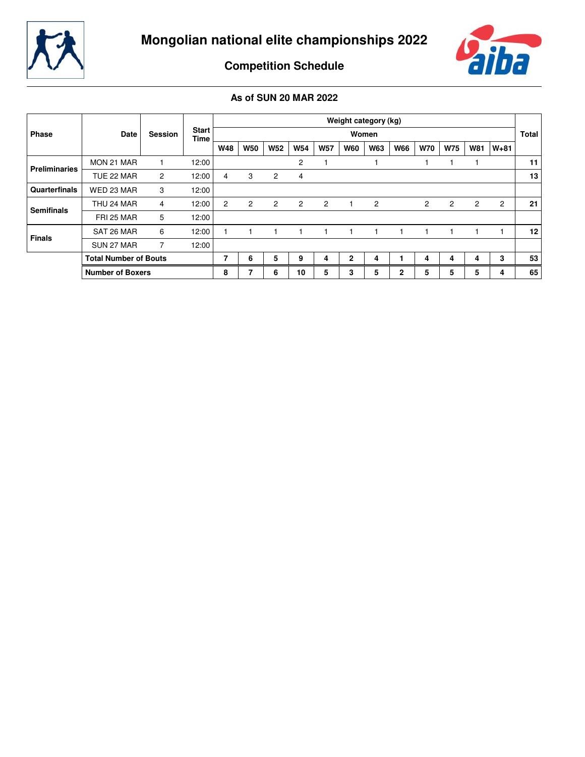



**Competition Schedule**

|                      |                              |                |                      |            |                |                |                |                |                | Weight category (kg) |              |            |                |                |                |                 |
|----------------------|------------------------------|----------------|----------------------|------------|----------------|----------------|----------------|----------------|----------------|----------------------|--------------|------------|----------------|----------------|----------------|-----------------|
| Phase                | Date                         | <b>Session</b> | <b>Start</b><br>Time |            |                |                |                |                |                | Women                |              |            |                |                |                | <b>Total</b>    |
|                      |                              |                |                      | <b>W48</b> | <b>W50</b>     | <b>W52</b>     | <b>W54</b>     | <b>W57</b>     | <b>W60</b>     | <b>W63</b>           | <b>W66</b>   | <b>W70</b> | <b>W75</b>     | <b>W81</b>     | $W + 81$       |                 |
| <b>Preliminaries</b> | MON 21 MAR                   |                | 12:00                |            |                |                | 2              |                |                |                      |              |            |                |                |                | 11              |
|                      | TUE 22 MAR                   | $\overline{c}$ | 12:00                | 4          | 3              | $\overline{2}$ | 4              |                |                |                      |              |            |                |                |                | 13              |
| Quarterfinals        | WED 23 MAR                   | 3              | 12:00                |            |                |                |                |                |                |                      |              |            |                |                |                |                 |
| <b>Semifinals</b>    | THU 24 MAR                   | 4              | 12:00                | 2          | $\overline{c}$ | $\overline{2}$ | $\overline{2}$ | $\overline{c}$ | $\overline{1}$ | $\overline{2}$       |              | 2          | $\overline{2}$ | $\overline{c}$ | $\overline{2}$ | 21              |
|                      | FRI 25 MAR                   | 5              | 12:00                |            |                |                |                |                |                |                      |              |            |                |                |                |                 |
| <b>Finals</b>        | SAT 26 MAR                   | 6              | 12:00                |            |                |                |                |                |                |                      |              |            |                |                |                | 12 <sup>1</sup> |
|                      | SUN 27 MAR                   |                | 12:00                |            |                |                |                |                |                |                      |              |            |                |                |                |                 |
|                      | <b>Total Number of Bouts</b> |                |                      | 7          | 6              | 5              | 9              | 4              | 2              | 4                    |              | 4          | 4              | 4              | 3              | 53              |
|                      | <b>Number of Boxers</b>      |                |                      | 8          | ⇁              | 6              | 10             | 5              | 3              | 5                    | $\mathbf{2}$ | 5          | 5              | 5              | 4              | 65              |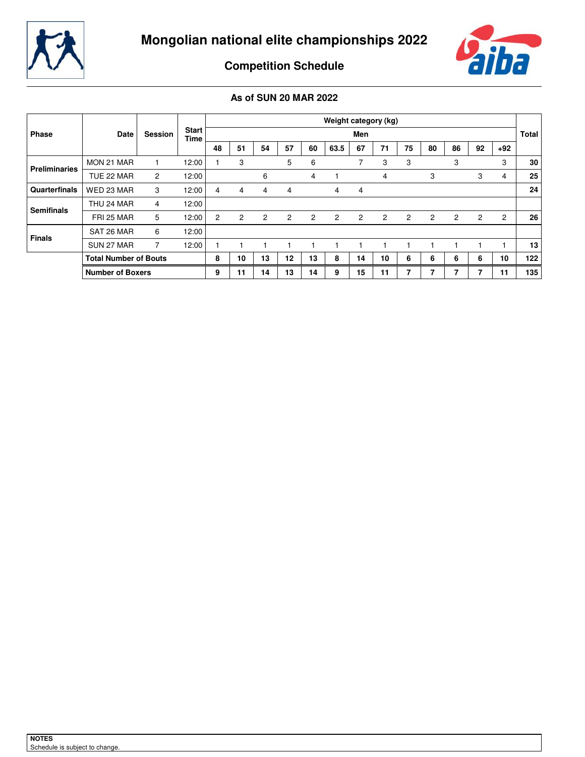



**Competition Schedule**

|                      |                              |                |                             |                |    |                |    |                | Weight category (kg) |                |                |    |    |                |    |                |              |
|----------------------|------------------------------|----------------|-----------------------------|----------------|----|----------------|----|----------------|----------------------|----------------|----------------|----|----|----------------|----|----------------|--------------|
| <b>Phase</b>         | Date                         | <b>Session</b> | <b>Start</b><br><b>Time</b> |                |    |                |    |                |                      | Men            |                |    |    |                |    |                | <b>Total</b> |
|                      |                              |                |                             | 48             | 51 | 54             | 57 | 60             | 63.5                 | 67             | 71             | 75 | 80 | 86             | 92 | $+92$          |              |
| <b>Preliminaries</b> | MON 21 MAR                   |                | 12:00                       |                | 3  |                | 5  | 6              |                      | 7              | 3              | 3  |    | 3              |    | 3              | 30           |
|                      | TUE 22 MAR                   | $\overline{2}$ | 12:00                       |                |    | 6              |    | 4              |                      |                | 4              |    | 3  |                | 3  | 4              | 25           |
| Quarterfinals        | WED 23 MAR                   | 3              | 12:00                       | 4              | 4  | 4              | 4  |                | 4                    | 4              |                |    |    |                |    |                | 24           |
| <b>Semifinals</b>    | THU 24 MAR                   | 4              | 12:00                       |                |    |                |    |                |                      |                |                |    |    |                |    |                |              |
|                      | FRI 25 MAR                   | 5              | 12:00                       | $\overline{2}$ | 2  | $\overline{c}$ | 2  | $\overline{2}$ | $\overline{2}$       | $\overline{2}$ | $\overline{2}$ | 2  | 2  | $\overline{2}$ | 2  | $\overline{c}$ | 26           |
| <b>Finals</b>        | SAT 26 MAR                   | 6              | 12:00                       |                |    |                |    |                |                      |                |                |    |    |                |    |                |              |
|                      | SUN 27 MAR                   | 7              | 12:00                       |                |    |                |    |                |                      |                |                |    |    |                |    |                | 13           |
|                      | <b>Total Number of Bouts</b> |                |                             | 8              | 10 | 13             | 12 | 13             | 8                    | 14             | 10             | 6  | 6  | 6              | 6  | 10             | 122          |
|                      | <b>Number of Boxers</b>      |                |                             | 9              | 11 | 14             | 13 | 14             | 9                    | 15             | 11             | ⇁  |    | 7              | 7  | 11             | 135          |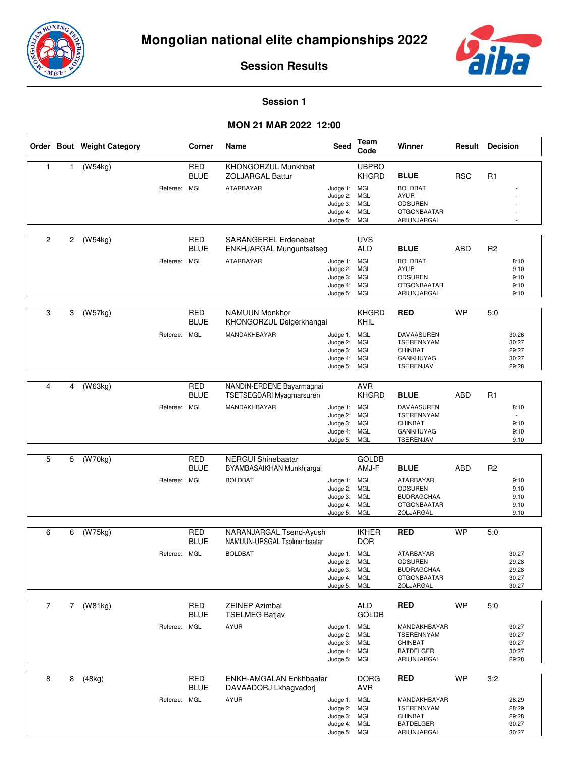



#### **Session 1**

|                |                | Order Bout Weight Category |              | Corner                    | Name                                                                         | Seed                                                                         | Team<br>Code                      | Winner                                                                                              | Result     | <b>Decision</b> |                                           |
|----------------|----------------|----------------------------|--------------|---------------------------|------------------------------------------------------------------------------|------------------------------------------------------------------------------|-----------------------------------|-----------------------------------------------------------------------------------------------------|------------|-----------------|-------------------------------------------|
| $\mathbf{1}$   | 1              | (W54kg)                    | Referee: MGL | <b>RED</b><br><b>BLUE</b> | KHONGORZUL Munkhbat<br><b>ZOLJARGAL Battur</b><br>ATARBAYAR                  | Judge 1: MGL<br>Judge 2: MGL<br>Judge 3: MGL<br>Judge 4: MGL<br>Judge 5: MGL | <b>UBPRO</b><br><b>KHGRD</b>      | <b>BLUE</b><br><b>BOLDBAT</b><br><b>AYUR</b><br><b>ODSUREN</b><br><b>OTGONBAATAR</b><br>ARIUNJARGAL | <b>RSC</b> | R1              |                                           |
| 2              | $\overline{2}$ | (W54kg)                    | Referee: MGL | <b>RED</b><br><b>BLUE</b> | SARANGEREL Erdenebat<br><b>ENKHJARGAL Munguntsetseg</b><br>ATARBAYAR         | Judge 1: MGL<br>Judge 2: MGL<br>Judge 3: MGL<br>Judge 4: MGL<br>Judge 5: MGL | <b>UVS</b><br><b>ALD</b>          | <b>BLUE</b><br><b>BOLDBAT</b><br><b>AYUR</b><br><b>ODSUREN</b><br><b>OTGONBAATAR</b><br>ARIUNJARGAL | ABD        | R2              | 8:10<br>9:10<br>9:10<br>9:10<br>9:10      |
| 3              | 3              | (W57kg)                    | Referee: MGL | RED<br><b>BLUE</b>        | <b>NAMUUN Monkhor</b><br>KHONGORZUL Delgerkhangai<br>MANDAKHBAYAR            | Judge 1: MGL<br>Judge 2: MGL<br>Judge 3: MGL<br>Judge 4: MGL<br>Judge 5: MGL | <b>KHGRD</b><br>KHIL              | <b>RED</b><br><b>DAVAASUREN</b><br>TSERENNYAM<br><b>CHINBAT</b><br><b>GANKHUYAG</b><br>TSERENJAV    | <b>WP</b>  | 5:0             | 30:26<br>30:27<br>29:27<br>30:27<br>29:28 |
| 4              | 4              | (W63kg)                    | Referee: MGL | <b>RED</b><br><b>BLUE</b> | NANDIN-ERDENE Bayarmagnai<br><b>TSETSEGDARI Myagmarsuren</b><br>MANDAKHBAYAR | Judge 1: MGL<br>Judge 2: MGL<br>Judge 3: MGL<br>Judge 4:<br>Judge 5: MGL     | <b>AVR</b><br><b>KHGRD</b><br>MGL | <b>BLUE</b><br>DAVAASUREN<br><b>TSERENNYAM</b><br><b>CHINBAT</b><br><b>GANKHUYAG</b><br>TSERENJAV   | ABD        | R <sub>1</sub>  | 8:10<br>9:10<br>9:10<br>9:10              |
| 5              | 5              | (W70kg)                    | Referee: MGL | <b>RED</b><br><b>BLUE</b> | <b>NERGUI Shinebaatar</b><br>BYAMBASAIKHAN Munkhjargal<br><b>BOLDBAT</b>     | Judge 1: MGL<br>Judge 2: MGL<br>Judge 3: MGL<br>Judge 4: MGL<br>Judge 5: MGL | <b>GOLDB</b><br>AMJ-F             | <b>BLUE</b><br>ATARBAYAR<br><b>ODSUREN</b><br><b>BUDRAGCHAA</b><br><b>OTGONBAATAR</b><br>ZOLJARGAL  | <b>ABD</b> | R <sub>2</sub>  | 9:10<br>9:10<br>9:10<br>9:10<br>9:10      |
| 6              | 6              | (W75kg)                    | Referee: MGL | <b>RED</b><br><b>BLUE</b> | NARANJARGAL Tsend-Ayush<br>NAMUUN-URSGAL Tsolmonbaatar<br><b>BOLDBAT</b>     | Judge 1: MGL<br>Judge 2: MGL<br>Judge 3: MGL<br>Judge 4: MGL<br>Judge 5: MGL | <b>IKHER</b><br><b>DOR</b>        | <b>RED</b><br>ATARBAYAR<br><b>ODSUREN</b><br><b>BUDRAGCHAA</b><br><b>OTGONBAATAR</b><br>ZOLJARGAL   | <b>WP</b>  | 5:0             | 30:27<br>29:28<br>29:28<br>30:27<br>30:27 |
| $\overline{7}$ | $7^{\circ}$    | (W81kg)                    | Referee: MGL | <b>RED</b><br><b>BLUE</b> | ZEINEP Azimbai<br><b>TSELMEG Batjav</b><br><b>AYUR</b>                       | Judge 1: MGL<br>Judge 2: MGL<br>Judge 3: MGL<br>Judge 4: MGL<br>Judge 5: MGL | <b>ALD</b><br><b>GOLDB</b>        | <b>RED</b><br>MANDAKHBAYAR<br><b>TSERENNYAM</b><br>CHINBAT<br><b>BATDELGER</b><br>ARIUNJARGAL       | <b>WP</b>  | 5:0             | 30:27<br>30:27<br>30:27<br>30:27<br>29:28 |
| 8              | 8              | (48kg)                     | Referee: MGL | <b>RED</b><br><b>BLUE</b> | ENKH-AMGALAN Enkhbaatar<br>DAVAADORJ Lkhagvadorj<br><b>AYUR</b>              | Judge 1: MGL<br>Judge 2: MGL<br>Judge 3: MGL<br>Judge 4: MGL<br>Judge 5: MGL | <b>DORG</b><br>AVR                | <b>RED</b><br>MANDAKHBAYAR<br><b>TSERENNYAM</b><br>CHINBAT<br><b>BATDELGER</b><br>ARIUNJARGAL       | <b>WP</b>  | 3:2             | 28:29<br>28:29<br>29:28<br>30:27<br>30:27 |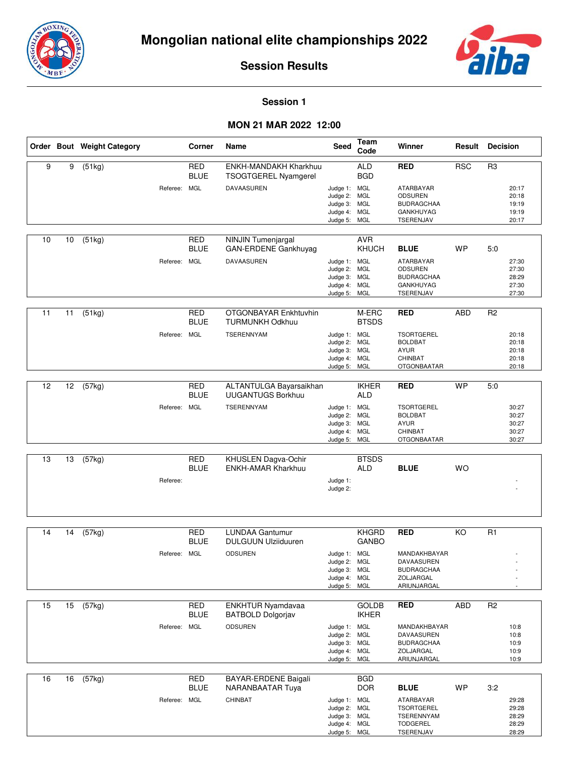



#### **Session 1**

|    |    | Order Bout Weight Category |              | Corner                    | Name                                                                      | Seed                                                                         | Team<br>Code                                           | Winner                                                                                             | Result     | <b>Decision</b> |                                           |
|----|----|----------------------------|--------------|---------------------------|---------------------------------------------------------------------------|------------------------------------------------------------------------------|--------------------------------------------------------|----------------------------------------------------------------------------------------------------|------------|-----------------|-------------------------------------------|
| 9  | 9  | (51kg)                     | Referee: MGL | <b>RED</b><br><b>BLUE</b> | <b>ENKH-MANDAKH Kharkhuu</b><br><b>TSOGTGEREL Nyamgerel</b><br>DAVAASUREN | Judge 1: MGL<br>Judge 2: MGL<br>Judge 3: MGL<br>Judge 4: MGL<br>Judge 5: MGL | <b>ALD</b><br><b>BGD</b>                               | <b>RED</b><br>ATARBAYAR<br>ODSUREN<br><b>BUDRAGCHAA</b><br><b>GANKHUYAG</b><br>TSERENJAV           | <b>RSC</b> | R <sub>3</sub>  | 20:17<br>20:18<br>19:19<br>19:19<br>20:17 |
| 10 | 10 | (51kg)                     | Referee: MGL | <b>RED</b><br><b>BLUE</b> | <b>NINJIN Tumenjargal</b><br>GAN-ERDENE Gankhuyag<br>DAVAASUREN           | Judge 1: MGL<br>Judge 2: MGL<br>Judge 3: MGL<br>Judge 4: MGL<br>Judge 5:     | <b>AVR</b><br>KHUCH<br>MGL                             | <b>BLUE</b><br>ATARBAYAR<br>ODSUREN<br><b>BUDRAGCHAA</b><br>GANKHUYAG<br>TSERENJAV                 | WP         | 5.0             | 27:30<br>27:30<br>28:29<br>27:30<br>27:30 |
| 11 | 11 | (51kg)                     | Referee: MGL | RED<br><b>BLUE</b>        | OTGONBAYAR Enkhtuvhin<br><b>TURMUNKH Odkhuu</b><br>TSERENNYAM             | Judge 1: MGL<br>Judge 2:<br>Judge 3: MGL<br>Judge 4:<br>Judge 5: MGL         | M-ERC<br><b>BTSDS</b><br><b>MGL</b><br>MGL             | <b>RED</b><br><b>TSORTGEREL</b><br><b>BOLDBAT</b><br><b>AYUR</b><br>CHINBAT<br><b>OTGONBAATAR</b>  | <b>ABD</b> | R <sub>2</sub>  | 20:18<br>20:18<br>20:18<br>20:18<br>20:18 |
| 12 | 12 | (57kg)                     | Referee: MGL | <b>RED</b><br><b>BLUE</b> | ALTANTULGA Bayarsaikhan<br><b>UUGANTUGS Borkhuu</b><br><b>TSERENNYAM</b>  | Judge 1: MGL<br>Judge 2:<br>Judge 3: MGL<br>Judge 4:<br>Judge 5:             | <b>IKHER</b><br><b>ALD</b><br>MGL<br><b>MGL</b><br>MGL | <b>RED</b><br><b>TSORTGEREL</b><br><b>BOLDBAT</b><br><b>AYUR</b><br>CHINBAT<br>OTGONBAATAR         | <b>WP</b>  | 5:0             | 30:27<br>30:27<br>30:27<br>30:27<br>30:27 |
| 13 | 13 | (57kg)                     | Referee:     | <b>RED</b><br><b>BLUE</b> | KHUSLEN Dagva-Ochir<br><b>ENKH-AMAR Kharkhuu</b>                          | Judge 1:<br>Judge 2:                                                         | <b>BTSDS</b><br><b>ALD</b>                             | <b>BLUE</b>                                                                                        | <b>WO</b>  |                 |                                           |
| 14 | 14 | (57kg)                     | Referee: MGL | <b>RED</b><br><b>BLUE</b> | <b>LUNDAA Gantumur</b><br><b>DULGUUN Ulziiduuren</b><br><b>ODSUREN</b>    | Judge 1: MGL<br>Judge 2: MGL<br>Judge 3: MGL<br>Judge 4: MGL<br>Judge 5:     | <b>KHGRD</b><br><b>GANBO</b><br>MGL                    | <b>RED</b><br>MANDAKHBAYAR<br><b>DAVAASUREN</b><br><b>BUDRAGCHAA</b><br>ZOLJARGAL<br>ARIUNJARGAL   | KO         | R1              |                                           |
| 15 | 15 | (57kg)                     | Referee: MGL | <b>RED</b><br><b>BLUE</b> | ENKHTUR Nyamdavaa<br><b>BATBOLD Dolgorjav</b><br><b>ODSUREN</b>           | Judge 1: MGL<br>Judge 2: MGL<br>Judge 3: MGL<br>Judge 4: MGL<br>Judge 5: MGL | <b>GOLDB</b><br><b>IKHER</b>                           | <b>RED</b><br>MANDAKHBAYAR<br>DAVAASUREN<br><b>BUDRAGCHAA</b><br>ZOLJARGAL<br>ARIUNJARGAL          | ABD        | R <sub>2</sub>  | 10:8<br>10:8<br>10:9<br>10:9<br>10:9      |
| 16 | 16 | (57kg)                     | Referee: MGL | <b>RED</b><br><b>BLUE</b> | BAYAR-ERDENE Baigali<br>NARANBAATAR Tuya<br>CHINBAT                       | Judge 1: MGL<br>Judge 2:<br>Judge 3: MGL<br>Judge 4: MGL<br>Judge 5: MGL     | <b>BGD</b><br><b>DOR</b><br><b>MGL</b>                 | <b>BLUE</b><br>ATARBAYAR<br><b>TSORTGEREL</b><br><b>TSERENNYAM</b><br><b>TODGEREL</b><br>TSERENJAV | <b>WP</b>  | 3:2             | 29:28<br>29:28<br>28:29<br>28:29<br>28:29 |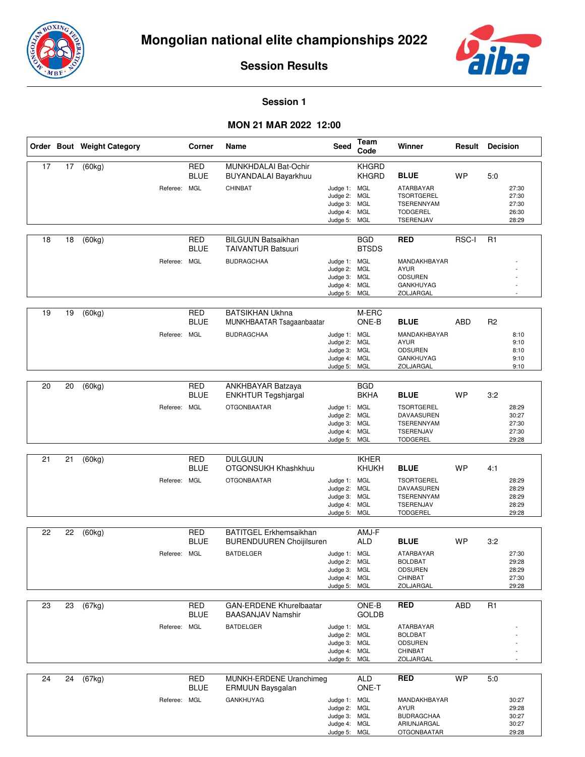



#### **Session 1**

#### **MON 21 MAR 2022 12:00**

|    |    | Order Bout Weight Category |              | Corner                           | Name                                                                                 | Seed                                                                         | Team<br>Code                               | Winner                                                                                              |            | <b>Result Decision</b> |                                           |
|----|----|----------------------------|--------------|----------------------------------|--------------------------------------------------------------------------------------|------------------------------------------------------------------------------|--------------------------------------------|-----------------------------------------------------------------------------------------------------|------------|------------------------|-------------------------------------------|
| 17 | 17 | (60kg)                     | Referee: MGL | <b>RED</b><br><b>BLUE</b>        | MUNKHDALAI Bat-Ochir<br>BUYANDALAI Bayarkhuu<br>CHINBAT                              | Judge 1: MGL<br>Judge 2:<br>Judge 3: MGL<br>Judge 4: MGL<br>Judge 5: MGL     | <b>KHGRD</b><br><b>KHGRD</b><br><b>MGL</b> | <b>BLUE</b><br>ATARBAYAR<br><b>TSORTGEREL</b><br><b>TSERENNYAM</b><br><b>TODGEREL</b><br>TSERENJAV  | <b>WP</b>  | 5:0                    | 27:30<br>27:30<br>27:30<br>26:30<br>28:29 |
| 18 | 18 | (60kg)                     | Referee: MGL | <b>RED</b><br><b>BLUE</b>        | <b>BILGUUN Batsaikhan</b><br><b>TAIVANTUR Batsuuri</b><br><b>BUDRAGCHAA</b>          | Judge 1: MGL<br>Judge 2: MGL<br>Judge 3: MGL<br>Judge 4: MGL<br>Judge 5: MGL | <b>BGD</b><br><b>BTSDS</b>                 | <b>RED</b><br>MANDAKHBAYAR<br><b>AYUR</b><br><b>ODSUREN</b><br><b>GANKHUYAG</b><br>ZOLJARGAL        | RSC-I      | R1                     |                                           |
| 19 | 19 | (60kg)                     | Referee: MGL | <b>RED</b><br><b>BLUE</b>        | <b>BATSIKHAN Ukhna</b><br>MUNKHBAATAR Tsagaanbaatar<br><b>BUDRAGCHAA</b>             | Judge 1: MGL<br>Judge 2: MGL<br>Judge 3: MGL<br>Judge 4: MGL<br>Judge 5: MGL | M-ERC<br>ONE-B                             | <b>BLUE</b><br>MANDAKHBAYAR<br><b>AYUR</b><br><b>ODSUREN</b><br><b>GANKHUYAG</b><br>ZOLJARGAL       | <b>ABD</b> | R2                     | 8:10<br>9:10<br>8:10<br>9:10<br>9:10      |
| 20 | 20 | (60kg)                     | Referee:     | <b>RED</b><br><b>BLUE</b><br>MGL | ANKHBAYAR Batzaya<br><b>ENKHTUR Tegshjargal</b><br><b>OTGONBAATAR</b>                | Judge 1: MGL<br>Judge 2: MGL<br>Judge 3: MGL<br>Judge 4: MGL<br>Judge 5: MGL | <b>BGD</b><br><b>BKHA</b>                  | <b>BLUE</b><br><b>TSORTGEREL</b><br>DAVAASUREN<br>TSERENNYAM<br>TSERENJAV<br><b>TODGEREL</b>        | <b>WP</b>  | 3:2                    | 28:29<br>30:27<br>27:30<br>27:30<br>29:28 |
| 21 | 21 | (60kg)                     | Referee: MGL | <b>RED</b><br><b>BLUE</b>        | <b>DULGUUN</b><br>OTGONSUKH Khashkhuu<br><b>OTGONBAATAR</b>                          | Judge 1: MGL<br>Judge 2: MGL<br>Judge 3: MGL<br>Judge 4: MGL<br>Judge 5: MGL | <b>IKHER</b><br>KHUKH                      | <b>BLUE</b><br><b>TSORTGEREL</b><br>DAVAASUREN<br><b>TSERENNYAM</b><br>TSERENJAV<br><b>TODGEREL</b> | <b>WP</b>  | 4:1                    | 28:29<br>28:29<br>28:29<br>28:29<br>29:28 |
| 22 | 22 | (60kg)                     | Referee: MGL | <b>RED</b><br><b>BLUE</b>        | <b>BATITGEL Erkhemsaikhan</b><br><b>BURENDUUREN Choijilsuren</b><br><b>BATDELGER</b> | Judge 1: MGL<br>Judge 2: MGL<br>Judge 3: MGL<br>Judge 4: MGL<br>Judge 5: MGL | AMJ-F<br><b>ALD</b>                        | <b>BLUE</b><br>ATARBAYAR<br><b>BOLDBAT</b><br><b>ODSUREN</b><br>CHINBAT<br>ZOLJARGAL                | <b>WP</b>  | 3:2                    | 27:30<br>29:28<br>28:29<br>27:30<br>29:28 |
| 23 | 23 | (67kg)                     | Referee: MGL | <b>RED</b><br><b>BLUE</b>        | <b>GAN-ERDENE Khurelbaatar</b><br><b>BAASANJAV Namshir</b><br><b>BATDELGER</b>       | Judge 1: MGL<br>Judge 2: MGL<br>Judge 3: MGL<br>Judge 4: MGL<br>Judge 5: MGL | ONE-B<br><b>GOLDB</b>                      | <b>RED</b><br>ATARBAYAR<br><b>BOLDBAT</b><br><b>ODSUREN</b><br>CHINBAT<br><b>ZOLJARGAL</b>          | <b>ABD</b> | R1                     |                                           |
| 24 | 24 | (67kg)                     | Referee: MGL | RED<br><b>BLUE</b>               | MUNKH-ERDENE Uranchimeg<br>ERMUUN Baysgalan<br><b>GANKHUYAG</b>                      | Judge 1: MGL<br>Judge 2: MGL<br>Judge 3: MGL<br>Judge 4: MGL<br>Judge 5: MGL | <b>ALD</b><br>ONE-T                        | <b>RED</b><br>MANDAKHBAYAR<br><b>AYUR</b><br><b>BUDRAGCHAA</b><br>ARIUNJARGAL<br><b>OTGONBAATAR</b> | <b>WP</b>  | 5:0                    | 30:27<br>29:28<br>30:27<br>30:27<br>29:28 |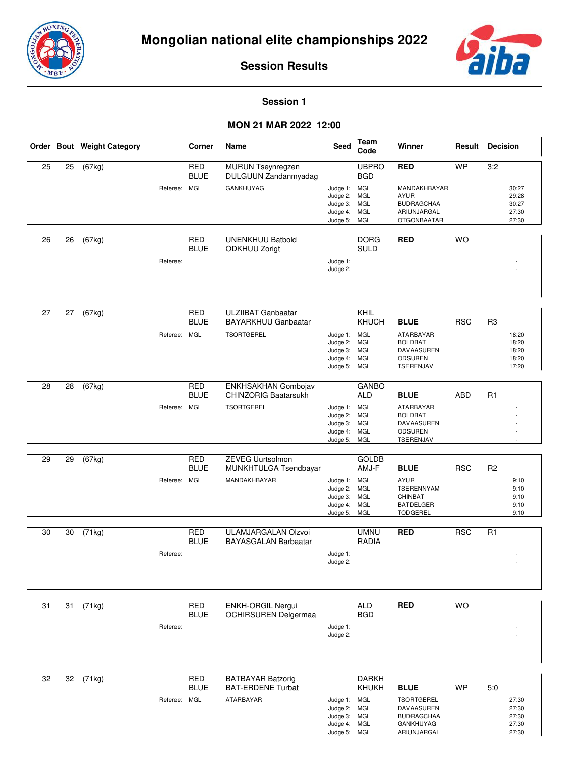



#### **Session 1**

|    |    | Order Bout Weight Category |              | Corner                                  | Name                                                                         | Seed                                                                         | <b>Team</b><br>Code         | Winner                                                                                              | Result     | <b>Decision</b>                                             |
|----|----|----------------------------|--------------|-----------------------------------------|------------------------------------------------------------------------------|------------------------------------------------------------------------------|-----------------------------|-----------------------------------------------------------------------------------------------------|------------|-------------------------------------------------------------|
| 25 | 25 | $\overline{(67}$ kg)       | Referee: MGL | <b>RED</b><br><b>BLUE</b>               | MURUN Tseynregzen<br>DULGUUN Zandanmyadag<br><b>GANKHUYAG</b>                | Judge 1: MGL<br>Judge 2: MGL<br>Judge 3: MGL<br>Judge 4: MGL<br>Judge 5: MGL | <b>UBPRO</b><br><b>BGD</b>  | <b>RED</b><br>MANDAKHBAYAR<br><b>AYUR</b><br><b>BUDRAGCHAA</b><br>ARIUNJARGAL<br><b>OTGONBAATAR</b> | <b>WP</b>  | 3:2<br>30:27<br>29:28<br>30:27<br>27:30<br>27:30            |
| 26 | 26 | (67kg)                     | Referee:     | <b>RED</b><br><b>BLUE</b>               | <b>UNENKHUU Batbold</b><br><b>ODKHUU Zorigt</b>                              | Judge 1:<br>Judge 2:                                                         | <b>DORG</b><br><b>SULD</b>  | <b>RED</b>                                                                                          | <b>WO</b>  |                                                             |
| 27 | 27 | (67kg)                     | Referee:     | <b>RED</b><br><b>BLUE</b><br><b>MGL</b> | <b>ULZIIBAT Ganbaatar</b><br><b>BAYARKHUU Ganbaatar</b><br><b>TSORTGEREL</b> | Judge 1: MGL<br>Judge 2: MGL<br>Judge 3: MGL<br>Judge 4: MGL<br>Judge 5: MGL | KHIL<br>KHUCH               | <b>BLUE</b><br>ATARBAYAR<br><b>BOLDBAT</b><br>DAVAASUREN<br><b>ODSUREN</b><br>TSERENJAV             | <b>RSC</b> | R <sub>3</sub><br>18:20<br>18:20<br>18:20<br>18:20<br>17:20 |
| 28 | 28 | (67kg)                     | Referee: MGL | <b>RED</b><br><b>BLUE</b>               | ENKHSAKHAN Gombojav<br><b>CHINZORIG Baatarsukh</b><br><b>TSORTGEREL</b>      | Judge 1: MGL<br>Judge 2: MGL<br>Judge 3: MGL<br>Judge 4: MGL<br>Judge 5: MGL | <b>GANBO</b><br><b>ALD</b>  | <b>BLUE</b><br>ATARBAYAR<br><b>BOLDBAT</b><br>DAVAASUREN<br><b>ODSUREN</b><br>TSERENJAV             | <b>ABD</b> | R1                                                          |
| 29 | 29 | (67kg)                     | Referee:     | <b>RED</b><br><b>BLUE</b><br><b>MGL</b> | <b>ZEVEG Uurtsolmon</b><br>MUNKHTULGA Tsendbayar<br>MANDAKHBAYAR             | Judge 1: MGL<br>Judge 2: MGL<br>Judge 3: MGL<br>Judge 4: MGL<br>Judge 5: MGL | <b>GOLDB</b><br>AMJ-F       | <b>BLUE</b><br><b>AYUR</b><br>TSERENNYAM<br><b>CHINBAT</b><br><b>BATDELGER</b><br><b>TODGEREL</b>   | <b>RSC</b> | R <sub>2</sub><br>9:10<br>9:10<br>9:10<br>9:10<br>9:10      |
| 30 | 30 | (71kg)                     | Referee:     | <b>RED</b><br><b>BLUE</b>               | ULAMJARGALAN Olzvoi<br><b>BAYASGALAN Barbaatar</b>                           | Judge 1:<br>Judge 2:                                                         | <b>UMNU</b><br><b>RADIA</b> | <b>RED</b>                                                                                          | <b>RSC</b> | R1                                                          |
| 31 | 31 | (71kg)                     | Referee:     | RED<br><b>BLUE</b>                      | ENKH-ORGIL Nergui<br><b>OCHIRSUREN Delgermaa</b>                             | Judge 1:<br>Judge 2:                                                         | <b>ALD</b><br><b>BGD</b>    | <b>RED</b>                                                                                          | <b>WO</b>  |                                                             |
| 32 | 32 | (71kg)                     | Referee: MGL | <b>RED</b><br><b>BLUE</b>               | <b>BATBAYAR Batzorig</b><br><b>BAT-ERDENE Turbat</b><br>ATARBAYAR            | Judge 1: MGL<br>Judge 2: MGL<br>Judge 3: MGL<br>Judge 4: MGL<br>Judge 5: MGL | <b>DARKH</b><br>KHUKH       | <b>BLUE</b><br><b>TSORTGEREL</b><br>DAVAASUREN<br><b>BUDRAGCHAA</b><br>GANKHUYAG<br>ARIUNJARGAL     | <b>WP</b>  | 5:0<br>27:30<br>27:30<br>27:30<br>27:30<br>27:30            |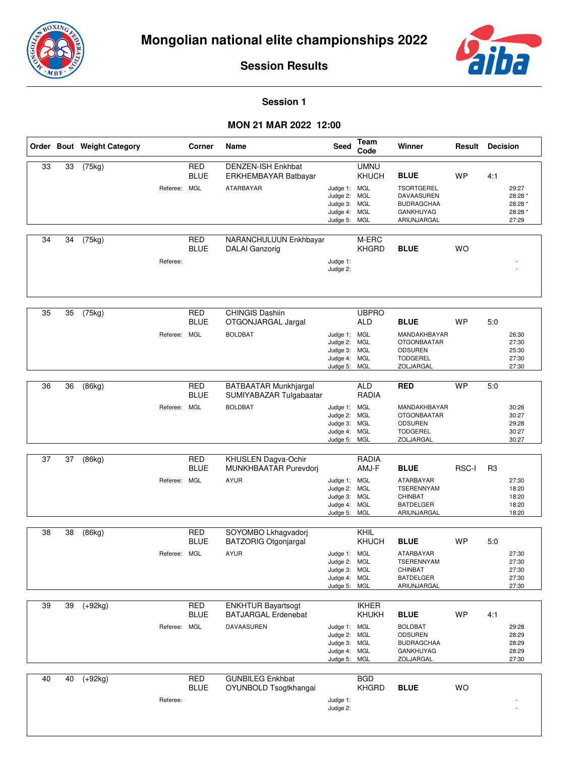



#### **Session 1**

|    |    | Order Bout Weight Category |              | Corner                                  | Name                                                                  | Seed                                                                         | <b>Team</b><br>Code                                                    | Winner                                                                                                 | Result    | <b>Decision</b> |                                                 |
|----|----|----------------------------|--------------|-----------------------------------------|-----------------------------------------------------------------------|------------------------------------------------------------------------------|------------------------------------------------------------------------|--------------------------------------------------------------------------------------------------------|-----------|-----------------|-------------------------------------------------|
| 33 | 33 | (75kg)                     | Referee: MGL | <b>RED</b><br><b>BLUE</b>               | <b>DENZEN-ISH Enkhbat</b><br>ERKHEMBAYAR Batbayar<br>ATARBAYAR        | Judge 1: MGL<br>Judge 2:<br>Judge 3:<br>Judge 4: MGL<br>Judge 5:             | <b>UMNU</b><br><b>KHUCH</b><br><b>MGL</b><br><b>MGL</b><br>MGL         | <b>BLUE</b><br><b>TSORTGEREL</b><br>DAVAASUREN<br><b>BUDRAGCHAA</b><br><b>GANKHUYAG</b><br>ARIUNJARGAL | <b>WP</b> | 4:1             | 29:27<br>28:28 *<br>28:28 *<br>28:28 *<br>27:29 |
| 34 | 34 | (75kg)                     | Referee:     | <b>RED</b><br><b>BLUE</b>               | NARANCHULUUN Enkhbayar<br><b>DALAI</b> Ganzorig                       | Judge 1:<br>Judge 2:                                                         | M-ERC<br><b>KHGRD</b>                                                  | <b>BLUE</b>                                                                                            | <b>WO</b> |                 |                                                 |
| 35 | 35 | (75kg)                     | Referee: MGL | <b>RED</b><br><b>BLUE</b>               | <b>CHINGIS Dashiin</b><br>OTGONJARGAL Jargal<br><b>BOLDBAT</b>        | Judge 1: MGL<br>Judge 2:<br>Judge 3:<br>Judge 4:<br>Judge 5: MGL             | <b>UBPRO</b><br><b>ALD</b><br><b>MGL</b><br><b>MGL</b><br><b>MGL</b>   | <b>BLUE</b><br>MANDAKHBAYAR<br><b>OTGONBAATAR</b><br>ODSUREN<br><b>TODGEREL</b><br>ZOLJARGAL           | WP        | 5:0             | 26:30<br>27:30<br>25:30<br>27:30<br>27:30       |
| 36 | 36 | (86kg)                     | Referee:     | <b>RED</b><br><b>BLUE</b><br><b>MGL</b> | BATBAATAR Munkhjargal<br>SUMIYABAZAR Tulgabaatar<br><b>BOLDBAT</b>    | Judge 1: MGL<br>Judge 2:<br>Judge 3: MGL<br>Judge 4:<br>Judge 5:             | <b>ALD</b><br><b>RADIA</b><br><b>MGL</b><br><b>MGL</b><br>MGL          | <b>RED</b><br>MANDAKHBAYAR<br><b>OTGONBAATAR</b><br><b>ODSUREN</b><br><b>TODGEREL</b><br>ZOLJARGAL     | <b>WP</b> | 5:0             | 30:26<br>30:27<br>29:28<br>30:27<br>30:27       |
| 37 | 37 | (86kg)                     | Referee: MGL | <b>RED</b><br><b>BLUE</b>               | KHUSLEN Dagva-Ochir<br>MUNKHBAATAR Purevdorj<br><b>AYUR</b>           | Judge 1: MGL<br>Judge 2:<br>Judge 3:<br>Judge 4:<br>Judge 5:                 | <b>RADIA</b><br>AMJ-F<br><b>MGL</b><br><b>MGL</b><br><b>MGL</b><br>MGL | <b>BLUE</b><br>ATARBAYAR<br><b>TSERENNYAM</b><br>CHINBAT<br><b>BATDELGER</b><br>ARIUNJARGAL            | RSC-I     | R <sub>3</sub>  | 27:30<br>18:20<br>18:20<br>18:20<br>18:20       |
| 38 | 38 | (86kg)                     | Referee: MGL | <b>RED</b><br><b>BLUE</b>               | SOYOMBO Lkhagvadorj<br><b>BATZORIG Otgonjargal</b><br><b>AYUR</b>     | Judge 1: MGL<br>Judge 2: MGL<br>Judge 3: MGL<br>Judge 4: MGL<br>Judge 5: MGL | KHIL<br>KHUCH                                                          | <b>BLUE</b><br>ATARBAYAR<br>TSERENNYAM<br>CHINBAT<br><b>BATDELGER</b><br>ARIUNJARGAL                   | <b>WP</b> | 5:0             | 27:30<br>27:30<br>27:30<br>27:30<br>27:30       |
| 39 | 39 | $(+92kg)$                  | Referee: MGL | <b>RED</b><br><b>BLUE</b>               | <b>ENKHTUR Bayartsogt</b><br><b>BATJARGAL Erdenebat</b><br>DAVAASUREN | Judge 1: MGL<br>Judge 2: MGL<br>Judge 3: MGL<br>Judge 4: MGL<br>Judge 5: MGL | <b>IKHER</b><br>KHUKH                                                  | <b>BLUE</b><br><b>BOLDBAT</b><br><b>ODSUREN</b><br><b>BUDRAGCHAA</b><br><b>GANKHUYAG</b><br>ZOLJARGAL  | <b>WP</b> | 4:1             | 29:28<br>28:29<br>28:29<br>28:29<br>27:30       |
| 40 | 40 | $(+92kg)$                  | Referee:     | <b>RED</b><br><b>BLUE</b>               | <b>GUNBILEG Enkhbat</b><br>OYUNBOLD Tsogtkhangai                      | Judge 1:<br>Judge 2:                                                         | BGD<br><b>KHGRD</b>                                                    | <b>BLUE</b>                                                                                            | <b>WO</b> |                 |                                                 |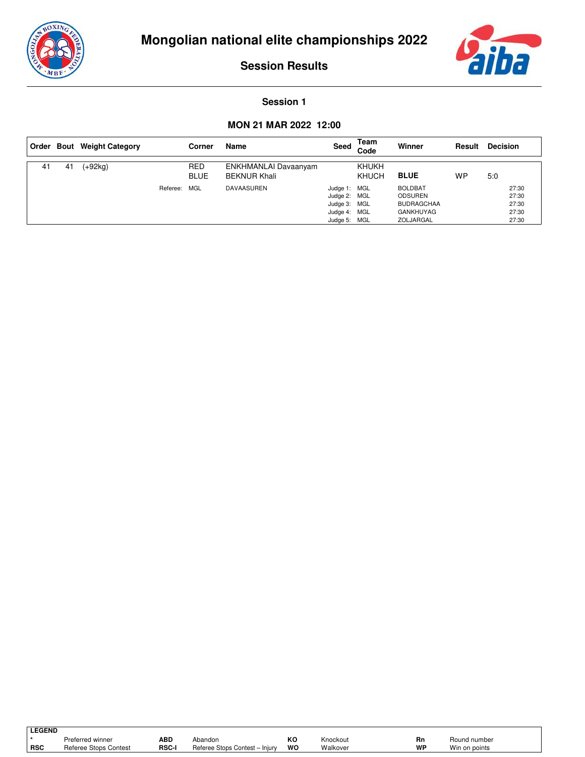



#### **Session 1**

|    |    | Order Bout Weight Category |          | Corner                    | Name                                        | Seed                                                                         | Team<br>Code                 | Winner                                                                                 | Result | <b>Decision</b>                           |
|----|----|----------------------------|----------|---------------------------|---------------------------------------------|------------------------------------------------------------------------------|------------------------------|----------------------------------------------------------------------------------------|--------|-------------------------------------------|
| 41 | 41 | (+92kg)                    |          | <b>RED</b><br><b>BLUE</b> | ENKHMANLAI Davaanyam<br><b>BEKNUR Khali</b> |                                                                              | <b>KHUKH</b><br><b>KHUCH</b> | <b>BLUE</b>                                                                            | WP     | 5:0                                       |
|    |    |                            | Referee: | MGL                       | <b>DAVAASUREN</b>                           | Judge 1: MGL<br>Judge 2: MGL<br>Judge 3: MGL<br>Judge 4: MGL<br>Judge 5: MGL |                              | <b>BOLDBAT</b><br><b>ODSUREN</b><br><b>BUDRAGCHAA</b><br><b>GANKHUYAG</b><br>ZOLJARGAL |        | 27:30<br>27:30<br>27:30<br>27:30<br>27:30 |

| <b>LEGEND</b> |                       |       |                                          |    |          |    |               |  |
|---------------|-----------------------|-------|------------------------------------------|----|----------|----|---------------|--|
|               | Preferred winner      | ABD   | Abandon                                  | ĸc | Knockout | Rn | Round number  |  |
| <b>RSC</b>    | Referee Stops Contest | RSC-I | Referee Stops Contest -<br>Iniurv<br>$-$ | WO | Walkover | WP | Win on points |  |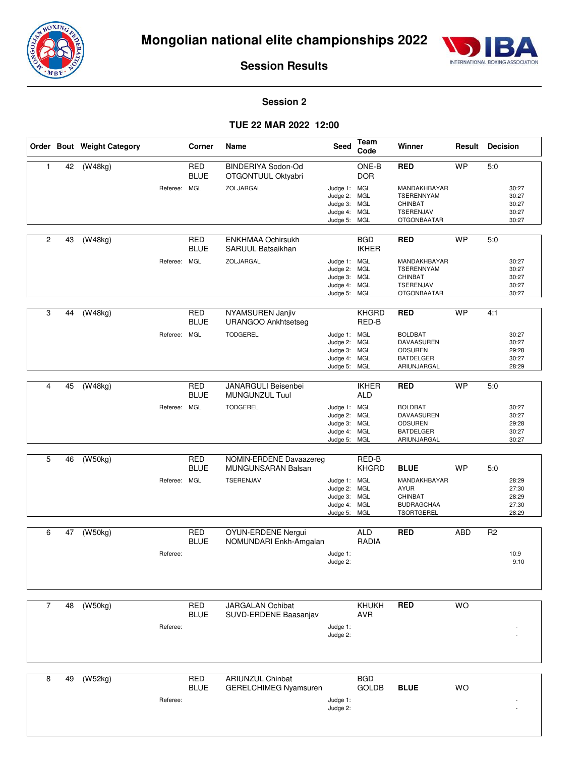



#### **Session 2**

|                |    | Order Bout Weight Category |              | Corner                    | Name                                                    | Seed                                                                     | Team<br>Code               | Winner                                                                            | Result     | <b>Decision</b>                           |
|----------------|----|----------------------------|--------------|---------------------------|---------------------------------------------------------|--------------------------------------------------------------------------|----------------------------|-----------------------------------------------------------------------------------|------------|-------------------------------------------|
| $\mathbf{1}$   | 42 | (W48kg)                    |              | <b>RED</b><br><b>BLUE</b> | BINDERIYA Sodon-Od<br>OTGONTUUL Oktyabri                |                                                                          | ONE-B<br><b>DOR</b>        | <b>RED</b>                                                                        | <b>WP</b>  | 5:0                                       |
|                |    |                            | Referee: MGL |                           | ZOLJARGAL                                               | Judge 1: MGL<br>Judge 2:<br>Judge 3:<br>Judge 4: MGL<br>Judge 5: MGL     | MGL<br>MGL                 | MANDAKHBAYAR<br>TSERENNYAM<br>CHINBAT<br>TSERENJAV<br><b>OTGONBAATAR</b>          |            | 30:27<br>30:27<br>30:27<br>30:27<br>30:27 |
|                |    |                            |              |                           |                                                         |                                                                          |                            |                                                                                   |            |                                           |
| 2              | 43 | (W48kg)                    |              | <b>RED</b><br><b>BLUE</b> | <b>ENKHMAA Ochirsukh</b><br>SARUUL Batsaikhan           |                                                                          | <b>BGD</b><br><b>IKHER</b> | <b>RED</b>                                                                        | <b>WP</b>  | 5:0                                       |
|                |    |                            | Referee: MGL |                           | ZOLJARGAL                                               | Judge 1: MGL<br>Judge 2: MGL<br>Judge 3: MGL<br>Judge 4: MGL<br>Judge 5: | MGL                        | MANDAKHBAYAR<br><b>TSERENNYAM</b><br>CHINBAT<br>TSERENJAV<br><b>OTGONBAATAR</b>   |            | 30:27<br>30:27<br>30:27<br>30:27<br>30:27 |
| 3              | 44 | (W48kg)                    |              | <b>RED</b><br><b>BLUE</b> | NYAMSUREN Janjiv<br><b>URANGOO Ankhtsetseg</b>          |                                                                          | <b>KHGRD</b><br>RED-B      | <b>RED</b>                                                                        | <b>WP</b>  | 4:1                                       |
|                |    |                            | Referee: MGL |                           | <b>TODGEREL</b>                                         | Judge 1: MGL<br>Judge 2:<br>Judge 3: MGL<br>Judge 4:<br>Judge 5: MGL     | <b>MGL</b><br>MGL          | <b>BOLDBAT</b><br>DAVAASUREN<br>ODSUREN<br><b>BATDELGER</b><br>ARIUNJARGAL        |            | 30:27<br>30:27<br>29:28<br>30:27<br>28:29 |
|                |    |                            |              |                           |                                                         |                                                                          |                            |                                                                                   |            |                                           |
| 4              | 45 | (W48kg)                    |              | <b>RED</b><br><b>BLUE</b> | JANARGULI Beisenbei<br>MUNGUNZUL Tuul                   |                                                                          | <b>IKHER</b><br><b>ALD</b> | <b>RED</b>                                                                        | <b>WP</b>  | 5:0                                       |
|                |    |                            | Referee: MGL |                           | <b>TODGEREL</b>                                         | Judge 1: MGL<br>Judge 2:<br>Judge 3: MGL<br>Judge 4:<br>Judge 5:         | MGL<br><b>MGL</b><br>MGL   | <b>BOLDBAT</b><br>DAVAASUREN<br><b>ODSUREN</b><br><b>BATDELGER</b><br>ARIUNJARGAL |            | 30:27<br>30:27<br>29:28<br>30:27<br>30:27 |
|                |    |                            |              |                           |                                                         |                                                                          |                            |                                                                                   |            |                                           |
| 5              | 46 | (W50kg)                    |              | <b>RED</b><br><b>BLUE</b> | NOMIN-ERDENE Davaazereg<br>MUNGUNSARAN Balsan           |                                                                          | RED-B<br><b>KHGRD</b>      | <b>BLUE</b>                                                                       | WP         | 5:0                                       |
|                |    |                            | Referee: MGL |                           | TSERENJAV                                               | Judge 1: MGL<br>Judge 2: MGL<br>Judge 3:<br>Judge 4: MGL<br>Judge 5:     | MGL<br>MGL                 | MANDAKHBAYAR<br><b>AYUR</b><br>CHINBAT<br><b>BUDRAGCHAA</b><br>TSORTGEREL         |            | 28:29<br>27:30<br>28:29<br>27:30<br>28:29 |
| 6              | 47 | (W50kg)                    |              | <b>RED</b><br><b>BLUE</b> | OYUN-ERDENE Nergui<br>NOMUNDARI Enkh-Amgalan            |                                                                          | <b>ALD</b><br><b>RADIA</b> | <b>RED</b>                                                                        | <b>ABD</b> | R <sub>2</sub>                            |
|                |    |                            | Referee:     |                           |                                                         | Judge 1:<br>Judge 2:                                                     |                            |                                                                                   |            | 10:9<br>9:10                              |
|                |    |                            |              |                           |                                                         |                                                                          |                            |                                                                                   |            |                                           |
| $\overline{7}$ | 48 | (W50kg)                    |              | <b>RED</b><br><b>BLUE</b> | <b>JARGALAN Ochibat</b><br>SUVD-ERDENE Baasanjav        |                                                                          | KHUKH<br><b>AVR</b>        | <b>RED</b>                                                                        | <b>WO</b>  |                                           |
|                |    |                            | Referee:     |                           |                                                         | Judge 1:<br>Judge 2:                                                     |                            |                                                                                   |            |                                           |
|                |    |                            |              |                           |                                                         |                                                                          |                            |                                                                                   |            |                                           |
| 8              | 49 | (W52kg)                    | Referee:     | <b>RED</b><br><b>BLUE</b> | <b>ARIUNZUL Chinbat</b><br><b>GERELCHIMEG Nyamsuren</b> | Judge 1:<br>Judge 2:                                                     | <b>BGD</b><br><b>GOLDB</b> | <b>BLUE</b>                                                                       | <b>WO</b>  |                                           |
|                |    |                            |              |                           |                                                         |                                                                          |                            |                                                                                   |            |                                           |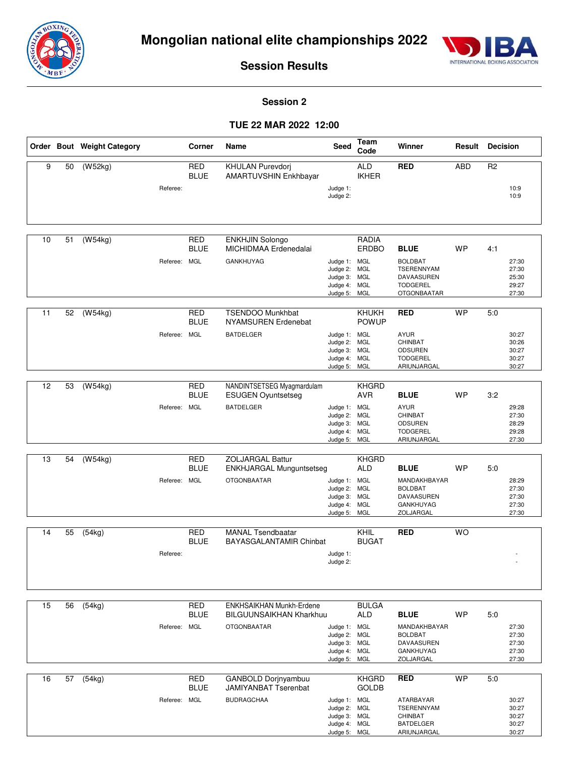



**Session 2**

|    |    | Order Bout Weight Category |              | Corner                    | Name                                                | Seed                         | Team<br>Code                 | Winner                                | Result     | <b>Decision</b> |                |
|----|----|----------------------------|--------------|---------------------------|-----------------------------------------------------|------------------------------|------------------------------|---------------------------------------|------------|-----------------|----------------|
| 9  | 50 | (W52kg)                    |              | <b>RED</b>                | KHULAN Purevdorj                                    |                              | <b>ALD</b>                   | <b>RED</b>                            | <b>ABD</b> | R <sub>2</sub>  |                |
|    |    |                            |              | <b>BLUE</b>               | AMARTUVSHIN Enkhbayar                               |                              | <b>IKHER</b>                 |                                       |            |                 |                |
|    |    |                            | Referee:     |                           |                                                     | Judge 1:<br>Judge 2:         |                              |                                       |            |                 | 10:9<br>10:9   |
|    |    |                            |              |                           |                                                     |                              |                              |                                       |            |                 |                |
|    |    |                            |              |                           |                                                     |                              |                              |                                       |            |                 |                |
| 10 | 51 | (W54kg)                    |              | <b>RED</b>                | <b>ENKHJIN Solongo</b>                              |                              | RADIA                        |                                       |            |                 |                |
|    |    |                            |              | <b>BLUE</b>               | MICHIDMAA Erdenedalai                               |                              | ERDBO                        | <b>BLUE</b>                           | WP         | 4:1             |                |
|    |    |                            | Referee: MGL |                           | <b>GANKHUYAG</b>                                    | Judge 1: MGL                 |                              | <b>BOLDBAT</b>                        |            |                 | 27:30          |
|    |    |                            |              |                           |                                                     | Judge 2: MGL<br>Judge 3: MGL |                              | TSERENNYAM<br>DAVAASUREN              |            |                 | 27:30<br>25:30 |
|    |    |                            |              |                           |                                                     | Judge 4: MGL<br>Judge 5: MGL |                              | <b>TODGEREL</b><br><b>OTGONBAATAR</b> |            |                 | 29:27<br>27:30 |
|    |    |                            |              |                           |                                                     |                              |                              |                                       |            |                 |                |
| 11 | 52 | (W54kg)                    |              | <b>RED</b><br><b>BLUE</b> | <b>TSENDOO Munkhbat</b><br>NYAMSUREN Erdenebat      |                              | <b>KHUKH</b><br><b>POWUP</b> | <b>RED</b>                            | <b>WP</b>  | 5:0             |                |
|    |    |                            | Referee: MGL |                           | <b>BATDELGER</b>                                    | Judge 1: MGL                 |                              | <b>AYUR</b>                           |            |                 | 30:27          |
|    |    |                            |              |                           |                                                     | Judge 2: MGL                 |                              | CHINBAT<br><b>ODSUREN</b>             |            |                 | 30:26<br>30:27 |
|    |    |                            |              |                           |                                                     | Judge 3: MGL<br>Judge 4: MGL |                              | <b>TODGEREL</b>                       |            |                 | 30:27          |
|    |    |                            |              |                           |                                                     | Judge 5: MGL                 |                              | ARIUNJARGAL                           |            |                 | 30:27          |
| 12 | 53 | (W54kg)                    |              | <b>RED</b>                | NANDINTSETSEG Myagmardulam                          |                              | <b>KHGRD</b>                 |                                       |            |                 |                |
|    |    |                            |              | <b>BLUE</b>               | <b>ESUGEN Oyuntsetseg</b>                           |                              | <b>AVR</b>                   | <b>BLUE</b>                           | <b>WP</b>  | 3:2             |                |
|    |    |                            | Referee: MGL |                           | <b>BATDELGER</b>                                    | Judge 1: MGL<br>Judge 2: MGL |                              | <b>AYUR</b><br>CHINBAT                |            |                 | 29:28<br>27:30 |
|    |    |                            |              |                           |                                                     | Judge 3: MGL<br>Judge 4: MGL |                              | ODSUREN<br><b>TODGEREL</b>            |            |                 | 28:29<br>29:28 |
|    |    |                            |              |                           |                                                     | Judge 5: MGL                 |                              | ARIUNJARGAL                           |            |                 | 27:30          |
| 13 | 54 | (W54kg)                    |              | <b>RED</b>                | <b>ZOLJARGAL Battur</b>                             |                              | <b>KHGRD</b>                 |                                       |            |                 |                |
|    |    |                            |              | <b>BLUE</b>               | <b>ENKHJARGAL Munguntsetseg</b>                     |                              | <b>ALD</b>                   | <b>BLUE</b>                           | WP         | 5.0             |                |
|    |    |                            | Referee: MGL |                           | <b>OTGONBAATAR</b>                                  | Judge 1: MGL                 |                              | MANDAKHBAYAR                          |            |                 | 28:29          |
|    |    |                            |              |                           |                                                     | Judge 2: MGL<br>Judge 3: MGL |                              | <b>BOLDBAT</b><br>DAVAASUREN          |            |                 | 27:30<br>27:30 |
|    |    |                            |              |                           |                                                     | Judge 4: MGL<br>Judge 5: MGL |                              | GANKHUYAG<br>ZOLJARGAL                |            |                 | 27:30<br>27:30 |
|    |    |                            |              |                           |                                                     |                              |                              |                                       |            |                 |                |
| 14 | 55 | (54kg)                     |              | <b>RED</b><br><b>BLUE</b> | <b>MANAL Tsendbaatar</b><br>BAYASGALANTAMIR Chinbat |                              | KHIL<br><b>BUGAT</b>         | <b>RED</b>                            | <b>WO</b>  |                 |                |
|    |    |                            | Referee:     |                           |                                                     | Judge 1:                     |                              |                                       |            |                 |                |
|    |    |                            |              |                           |                                                     | Judge 2:                     |                              |                                       |            |                 |                |
|    |    |                            |              |                           |                                                     |                              |                              |                                       |            |                 |                |
|    |    |                            |              |                           |                                                     |                              |                              |                                       |            |                 |                |
| 15 | 56 | (54kg)                     |              | <b>RED</b>                | <b>ENKHSAIKHAN Munkh-Erdene</b>                     |                              | <b>BULGA</b>                 |                                       |            |                 |                |
|    |    |                            |              | <b>BLUE</b>               | <b>BILGUUNSAIKHAN Kharkhuu</b>                      |                              | ALD                          | <b>BLUE</b>                           | <b>WP</b>  | 5:0             |                |
|    |    |                            | Referee: MGL |                           | <b>OTGONBAATAR</b>                                  | Judge 1: MGL<br>Judge 2: MGL |                              | MANDAKHBAYAR<br><b>BOLDBAT</b>        |            |                 | 27:30<br>27:30 |
|    |    |                            |              |                           |                                                     | Judge 3: MGL<br>Judge 4: MGL |                              | DAVAASUREN<br>GANKHUYAG               |            |                 | 27:30<br>27:30 |
|    |    |                            |              |                           |                                                     | Judge 5: MGL                 |                              | ZOLJARGAL                             |            |                 | 27:30          |
| 16 | 57 | (54kg)                     |              | <b>RED</b>                | <b>GANBOLD Dorjnyambuu</b>                          |                              | <b>KHGRD</b>                 | <b>RED</b>                            | <b>WP</b>  | 5:0             |                |
|    |    |                            |              | <b>BLUE</b>               | <b>JAMIYANBAT Tserenbat</b>                         |                              | <b>GOLDB</b>                 |                                       |            |                 |                |
|    |    |                            | Referee: MGL |                           | <b>BUDRAGCHAA</b>                                   | Judge 1: MGL                 |                              | ATARBAYAR                             |            |                 | 30:27          |
|    |    |                            |              |                           |                                                     | Judge 2: MGL<br>Judge 3: MGL |                              | TSERENNYAM<br>CHINBAT                 |            |                 | 30:27<br>30:27 |
|    |    |                            |              |                           |                                                     | Judge 4: MGL<br>Judge 5: MGL |                              | <b>BATDELGER</b><br>ARIUNJARGAL       |            |                 | 30:27<br>30:27 |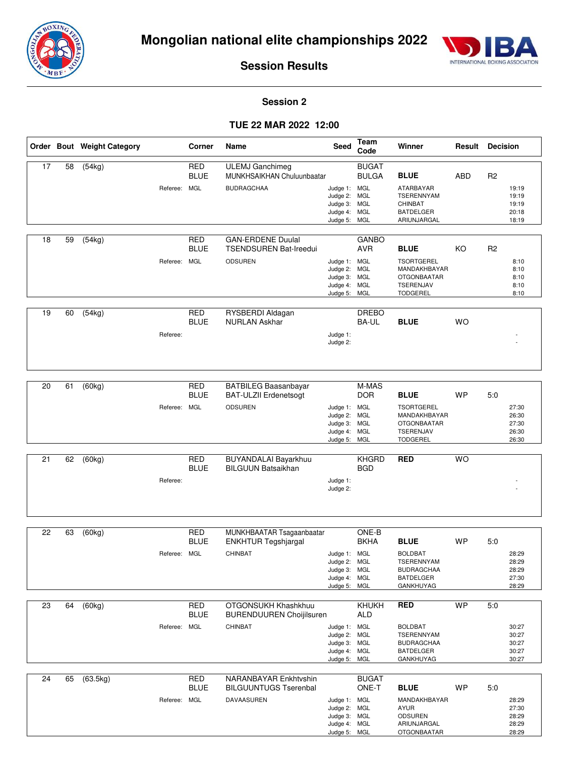



#### **Session 2**

|    |    | Order Bout Weight Category | Corner                                    | Name                                                                          | Seed                                                                         | Team<br>Code                               | Winner                                                                                                         | Result     | <b>Decision</b> |                                           |
|----|----|----------------------------|-------------------------------------------|-------------------------------------------------------------------------------|------------------------------------------------------------------------------|--------------------------------------------|----------------------------------------------------------------------------------------------------------------|------------|-----------------|-------------------------------------------|
| 17 | 58 | (54kg)                     | <b>RED</b><br><b>BLUE</b><br>Referee: MGL | <b>ULEMJ</b> Ganchimeg<br>MUNKHSAIKHAN Chuluunbaatar<br><b>BUDRAGCHAA</b>     | Judge 1: MGL<br>Judge 2:<br>Judge 3: MGL<br>Judge 4: MGL<br>Judge 5: MGL     | <b>BUGAT</b><br><b>BULGA</b><br><b>MGL</b> | <b>BLUE</b><br>ATARBAYAR<br><b>TSERENNYAM</b><br>CHINBAT<br><b>BATDELGER</b><br>ARIUNJARGAL                    | <b>ABD</b> | R <sub>2</sub>  | 19:19<br>19:19<br>19:19<br>20:18<br>18:19 |
| 18 | 59 | (54kg)                     | <b>RED</b><br><b>BLUE</b><br>Referee: MGL | <b>GAN-ERDENE Duulal</b><br><b>TSENDSUREN Bat-Ireedui</b><br><b>ODSUREN</b>   | Judge 1: MGL<br>Judge 2: MGL<br>Judge 3: MGL<br>Judge 4: MGL<br>Judge 5:     | <b>GANBO</b><br><b>AVR</b><br>MGL          | <b>BLUE</b><br><b>TSORTGEREL</b><br>MANDAKHBAYAR<br><b>OTGONBAATAR</b><br>TSERENJAV<br><b>TODGEREL</b>         | KO         | R <sub>2</sub>  | 8:10<br>8:10<br>8:10<br>8:10<br>8:10      |
| 19 | 60 | (54kg)<br>Referee:         | RED<br><b>BLUE</b>                        | RYSBERDI Aldagan<br><b>NURLAN Askhar</b>                                      | Judge 1:<br>Judge 2:                                                         | <b>DREBO</b><br>BA-UL                      | <b>BLUE</b>                                                                                                    | <b>WO</b>  |                 |                                           |
| 20 | 61 | (60kg)                     | <b>RED</b><br><b>BLUE</b><br>Referee: MGL | <b>BATBILEG Baasanbayar</b><br><b>BAT-ULZII Erdenetsogt</b><br><b>ODSUREN</b> | Judge 1: MGL<br>Judge 2:<br>Judge 3: MGL<br>Judge 4: MGL<br>Judge 5: MGL     | M-MAS<br><b>DOR</b><br><b>MGL</b>          | <b>BLUE</b><br><b>TSORTGEREL</b><br>MANDAKHBAYAR<br><b>OTGONBAATAR</b><br>TSERENJAV<br><b>TODGEREL</b>         | <b>WP</b>  | 5:0             | 27:30<br>26:30<br>27:30<br>26:30<br>26:30 |
| 21 | 62 | (60kg)<br>Referee:         | <b>RED</b><br><b>BLUE</b>                 | BUYANDALAI Bayarkhuu<br><b>BILGUUN Batsaikhan</b>                             | Judge 1:<br>Judge 2:                                                         | <b>KHGRD</b><br><b>BGD</b>                 | <b>RED</b>                                                                                                     | <b>WO</b>  |                 |                                           |
| 22 | 63 | (60kg)                     | <b>RED</b><br><b>BLUE</b><br>Referee: MGL | MUNKHBAATAR Tsagaanbaatar<br><b>ENKHTUR Tegshjargal</b><br>CHINBAT            | Judge 1: MGL<br>Judge 2: MGL<br>Judge 3: MGL<br>Judge 4: MGL<br>Judge 5: MGL | ONE-B<br><b>BKHA</b>                       | <b>BLUE</b><br><b>BOLDBAT</b><br>TSERENNYAM<br><b>BUDRAGCHAA</b><br><b>BATDELGER</b><br>GANKHUYAG              | WP         | 5:0             | 28:29<br>28:29<br>28:29<br>27:30<br>28:29 |
| 23 | 64 | (60kg)                     | RED<br><b>BLUE</b><br>Referee: MGL        | OTGONSUKH Khashkhuu<br><b>BURENDUUREN Choijilsuren</b><br>CHINBAT             | Judge 1: MGL<br>Judge 2: MGL<br>Judge 3: MGL<br>Judge 4: MGL<br>Judge 5: MGL | <b>KHUKH</b><br><b>ALD</b>                 | <b>RED</b><br><b>BOLDBAT</b><br><b>TSERENNYAM</b><br><b>BUDRAGCHAA</b><br><b>BATDELGER</b><br><b>GANKHUYAG</b> | <b>WP</b>  | 5:0             | 30:27<br>30:27<br>30:27<br>30:27<br>30:27 |
| 24 | 65 | (63.5kg)                   | <b>RED</b><br><b>BLUE</b><br>Referee: MGL | NARANBAYAR Enkhtvshin<br><b>BILGUUNTUGS Tserenbal</b><br>DAVAASUREN           | Judge 1: MGL<br>Judge 2: MGL<br>Judge 3: MGL<br>Judge 4: MGL<br>Judge 5: MGL | <b>BUGAT</b><br>ONE-T                      | <b>BLUE</b><br>MANDAKHBAYAR<br><b>AYUR</b><br><b>ODSUREN</b><br>ARIUNJARGAL<br><b>OTGONBAATAR</b>              | <b>WP</b>  | 5:0             | 28:29<br>27:30<br>28:29<br>28:29<br>28:29 |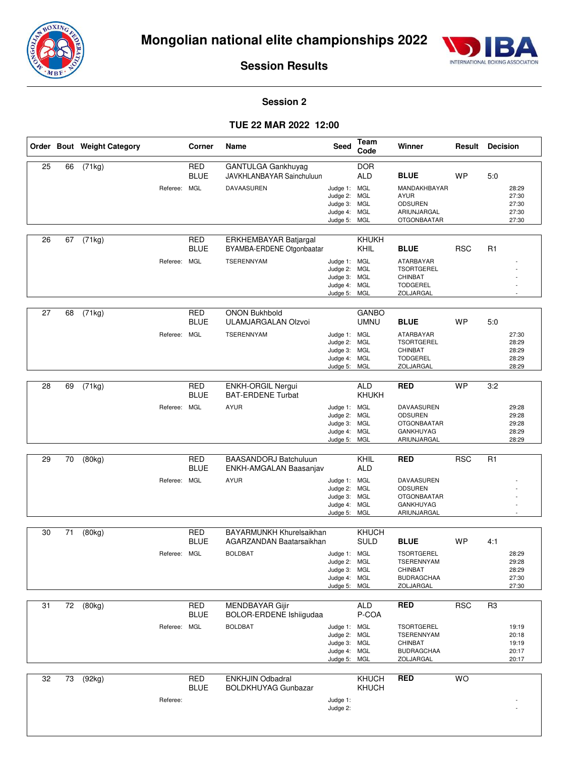



#### **Session 2**

|    |    | Order Bout Weight Category | Corner                                    | Name                                                                    | Seed                                                                         | <b>Team</b><br>Code                    | Winner                                                                                                 |            | <b>Result Decision</b>                                      |
|----|----|----------------------------|-------------------------------------------|-------------------------------------------------------------------------|------------------------------------------------------------------------------|----------------------------------------|--------------------------------------------------------------------------------------------------------|------------|-------------------------------------------------------------|
| 25 | 66 | (71kg)                     | <b>RED</b><br><b>BLUE</b><br>Referee: MGL | GANTULGA Gankhuyag<br>JAVKHLANBAYAR Sainchuluun<br>DAVAASUREN           | Judge 1: MGL<br>Judge 2:<br>Judge 3: MGL<br>Judge 4: MGL<br>Judge 5: MGL     | <b>DOR</b><br><b>ALD</b><br><b>MGL</b> | <b>BLUE</b><br>MANDAKHBAYAR<br><b>AYUR</b><br><b>ODSUREN</b><br>ARIUNJARGAL<br><b>OTGONBAATAR</b>      | <b>WP</b>  | 5:0<br>28:29<br>27:30<br>27:30<br>27:30<br>27:30            |
| 26 | 67 | (71kg)                     | <b>RED</b><br><b>BLUE</b><br>Referee: MGL | ERKHEMBAYAR Batjargal<br>BYAMBA-ERDENE Otgonbaatar<br><b>TSERENNYAM</b> | Judge 1: MGL<br>Judge 2: MGL<br>Judge 3: MGL<br>Judge 4: MGL<br>Judge 5:     | <b>KHUKH</b><br>KHIL<br>MGL            | <b>BLUE</b><br><b>ATARBAYAR</b><br><b>TSORTGEREL</b><br><b>CHINBAT</b><br><b>TODGEREL</b><br>ZOLJARGAL | <b>RSC</b> | R <sub>1</sub>                                              |
| 27 | 68 | (71kg)                     | <b>RED</b><br><b>BLUE</b><br>Referee: MGL | <b>ONON Bukhbold</b><br>ULAMJARGALAN Olzvoi<br><b>TSERENNYAM</b>        | Judge 1: MGL<br>Judge 2: MGL<br>Judge 3: MGL<br>Judge 4: MGL<br>Judge 5: MGL | <b>GANBO</b><br><b>UMNU</b>            | <b>BLUE</b><br>ATARBAYAR<br><b>TSORTGEREL</b><br>CHINBAT<br><b>TODGEREL</b><br>ZOLJARGAL               | <b>WP</b>  | 5:0<br>27:30<br>28:29<br>28:29<br>28:29<br>28:29            |
| 28 | 69 | (71kg)<br>Referee:         | <b>RED</b><br><b>BLUE</b><br>MGL          | <b>ENKH-ORGIL Nergui</b><br><b>BAT-ERDENE Turbat</b><br><b>AYUR</b>     | Judge 1: MGL<br>Judge 2: MGL<br>Judge 3: MGL<br>Judge 4: MGL<br>Judge 5: MGL | <b>ALD</b><br>KHUKH                    | <b>RED</b><br>DAVAASUREN<br><b>ODSUREN</b><br><b>OTGONBAATAR</b><br><b>GANKHUYAG</b><br>ARIUNJARGAL    | <b>WP</b>  | 3:2<br>29:28<br>29:28<br>29:28<br>28:29<br>28:29            |
| 29 | 70 | (80kg)                     | <b>RED</b><br><b>BLUE</b><br>Referee: MGL | <b>BAASANDORJ Batchuluun</b><br>ENKH-AMGALAN Baasanjav<br><b>AYUR</b>   | Judge 1: MGL<br>Judge 2: MGL<br>Judge 3: MGL<br>Judge 4: MGL<br>Judge 5: MGL | KHIL<br><b>ALD</b>                     | <b>RED</b><br>DAVAASUREN<br><b>ODSUREN</b><br><b>OTGONBAATAR</b><br><b>GANKHUYAG</b><br>ARIUNJARGAL    | <b>RSC</b> | $\overline{R1}$                                             |
| 30 | 71 | (80kg)                     | <b>RED</b><br><b>BLUE</b><br>Referee: MGL | BAYARMUNKH Khurelsaikhan<br>AGARZANDAN Baatarsaikhan<br><b>BOLDBAT</b>  | Judge 1: MGL<br>Judge 2: MGL<br>Judge 3: MGL<br>Judge 4: MGL<br>Judge 5: MGL | KHUCH<br><b>SULD</b>                   | <b>BLUE</b><br><b>TSORTGEREL</b><br>TSERENNYAM<br>CHINBAT<br><b>BUDRAGCHAA</b><br>ZOLJARGAL            | <b>WP</b>  | 4:1<br>28:29<br>29:28<br>28:29<br>27:30<br>27:30            |
| 31 |    | $72$ (80kg)                | <b>RED</b><br><b>BLUE</b><br>Referee: MGL | MENDBAYAR Gijir<br>BOLOR-ERDENE Ishiigudaa<br><b>BOLDBAT</b>            | Judge 1: MGL<br>Judge 2: MGL<br>Judge 3: MGL<br>Judge 4: MGL<br>Judge 5: MGL | <b>ALD</b><br>P-COA                    | <b>RED</b><br><b>TSORTGEREL</b><br>TSERENNYAM<br>CHINBAT<br><b>BUDRAGCHAA</b><br>ZOLJARGAL             | <b>RSC</b> | R <sub>3</sub><br>19:19<br>20:18<br>19:19<br>20:17<br>20:17 |
| 32 | 73 | (92kg)<br>Referee:         | <b>RED</b><br><b>BLUE</b>                 | <b>ENKHJIN Odbadral</b><br><b>BOLDKHUYAG Gunbazar</b>                   | Judge 1:<br>Judge 2:                                                         | KHUCH<br>KHUCH                         | <b>RED</b>                                                                                             | WO         |                                                             |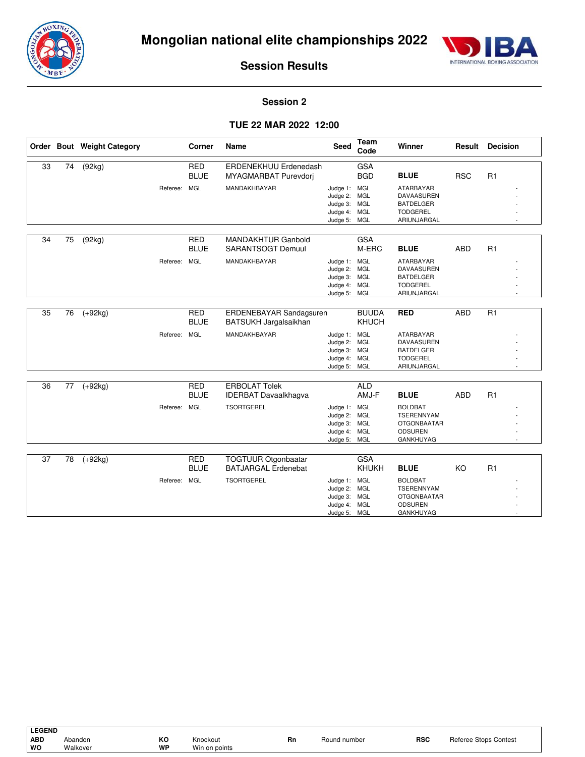



#### **Session 2**

|    |    | Order Bout Weight Category |              | Corner                    | <b>Name</b>                                              | <b>Seed</b>                                                                  | <b>Team</b><br>Code          | Winner                                                                                                         | Result     | <b>Decision</b> |
|----|----|----------------------------|--------------|---------------------------|----------------------------------------------------------|------------------------------------------------------------------------------|------------------------------|----------------------------------------------------------------------------------------------------------------|------------|-----------------|
| 33 | 74 | (92kg)                     |              | <b>RED</b><br><b>BLUE</b> | ERDENEKHUU Erdenedash<br>MYAGMARBAT Purevdorj            |                                                                              | <b>GSA</b><br><b>BGD</b>     | <b>BLUE</b>                                                                                                    | <b>RSC</b> | R1              |
|    |    |                            | Referee:     | <b>MGL</b>                | MANDAKHBAYAR                                             | Judge 1: MGL<br>Judge 2: MGL<br>Judge 3: MGL<br>Judge 4:<br>Judge 5: MGL     | MGL                          | <b>ATARBAYAR</b><br>DAVAASUREN<br><b>BATDELGER</b><br><b>TODGEREL</b><br>ARIUNJARGAL                           |            |                 |
| 34 | 75 | (92kg)                     |              | <b>RED</b><br><b>BLUE</b> | <b>MANDAKHTUR Ganbold</b><br><b>SARANTSOGT Demuul</b>    |                                                                              | <b>GSA</b><br>M-ERC          | <b>BLUE</b>                                                                                                    | <b>ABD</b> | R1              |
|    |    |                            | Referee: MGL |                           | MANDAKHBAYAR                                             | Judge 1: MGL<br>Judge 2: MGL<br>Judge 3: MGL<br>Judge 4: MGL<br>Judge 5: MGL |                              | <b>ATARBAYAR</b><br>DAVAASUREN<br><b>BATDELGER</b><br><b>TODGEREL</b><br>ARIUNJARGAL                           |            |                 |
| 35 | 76 | $(+92kg)$                  |              | <b>RED</b><br><b>BLUE</b> | ERDENEBAYAR Sandagsuren<br>BATSUKH Jargalsaikhan         |                                                                              | <b>BUUDA</b><br><b>KHUCH</b> | <b>RED</b>                                                                                                     | <b>ABD</b> | R1              |
|    |    |                            | Referee: MGL |                           | MANDAKHBAYAR                                             | Judge 1: MGL<br>Judge 2: MGL<br>Judge 3: MGL<br>Judge 4: MGL<br>Judge 5: MGL |                              | <b>ATARBAYAR</b><br>DAVAASUREN<br><b>BATDELGER</b><br><b>TODGEREL</b><br>ARIUNJARGAL                           |            |                 |
| 36 | 77 | $(+92kg)$                  |              | <b>RED</b>                | <b>ERBOLAT Tolek</b>                                     |                                                                              | <b>ALD</b>                   |                                                                                                                |            |                 |
|    |    |                            | Referee: MGL | <b>BLUE</b>               | <b>IDERBAT Davaalkhagva</b><br><b>TSORTGEREL</b>         | Judge 1: MGL<br>Judge 2: MGL<br>Judge 3: MGL<br>Judge 4: MGL<br>Judge 5: MGL | AMJ-F                        | <b>BLUE</b><br><b>BOLDBAT</b><br><b>TSERENNYAM</b><br><b>OTGONBAATAR</b><br><b>ODSUREN</b><br><b>GANKHUYAG</b> | <b>ABD</b> | R1              |
| 37 | 78 | $\overline{(+92kg)}$       |              | <b>RED</b><br><b>BLUE</b> | <b>TOGTUUR Otgonbaatar</b><br><b>BATJARGAL Erdenebat</b> |                                                                              | <b>GSA</b><br><b>KHUKH</b>   | <b>BLUE</b>                                                                                                    | KO         | R1              |
|    |    |                            | Referee: MGL |                           | <b>TSORTGEREL</b>                                        | Judge 1: MGL<br>Judge 2: MGL<br>Judge 3: MGL<br>Judge 4:<br>Judge 5: MGL     | MGL                          | <b>BOLDBAT</b><br><b>TSERENNYAM</b><br><b>OTGONBAATAR</b><br><b>ODSUREN</b><br><b>GANKHUYAG</b>                |            |                 |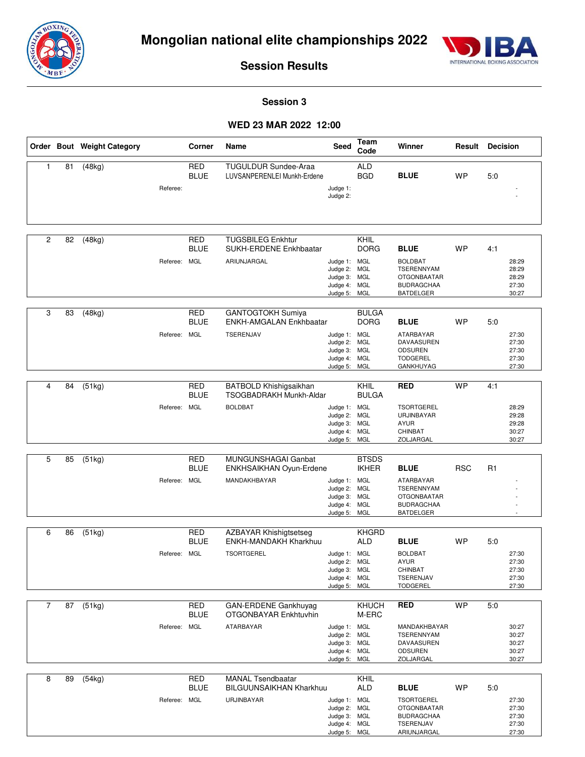



#### **Session 3**

#### **WED 23 MAR 2022 12:00**

|                |    | Order Bout Weight Category |              | Corner                                  | Name                                                                              | Seed                                                                         | <b>Team</b><br>Code          | Winner                                                                                                     | Result     | <b>Decision</b> |                                           |
|----------------|----|----------------------------|--------------|-----------------------------------------|-----------------------------------------------------------------------------------|------------------------------------------------------------------------------|------------------------------|------------------------------------------------------------------------------------------------------------|------------|-----------------|-------------------------------------------|
| $\mathbf{1}$   | 81 | (48kg)                     | Referee:     | <b>RED</b><br><b>BLUE</b>               | <b>TUGULDUR Sundee-Araa</b><br>LUVSANPERENLEI Munkh-Erdene                        | Judge 1:<br>Judge 2:                                                         | <b>ALD</b><br><b>BGD</b>     | <b>BLUE</b>                                                                                                | <b>WP</b>  | 5:0             |                                           |
| $\overline{c}$ | 82 | (48kg)                     | Referee:     | <b>RED</b><br><b>BLUE</b><br>MGL        | <b>TUGSBILEG Enkhtur</b><br>SUKH-ERDENE Enkhbaatar<br>ARIUNJARGAL                 | Judge 1: MGL<br>Judge 2: MGL<br>Judge 3: MGL<br>Judge 4: MGL<br>Judge 5: MGL | KHIL<br><b>DORG</b>          | <b>BLUE</b><br><b>BOLDBAT</b><br>TSERENNYAM<br><b>OTGONBAATAR</b><br><b>BUDRAGCHAA</b><br><b>BATDELGER</b> | <b>WP</b>  | 4:1             | 28:29<br>28:29<br>28:29<br>27:30<br>30:27 |
| 3              | 83 | (48kg)                     | Referee:     | <b>RED</b><br><b>BLUE</b><br>MGL        | <b>GANTOGTOKH Sumiya</b><br><b>ENKH-AMGALAN Enkhbaatar</b><br>TSERENJAV           | Judge 1: MGL<br>Judge 2: MGL<br>Judge 3: MGL<br>Judge 4: MGL<br>Judge 5: MGL | <b>BULGA</b><br><b>DORG</b>  | <b>BLUE</b><br>ATARBAYAR<br>DAVAASUREN<br><b>ODSUREN</b><br><b>TODGEREL</b><br>GANKHUYAG                   | <b>WP</b>  | 5:0             | 27:30<br>27:30<br>27:30<br>27:30<br>27:30 |
| 4              | 84 | (51kg)                     | Referee:     | <b>RED</b><br><b>BLUE</b><br>MGL        | <b>BATBOLD Khishigsaikhan</b><br><b>TSOGBADRAKH Munkh-Aldar</b><br><b>BOLDBAT</b> | Judge 1: MGL<br>Judge 2: MGL<br>Judge 3: MGL<br>Judge 4: MGL<br>Judge 5: MGL | KHIL<br><b>BULGA</b>         | <b>RED</b><br><b>TSORTGEREL</b><br>URJINBAYAR<br><b>AYUR</b><br>CHINBAT<br>ZOLJARGAL                       | <b>WP</b>  | 4:1             | 28:29<br>29:28<br>29:28<br>30:27<br>30:27 |
| 5              | 85 | (51kg)                     | Referee:     | <b>RED</b><br><b>BLUE</b><br><b>MGL</b> | MUNGUNSHAGAI Ganbat<br>ENKHSAIKHAN Oyun-Erdene<br>MANDAKHBAYAR                    | Judge 1: MGL<br>Judge 2: MGL<br>Judge 3: MGL<br>Judge 4: MGL<br>Judge 5: MGL | <b>BTSDS</b><br><b>IKHER</b> | <b>BLUE</b><br>ATARBAYAR<br>TSERENNYAM<br><b>OTGONBAATAR</b><br><b>BUDRAGCHAA</b><br><b>BATDELGER</b>      | <b>RSC</b> | R1              |                                           |
| 6              | 86 | (51kg)                     | Referee: MGL | <b>RED</b><br><b>BLUE</b>               | <b>AZBAYAR Khishigtsetseg</b><br>ENKH-MANDAKH Kharkhuu<br><b>TSORTGEREL</b>       | Judge 1: MGL<br>Judge 2: MGL<br>Judge 3: MGL<br>Judge 4: MGL<br>Judge 5: MGL | <b>KHGRD</b><br><b>ALD</b>   | <b>BLUE</b><br><b>BOLDBAT</b><br><b>AYUR</b><br>CHINBAT<br>TSERENJAV<br><b>TODGEREL</b>                    | WP         | 5:0             | 27:30<br>27:30<br>27:30<br>27:30<br>27:30 |
| $\overline{7}$ | 87 | (51kg)                     | Referee: MGL | <b>RED</b><br><b>BLUE</b>               | GAN-ERDENE Gankhuyag<br>OTGONBAYAR Enkhtuvhin<br><b>ATARBAYAR</b>                 | Judge 1: MGL<br>Judge 2: MGL<br>Judge 3: MGL<br>Judge 4: MGL<br>Judge 5: MGL | <b>KHUCH</b><br>M-ERC        | <b>RED</b><br>MANDAKHBAYAR<br>TSERENNYAM<br>DAVAASUREN<br><b>ODSUREN</b><br>ZOLJARGAL                      | <b>WP</b>  | 5:0             | 30:27<br>30:27<br>30:27<br>30:27<br>30:27 |
| 8              | 89 | (54kg)                     | Referee: MGL | <b>RED</b><br><b>BLUE</b>               | <b>MANAL Tsendbaatar</b><br><b>BILGUUNSAIKHAN Kharkhuu</b><br>URJINBAYAR          | Judge 1: MGL<br>Judge 2: MGL<br>Judge 3: MGL<br>Judge 4: MGL<br>Judge 5: MGL | KHIL<br>ALD                  | <b>BLUE</b><br><b>TSORTGEREL</b><br><b>OTGONBAATAR</b><br><b>BUDRAGCHAA</b><br>TSERENJAV<br>ARIUNJARGAL    | <b>WP</b>  | 5:0             | 27:30<br>27:30<br>27:30<br>27:30<br>27:30 |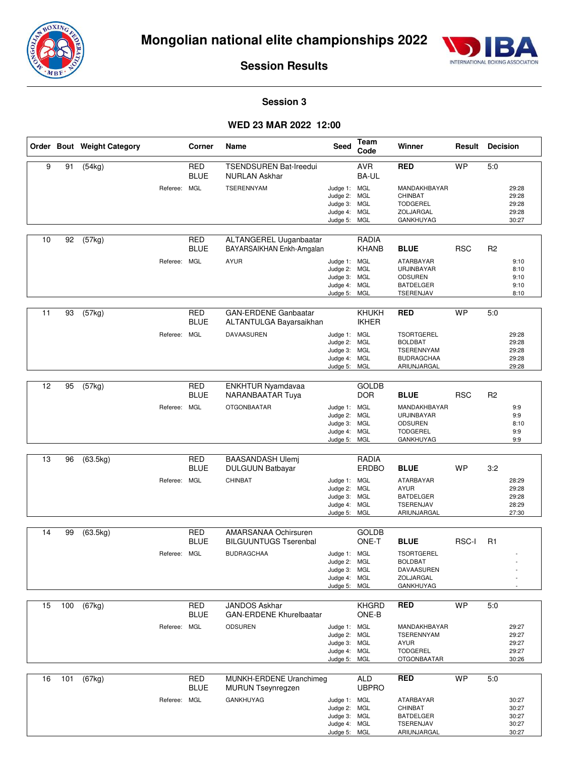



#### **Session 3**

#### **WED 23 MAR 2022 12:00**

|    |     | Order Bout Weight Category |              | Corner                    | Name                                                  | Seed                         | Team<br>Code                 | Winner                                 | Result     | <b>Decision</b> |                |
|----|-----|----------------------------|--------------|---------------------------|-------------------------------------------------------|------------------------------|------------------------------|----------------------------------------|------------|-----------------|----------------|
| 9  | 91  | (54kg)                     |              | <b>RED</b><br><b>BLUE</b> | <b>TSENDSUREN Bat-Ireedui</b><br><b>NURLAN Askhar</b> |                              | <b>AVR</b><br>BA-UL          | <b>RED</b>                             | <b>WP</b>  | 5:0             |                |
|    |     |                            | Referee: MGL |                           | <b>TSERENNYAM</b>                                     | Judge 1: MGL<br>Judge 2: MGL |                              | MANDAKHBAYAR<br>CHINBAT                |            |                 | 29:28<br>29:28 |
|    |     |                            |              |                           |                                                       | Judge 3: MGL                 |                              | <b>TODGEREL</b>                        |            |                 | 29:28          |
|    |     |                            |              |                           |                                                       | Judge 4: MGL<br>Judge 5: MGL |                              | ZOLJARGAL<br>GANKHUYAG                 |            |                 | 29:28<br>30:27 |
|    |     |                            |              |                           |                                                       |                              |                              |                                        |            |                 |                |
| 10 | 92  | (57kg)                     |              | <b>RED</b><br><b>BLUE</b> | ALTANGEREL Uuganbaatar<br>BAYARSAIKHAN Enkh-Amgalan   |                              | RADIA<br><b>KHANB</b>        | <b>BLUE</b>                            | <b>RSC</b> | R <sub>2</sub>  |                |
|    |     |                            | Referee: MGL |                           | <b>AYUR</b>                                           | Judge 1: MGL                 |                              | ATARBAYAR                              |            |                 | 9:10           |
|    |     |                            |              |                           |                                                       | Judge 2: MGL<br>Judge 3: MGL |                              | URJINBAYAR<br><b>ODSUREN</b>           |            |                 | 8:10<br>9:10   |
|    |     |                            |              |                           |                                                       | Judge 4: MGL                 |                              | <b>BATDELGER</b>                       |            |                 | 9:10           |
|    |     |                            |              |                           |                                                       | Judge 5:                     | MGL                          | TSERENJAV                              |            |                 | 8:10           |
| 11 | 93  | (57kg)                     |              | <b>RED</b>                | <b>GAN-ERDENE Ganbaatar</b>                           |                              | <b>KHUKH</b>                 | <b>RED</b>                             | <b>WP</b>  | 5:0             |                |
|    |     |                            |              | BLUE                      | ALTANTULGA Bayarsaikhan                               |                              | <b>IKHER</b>                 |                                        |            |                 |                |
|    |     |                            | Referee: MGL |                           | DAVAASUREN                                            | Judge 1: MGL<br>Judge 2: MGL |                              | <b>TSORTGEREL</b><br><b>BOLDBAT</b>    |            |                 | 29:28<br>29:28 |
|    |     |                            |              |                           |                                                       | Judge 3: MGL<br>Judge 4: MGL |                              | <b>TSERENNYAM</b><br><b>BUDRAGCHAA</b> |            |                 | 29:28<br>29:28 |
|    |     |                            |              |                           |                                                       | Judge 5: MGL                 |                              | ARIUNJARGAL                            |            |                 | 29:28          |
| 12 | 95  | (57kg)                     |              | <b>RED</b>                | <b>ENKHTUR Nyamdavaa</b>                              |                              | <b>GOLDB</b>                 |                                        |            |                 |                |
|    |     |                            |              | <b>BLUE</b>               | NARANBAATAR Tuya                                      |                              | <b>DOR</b>                   | <b>BLUE</b>                            | <b>RSC</b> | R <sub>2</sub>  |                |
|    |     |                            | Referee: MGL |                           | <b>OTGONBAATAR</b>                                    | Judge 1: MGL                 |                              | MANDAKHBAYAR                           |            |                 | 9:9            |
|    |     |                            |              |                           |                                                       | Judge 2: MGL<br>Judge 3: MGL |                              | URJINBAYAR<br><b>ODSUREN</b>           |            |                 | 9:9<br>8:10    |
|    |     |                            |              |                           |                                                       | Judge 4:<br>Judge 5: MGL     | <b>MGL</b>                   | <b>TODGEREL</b><br>GANKHUYAG           |            |                 | 9:9<br>9:9     |
|    |     |                            |              |                           |                                                       |                              |                              |                                        |            |                 |                |
| 13 | 96  | (63.5kg)                   |              | <b>RED</b><br>BLUE        | <b>BAASANDASH Ulemj</b><br><b>DULGUUN Batbayar</b>    |                              | <b>RADIA</b><br><b>ERDBO</b> | <b>BLUE</b>                            | WP         | 3:2             |                |
|    |     |                            | Referee: MGL |                           | CHINBAT                                               | Judge 1: MGL                 |                              | ATARBAYAR                              |            |                 | 28:29          |
|    |     |                            |              |                           |                                                       | Judge 2: MGL<br>Judge 3: MGL |                              | <b>AYUR</b><br><b>BATDELGER</b>        |            |                 | 29:28<br>29:28 |
|    |     |                            |              |                           |                                                       | Judge 4: MGL<br>Judge 5: MGL |                              | TSERENJAV<br>ARIUNJARGAL               |            |                 | 28:29<br>27:30 |
|    |     |                            |              |                           |                                                       |                              |                              |                                        |            |                 |                |
| 14 | 99  | (63.5kg)                   |              | <b>RED</b><br><b>BLUE</b> | AMARSANAA Ochirsuren<br><b>BILGUUNTUGS Tserenbal</b>  |                              | <b>GOLDB</b><br>ONE-T        | <b>BLUE</b>                            | RSC-I      | R <sub>1</sub>  |                |
|    |     |                            | Referee: MGL |                           | <b>BUDRAGCHAA</b>                                     | Judge 1: MGL                 |                              | <b>TSORTGEREL</b>                      |            |                 |                |
|    |     |                            |              |                           |                                                       | Judge 2: MGL<br>Judge 3: MGL |                              | <b>BOLDBAT</b><br>DAVAASUREN           |            |                 |                |
|    |     |                            |              |                           |                                                       | Judge 4: MGL<br>Judge 5: MGL |                              | ZOLJARGAL<br>GANKHUYAG                 |            |                 |                |
|    |     |                            |              |                           |                                                       |                              |                              |                                        |            |                 |                |
| 15 | 100 | (67kg)                     |              | <b>RED</b><br><b>BLUE</b> | JANDOS Askhar<br><b>GAN-ERDENE Khurelbaatar</b>       |                              | <b>KHGRD</b><br>ONE-B        | <b>RED</b>                             | <b>WP</b>  | 5:0             |                |
|    |     |                            | Referee: MGL |                           | <b>ODSUREN</b>                                        | Judge 1: MGL<br>Judge 2: MGL |                              | MANDAKHBAYAR<br><b>TSERENNYAM</b>      |            |                 | 29:27<br>29:27 |
|    |     |                            |              |                           |                                                       | Judge 3: MGL                 |                              | <b>AYUR</b>                            |            |                 | 29:27          |
|    |     |                            |              |                           |                                                       | Judge 4: MGL<br>Judge 5: MGL |                              | <b>TODGEREL</b><br><b>OTGONBAATAR</b>  |            |                 | 29:27<br>30:26 |
|    |     |                            |              |                           |                                                       |                              |                              |                                        |            |                 |                |
| 16 | 101 | (67kg)                     |              | RED<br><b>BLUE</b>        | MUNKH-ERDENE Uranchimeg<br><b>MURUN Tseynregzen</b>   |                              | <b>ALD</b><br><b>UBPRO</b>   | <b>RED</b>                             | <b>WP</b>  | 5:0             |                |
|    |     |                            | Referee: MGL |                           | <b>GANKHUYAG</b>                                      | Judge 1: MGL<br>Judge 2: MGL |                              | ATARBAYAR<br>CHINBAT                   |            |                 | 30:27<br>30:27 |
|    |     |                            |              |                           |                                                       | Judge 3: MGL                 |                              | <b>BATDELGER</b>                       |            |                 | 30:27          |
|    |     |                            |              |                           |                                                       | Judge 4: MGL                 |                              | TSERENJAV                              |            |                 | 30:27          |

Judge 5:

MGL

ARIUNJARGAL

30:27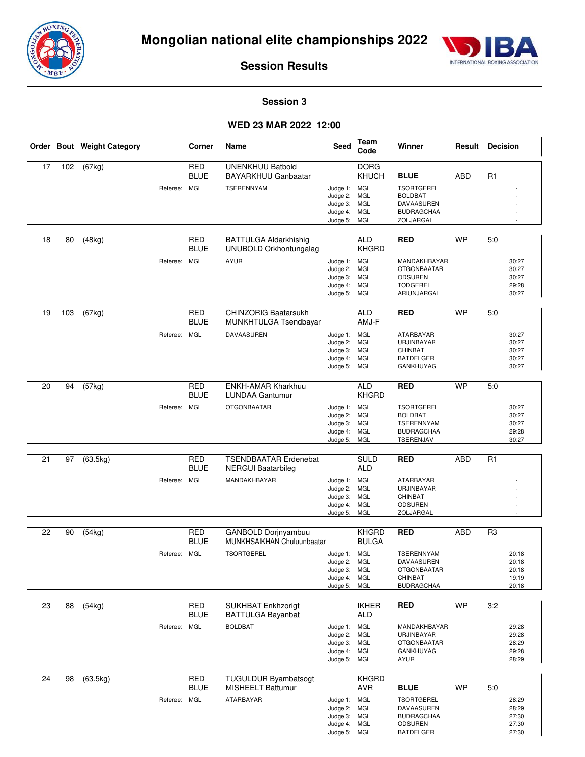



#### **Session 3**

#### **WED 23 MAR 2022 12:00**

|    |     | Order Bout Weight Category | Corner                                    | Name                                                                       | Seed                                                                         | Team<br>Code                        | Winner                                                                                                     |            | <b>Result Decision</b>                           |
|----|-----|----------------------------|-------------------------------------------|----------------------------------------------------------------------------|------------------------------------------------------------------------------|-------------------------------------|------------------------------------------------------------------------------------------------------------|------------|--------------------------------------------------|
| 17 | 102 | (67kg)                     | <b>RED</b><br><b>BLUE</b><br>Referee: MGL | <b>UNENKHUU Batbold</b><br><b>BAYARKHUU Ganbaatar</b><br><b>TSERENNYAM</b> | Judge 1: MGL<br>Judge 2: MGL<br>Judge 3: MGL<br>Judge 4: MGL<br>Judge 5: MGL | <b>DORG</b><br>KHUCH                | <b>BLUE</b><br><b>TSORTGEREL</b><br><b>BOLDBAT</b><br><b>DAVAASUREN</b><br><b>BUDRAGCHAA</b><br>ZOLJARGAL  | ABD        | R <sub>1</sub>                                   |
| 18 | 80  | (48kg)                     | <b>RED</b><br><b>BLUE</b><br>Referee: MGL | <b>BATTULGA Aldarkhishig</b><br>UNUBOLD Orkhontungalag<br><b>AYUR</b>      | Judge 1: MGL<br>Judge 2: MGL<br>Judge 3: MGL<br>Judge 4: MGL<br>Judge 5:     | <b>ALD</b><br><b>KHGRD</b><br>MGL   | <b>RED</b><br>MANDAKHBAYAR<br><b>OTGONBAATAR</b><br><b>ODSUREN</b><br><b>TODGEREL</b><br>ARIUNJARGAL       | <b>WP</b>  | 5:0<br>30:27<br>30:27<br>30:27<br>29:28<br>30:27 |
| 19 | 103 | (67kg)                     | RED<br><b>BLUE</b><br>Referee: MGL        | <b>CHINZORIG Baatarsukh</b><br>MUNKHTULGA Tsendbayar<br>DAVAASUREN         | Judge 1: MGL<br>Judge 2: MGL<br>Judge 3: MGL<br>Judge 4: MGL<br>Judge 5: MGL | <b>ALD</b><br>AMJ-F                 | <b>RED</b><br>ATARBAYAR<br>URJINBAYAR<br><b>CHINBAT</b><br><b>BATDELGER</b><br><b>GANKHUYAG</b>            | <b>WP</b>  | 5:0<br>30:27<br>30:27<br>30:27<br>30:27<br>30:27 |
| 20 | 94  | (57kg)                     | <b>RED</b><br><b>BLUE</b><br>Referee: MGL | <b>ENKH-AMAR Kharkhuu</b><br><b>LUNDAA Gantumur</b><br><b>OTGONBAATAR</b>  | Judge 1: MGL<br>Judge 2: MGL<br>Judge 3: MGL<br>Judge 4:<br>Judge 5: MGL     | <b>ALD</b><br><b>KHGRD</b><br>MGL   | <b>RED</b><br><b>TSORTGEREL</b><br><b>BOLDBAT</b><br><b>TSERENNYAM</b><br><b>BUDRAGCHAA</b><br>TSERENJAV   | <b>WP</b>  | 5:0<br>30:27<br>30:27<br>30:27<br>29:28<br>30:27 |
| 21 | 97  | (63.5kg)                   | <b>RED</b><br><b>BLUE</b><br>Referee: MGL | <b>TSENDBAATAR Erdenebat</b><br>NERGUI Baatarbileg<br>MANDAKHBAYAR         | Judge 1: MGL<br>Judge 2: MGL<br>Judge 3: MGL<br>Judge 4: MGL<br>Judge 5: MGL | <b>SULD</b><br>ALD                  | <b>RED</b><br>ATARBAYAR<br>URJINBAYAR<br>CHINBAT<br><b>ODSUREN</b><br>ZOLJARGAL                            | <b>ABD</b> | R1                                               |
| 22 | 90  | (54kg)                     | <b>RED</b><br><b>BLUE</b><br>Referee: MGL | GANBOLD Dorjnyambuu<br>MUNKHSAIKHAN Chuluunbaatar<br><b>TSORTGEREL</b>     | Judge 1: MGL<br>Judge 2: MGL<br>Judge 3: MGL<br>Judge 4: MGL<br>Judge 5:     | <b>KHGRD</b><br><b>BULGA</b><br>MGL | <b>RED</b><br><b>TSERENNYAM</b><br><b>DAVAASUREN</b><br><b>OTGONBAATAR</b><br>CHINBAT<br><b>BUDRAGCHAA</b> | <b>ABD</b> | R3<br>20:18<br>20:18<br>20:18<br>19:19<br>20:18  |
| 23 | 88  | (54kg)                     | <b>RED</b><br><b>BLUE</b><br>Referee: MGL | SUKHBAT Enkhzorigt<br><b>BATTULGA Bayanbat</b><br><b>BOLDBAT</b>           | Judge 1: MGL<br>Judge 2: MGL<br>Judge 3: MGL<br>Judge 4: MGL<br>Judge 5: MGL | <b>IKHER</b><br><b>ALD</b>          | <b>RED</b><br>MANDAKHBAYAR<br>URJINBAYAR<br><b>OTGONBAATAR</b><br>GANKHUYAG<br><b>AYUR</b>                 | <b>WP</b>  | 3:2<br>29:28<br>29:28<br>28:29<br>29:28<br>28:29 |
| 24 | 98  | (63.5kg)                   | <b>RED</b><br><b>BLUE</b><br>Referee: MGL | <b>TUGULDUR Byambatsogt</b><br><b>MISHEELT Battumur</b><br>ATARBAYAR       | Judge 1: MGL<br>Judge 2: MGL<br>Judge 3: MGL<br>Judge 4: MGL<br>Judge 5: MGL | <b>KHGRD</b><br><b>AVR</b>          | <b>BLUE</b><br><b>TSORTGEREL</b><br>DAVAASUREN<br><b>BUDRAGCHAA</b><br>ODSUREN<br><b>BATDELGER</b>         | <b>WP</b>  | 5:0<br>28:29<br>28:29<br>27:30<br>27:30<br>27:30 |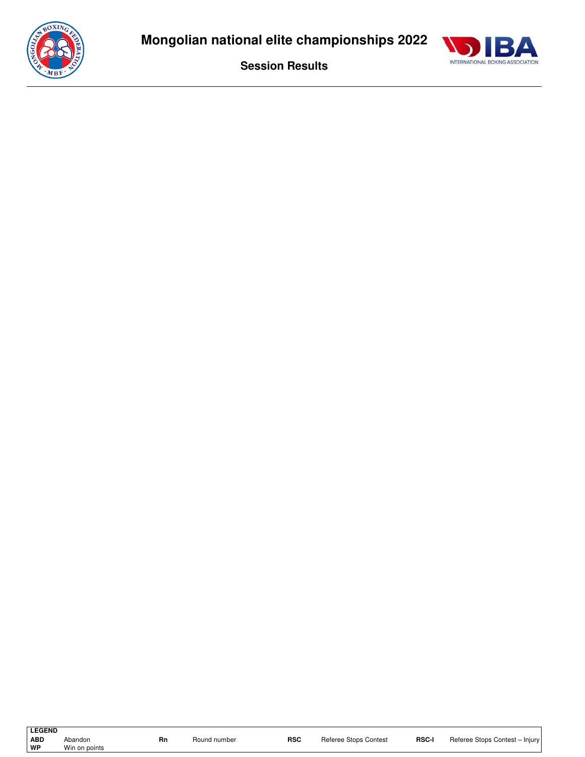

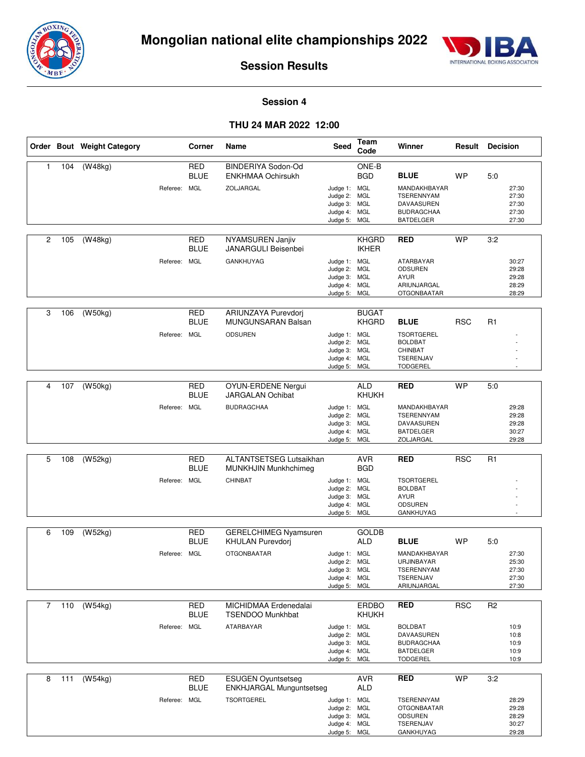



#### **Session 4**

#### **THU 24 MAR 2022 12:00**

|              |     | Order Bout Weight Category |              | Corner                                  | Name                                                                          | Seed                                                                                         | Team<br>Code                 | Winner                                                                                                              | <b>Result Decision</b> |                |                                           |
|--------------|-----|----------------------------|--------------|-----------------------------------------|-------------------------------------------------------------------------------|----------------------------------------------------------------------------------------------|------------------------------|---------------------------------------------------------------------------------------------------------------------|------------------------|----------------|-------------------------------------------|
| $\mathbf{1}$ | 104 | (W48kg)                    | Referee:     | <b>RED</b><br><b>BLUE</b><br><b>MGL</b> | BINDERIYA Sodon-Od<br><b>ENKHMAA Ochirsukh</b><br>ZOLJARGAL                   | Judge 1: MGL<br>Judge 2: MGL<br>Judge 3: MGL<br>Judge 4: MGL<br>Judge 5: MGL                 | ONE-B<br><b>BGD</b>          | <b>BLUE</b><br>MANDAKHBAYAR<br><b>TSERENNYAM</b><br>DAVAASUREN<br><b>BUDRAGCHAA</b><br><b>BATDELGER</b>             | <b>WP</b>              | 5:0            | 27:30<br>27:30<br>27:30<br>27:30<br>27:30 |
| 2            | 105 | (W48kg)                    | Referee: MGL | RED<br><b>BLUE</b>                      | NYAMSUREN Janjiv<br><b>JANARGULI Beisenbei</b><br><b>GANKHUYAG</b>            | Judge 1: MGL<br>Judge 2: MGL<br>Judge 3: MGL<br>Judge 4: MGL                                 | <b>KHGRD</b><br><b>IKHER</b> | <b>RED</b><br><b>ATARBAYAR</b><br><b>ODSUREN</b><br><b>AYUR</b><br>ARIUNJARGAL                                      | <b>WP</b>              | 3:2            | 30:27<br>29:28<br>29:28<br>28:29          |
| 3            | 106 | (W50kg)                    | Referee:     | RED<br><b>BLUE</b><br><b>MGL</b>        | ARIUNZAYA Purevdori<br>MUNGUNSARAN Balsan<br><b>ODSUREN</b>                   | Judge 5: MGL<br>Judge 1: MGL<br>Judge 2: MGL<br>Judge 3: MGL<br>Judge 4: MGL<br>Judge 5: MGL | <b>BUGAT</b><br><b>KHGRD</b> | <b>OTGONBAATAR</b><br><b>BLUE</b><br><b>TSORTGEREL</b><br><b>BOLDBAT</b><br>CHINBAT<br>TSERENJAV<br><b>TODGEREL</b> | <b>RSC</b>             | R <sub>1</sub> | 28:29                                     |
| 4            | 107 | (W50kg)                    | Referee:     | <b>RED</b><br><b>BLUE</b><br><b>MGL</b> | <b>OYUN-ERDENE Nergui</b><br><b>JARGALAN Ochibat</b><br><b>BUDRAGCHAA</b>     | Judge 1: MGL<br>Judge 2: MGL<br>Judge 3: MGL<br>Judge 4: MGL<br>Judge 5: MGL                 | <b>ALD</b><br>KHUKH          | <b>RED</b><br>MANDAKHBAYAR<br>TSERENNYAM<br>DAVAASUREN<br><b>BATDELGER</b><br>ZOLJARGAL                             | <b>WP</b>              | 5:0            | 29:28<br>29:28<br>29:28<br>30:27<br>29:28 |
| 5            | 108 | $\overline{(W52kg)}$       | Referee:     | <b>RED</b><br><b>BLUE</b><br><b>MGL</b> | ALTANTSETSEG Lutsaikhan<br>MUNKHJIN Munkhchimeg<br>CHINBAT                    | Judge 1: MGL<br>Judge 2: MGL<br>Judge 3: MGL<br>Judge 4: MGL<br>Judge 5: MGL                 | <b>AVR</b><br><b>BGD</b>     | <b>RED</b><br><b>TSORTGEREL</b><br><b>BOLDBAT</b><br><b>AYUR</b><br>ODSUREN<br>GANKHUYAG                            | <b>RSC</b>             | R <sub>1</sub> |                                           |
| 6            | 109 | (W52kg)                    | Referee: MGL | <b>RED</b><br><b>BLUE</b>               | <b>GERELCHIMEG Nyamsuren</b><br><b>KHULAN Purevdori</b><br><b>OTGONBAATAR</b> | Judge 1: MGL<br>Judge 2: MGL<br>Judge 3: MGL<br>Judge 4: MGL<br>Judge 5: MGL                 | <b>GOLDB</b><br><b>ALD</b>   | <b>BLUE</b><br>MANDAKHBAYAR<br>URJINBAYAR<br><b>TSERENNYAM</b><br>TSERENJAV<br>ARIUNJARGAL                          | <b>WP</b>              | 5:0            | 27:30<br>25:30<br>27:30<br>27:30<br>27:30 |
| 7            | 110 | (W54kg)                    | Referee: MGL | <b>RED</b><br><b>BLUE</b>               | MICHIDMAA Erdenedalai<br><b>TSENDOO Munkhbat</b><br>ATARBAYAR                 | Judge 1: MGL<br>Judge 2: MGL<br>Judge 3: MGL<br>Judge 4: MGL<br>Judge 5: MGL                 | <b>ERDBO</b><br><b>KHUKH</b> | <b>RED</b><br><b>BOLDBAT</b><br>DAVAASUREN<br><b>BUDRAGCHAA</b><br><b>BATDELGER</b><br><b>TODGEREL</b>              | <b>RSC</b>             | R <sub>2</sub> | 10:9<br>10:8<br>10:9<br>10:9<br>10:9      |
| 8            | 111 | (W54kg)                    | Referee: MGL | <b>RED</b><br><b>BLUE</b>               | <b>ESUGEN Oyuntsetseg</b><br>ENKHJARGAL Munguntsetseg<br><b>TSORTGEREL</b>    | Judge 1: MGL<br>Judge 2: MGL<br>Judge 3: MGL<br>Judge 4: MGL                                 | <b>AVR</b><br><b>ALD</b>     | <b>RED</b><br>TSERENNYAM<br><b>OTGONBAATAR</b><br>ODSUREN<br>TSERENJAV                                              | <b>WP</b>              | 3:2            | 28:29<br>29:28<br>28:29<br>30:27          |

Judge 5:

MGL

GANKHUYAG

29:28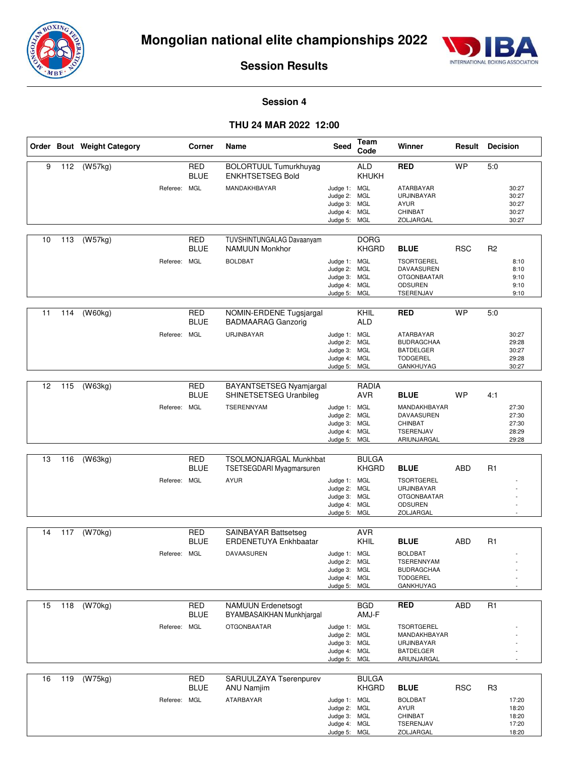



#### **Session 4**

#### **THU 24 MAR 2022 12:00**

|    |     | Order Bout Weight Category | Corner                      | Name                                                    | Seed                                                                         | Team<br>Code                | Winner                                                                                   | Result     | <b>Decision</b>                                             |
|----|-----|----------------------------|-----------------------------|---------------------------------------------------------|------------------------------------------------------------------------------|-----------------------------|------------------------------------------------------------------------------------------|------------|-------------------------------------------------------------|
| 9  | 112 | (W57kg)                    | <b>RED</b><br><b>BLUE</b>   | <b>BOLORTUUL Tumurkhuyag</b><br><b>ENKHTSETSEG Bold</b> |                                                                              | <b>ALD</b><br>KHUKH         | <b>RED</b>                                                                               | <b>WP</b>  | 5:0                                                         |
|    |     | Referee:                   | MGL                         | MANDAKHBAYAR                                            | Judge 1: MGL<br>Judge 2: MGL<br>Judge 3: MGL<br>Judge 4: MGL                 |                             | ATARBAYAR<br>URJINBAYAR<br><b>AYUR</b><br>CHINBAT                                        |            | 30:27<br>30:27<br>30:27<br>30:27                            |
|    |     |                            |                             |                                                         | Judge 5: MGL                                                                 |                             | ZOLJARGAL                                                                                |            | 30:27                                                       |
| 10 | 113 | (W57kg)                    | <b>RED</b><br><b>BLUE</b>   | TUVSHINTUNGALAG Davaanyam<br><b>NAMUUN Monkhor</b>      |                                                                              | <b>DORG</b><br><b>KHGRD</b> | <b>BLUE</b>                                                                              | <b>RSC</b> | R <sub>2</sub>                                              |
|    |     | Referee:                   | <b>MGL</b>                  | <b>BOLDBAT</b>                                          | Judge 1: MGL<br>Judge 2: MGL<br>Judge 3: MGL<br>Judge 4: MGL<br>Judge 5: MGL |                             | <b>TSORTGEREL</b><br>DAVAASUREN<br><b>OTGONBAATAR</b><br><b>ODSUREN</b><br>TSERENJAV     |            | 8:10<br>8:10<br>9:10<br>9:10<br>9:10                        |
| 11 | 114 | (W60kg)                    | RED<br><b>BLUE</b>          | NOMIN-ERDENE Tugsjargal<br><b>BADMAARAG Ganzorig</b>    |                                                                              | KHIL<br><b>ALD</b>          | <b>RED</b>                                                                               | <b>WP</b>  | 5:0                                                         |
|    |     | Referee:                   | MGL                         | URJINBAYAR                                              | Judge 1: MGL<br>Judge 2: MGL<br>Judge 3: MGL<br>Judge 4: MGL<br>Judge 5: MGL |                             | ATARBAYAR<br><b>BUDRAGCHAA</b><br><b>BATDELGER</b><br><b>TODGEREL</b><br>GANKHUYAG       |            | 30:27<br>29:28<br>30:27<br>29:28<br>30:27                   |
| 12 | 115 | (W63kg)                    | RED<br><b>BLUE</b>          | BAYANTSETSEG Nyamjargal<br>SHINETSETSEG Uranbileg       |                                                                              | RADIA<br><b>AVR</b>         | <b>BLUE</b>                                                                              | <b>WP</b>  | 4:1                                                         |
|    |     | Referee:                   | MGL                         | <b>TSERENNYAM</b>                                       | Judge 1: MGL<br>Judge 2: MGL<br>Judge 3: MGL<br>Judge 4: MGL<br>Judge 5: MGL |                             | MANDAKHBAYAR<br>DAVAASUREN<br><b>CHINBAT</b><br>TSERENJAV<br>ARIUNJARGAL                 |            | 27:30<br>27:30<br>27:30<br>28:29<br>29:28                   |
| 13 | 116 | (W63kg)                    | <b>RED</b>                  | TSOLMONJARGAL Munkhbat                                  |                                                                              | <b>BULGA</b>                |                                                                                          |            |                                                             |
|    |     |                            | <b>BLUE</b>                 | <b>TSETSEGDARI Myagmarsuren</b>                         |                                                                              | <b>KHGRD</b>                | <b>BLUE</b>                                                                              | <b>ABD</b> | R <sub>1</sub>                                              |
|    |     | Referee:                   | MGL                         | <b>AYUR</b>                                             | Judge 1: MGL<br>Judge 2: MGL<br>Judge 3: MGL<br>Judge 4: MGL<br>Judge 5: MGL |                             | <b>TSORTGEREL</b><br>URJINBAYAR<br><b>OTGONBAATAR</b><br><b>ODSUREN</b><br>ZOLJARGAL     |            |                                                             |
| 14 | 117 | (W70kg)                    | <b>RED</b>                  | <b>SAINBAYAR Battsetseg</b>                             |                                                                              | <b>AVR</b>                  |                                                                                          |            |                                                             |
|    |     |                            | <b>BLUE</b>                 | ERDENETUYA Enkhbaatar                                   |                                                                              | KHIL                        | <b>BLUE</b>                                                                              | ABD        | R <sub>1</sub>                                              |
|    |     |                            | Referee: MGL                | DAVAASUREN                                              | Judge 1: MGL<br>Judge 2: MGL<br>Judge 3: MGL<br>Judge 4: MGL<br>Judge 5: MGL |                             | <b>BOLDBAT</b><br>TSERENNYAM<br><b>BUDRAGCHAA</b><br><b>TODGEREL</b><br><b>GANKHUYAG</b> |            |                                                             |
| 15 |     | 118 (W70kg)                | RED                         | <b>NAMUUN Erdenetsogt</b>                               |                                                                              | <b>BGD</b>                  | <b>RED</b>                                                                               | ABD        | R <sub>1</sub>                                              |
|    |     |                            | <b>BLUE</b>                 | BYAMBASAIKHAN Munkhjargal                               |                                                                              | AMJ-F                       |                                                                                          |            |                                                             |
|    |     |                            | Referee: MGL                | <b>OTGONBAATAR</b>                                      | Judge 1: MGL<br>Judge 2: MGL<br>Judge 3: MGL<br>Judge 4: MGL<br>Judge 5: MGL |                             | <b>TSORTGEREL</b><br>MANDAKHBAYAR<br>URJINBAYAR<br><b>BATDELGER</b><br>ARIUNJARGAL       |            |                                                             |
| 16 | 119 | (W75kg)                    | RED                         | SARUULZAYA Tserenpurev                                  |                                                                              | <b>BULGA</b>                |                                                                                          |            |                                                             |
|    |     |                            | <b>BLUE</b><br>Referee: MGL | ANU Namjim<br>ATARBAYAR                                 | Judge 1: MGL<br>Judge 2: MGL<br>Judge 3: MGL<br>Judge 4: MGL<br>Judge 5: MGL | <b>KHGRD</b>                | <b>BLUE</b><br><b>BOLDBAT</b><br>AYUR<br>CHINBAT<br>TSERENJAV<br>ZOLJARGAL               | <b>RSC</b> | R <sub>3</sub><br>17:20<br>18:20<br>18:20<br>17:20<br>18:20 |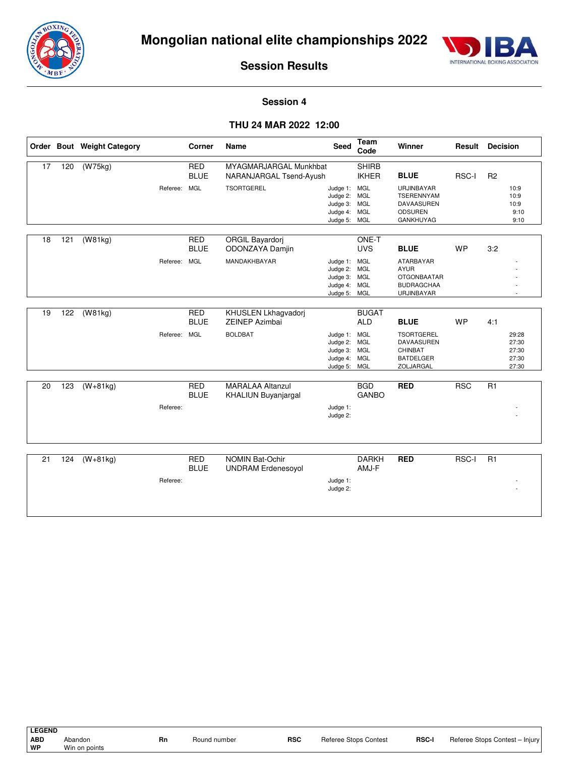



#### **Session 4**

#### **THU 24 MAR 2022 12:00**

|    |     | Order Bout Weight Category |              | Corner                    | <b>Name</b>                                           | <b>Seed</b>                                                                  | Team<br>Code                 | Winner                                                                                   | Result       | <b>Decision</b> |                                           |
|----|-----|----------------------------|--------------|---------------------------|-------------------------------------------------------|------------------------------------------------------------------------------|------------------------------|------------------------------------------------------------------------------------------|--------------|-----------------|-------------------------------------------|
| 17 | 120 | (W75kg)                    |              | <b>RED</b><br><b>BLUE</b> | MYAGMARJARGAL Munkhbat<br>NARANJARGAL Tsend-Ayush     |                                                                              | <b>SHIRB</b><br><b>IKHER</b> | <b>BLUE</b>                                                                              | RSC-I        | R <sub>2</sub>  |                                           |
|    |     |                            | Referee:     | <b>MGL</b>                | <b>TSORTGEREL</b>                                     | Judge 1: MGL<br>Judge 2: MGL<br>Judge 3: MGL<br>Judge 4: MGL<br>Judge 5: MGL |                              | <b>URJINBAYAR</b><br><b>TSERENNYAM</b><br>DAVAASUREN<br><b>ODSUREN</b><br>GANKHUYAG      |              |                 | 10:9<br>10:9<br>10:9<br>9:10<br>9:10      |
| 18 | 121 | (W81kg)                    |              | <b>RED</b><br><b>BLUE</b> | <b>ORGIL Bayardorj</b><br>ODONZAYA Damjin             |                                                                              | ONE-T<br><b>UVS</b>          | <b>BLUE</b>                                                                              | <b>WP</b>    | 3:2             |                                           |
|    |     |                            | Referee: MGL |                           | MANDAKHBAYAR                                          | Judge 1: MGL<br>Judge 2: MGL<br>Judge 3: MGL<br>Judge 4: MGL<br>Judge 5: MGL |                              | <b>ATARBAYAR</b><br><b>AYUR</b><br><b>OTGONBAATAR</b><br><b>BUDRAGCHAA</b><br>URJINBAYAR |              |                 |                                           |
| 19 | 122 | (W81kg)                    |              | <b>RED</b><br><b>BLUE</b> | KHUSLEN Lkhagvadorj<br><b>ZEINEP Azimbai</b>          |                                                                              | <b>BUGAT</b><br><b>ALD</b>   | <b>BLUE</b>                                                                              | <b>WP</b>    | 4:1             |                                           |
|    |     |                            | Referee: MGL |                           | <b>BOLDBAT</b>                                        | Judge 1: MGL<br>Judge 2: MGL<br>Judge 3: MGL<br>Judge 4: MGL<br>Judge 5: MGL |                              | <b>TSORTGEREL</b><br><b>DAVAASUREN</b><br>CHINBAT<br><b>BATDELGER</b><br>ZOLJARGAL       |              |                 | 29:28<br>27:30<br>27:30<br>27:30<br>27:30 |
| 20 | 123 | $(W+81kg)$                 | Referee:     | <b>RED</b><br><b>BLUE</b> | <b>MARALAA Altanzul</b><br><b>KHALIUN Buyanjargal</b> | Judge 1:<br>Judge 2:                                                         | <b>BGD</b><br><b>GANBO</b>   | <b>RED</b>                                                                               | <b>RSC</b>   | R1              |                                           |
|    |     |                            |              |                           |                                                       |                                                                              |                              |                                                                                          |              |                 |                                           |
| 21 | 124 | $(W+81kg)$                 | Referee:     | <b>RED</b><br><b>BLUE</b> | <b>NOMIN Bat-Ochir</b><br><b>UNDRAM Erdenesoyol</b>   | Judge 1:<br>Judge 2:                                                         | <b>DARKH</b><br>AMJ-F        | <b>RED</b>                                                                               | <b>RSC-I</b> | R1              |                                           |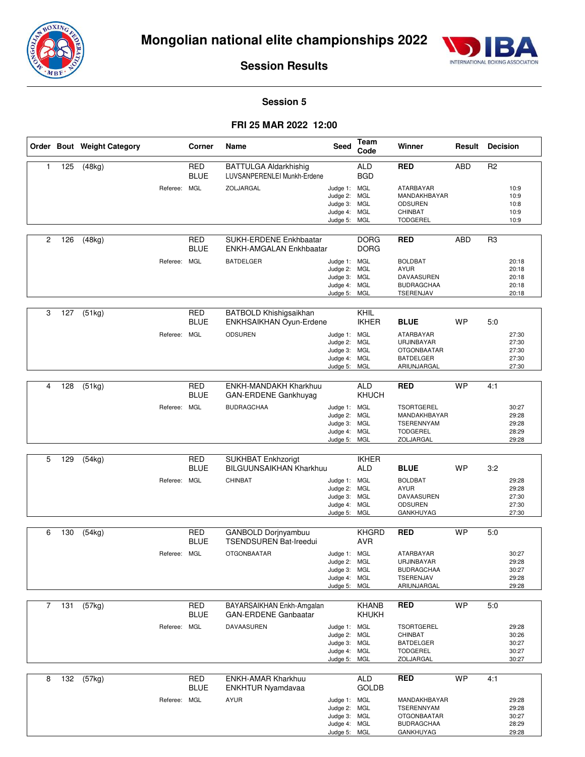



#### **Session 5**

#### **FRI 25 MAR 2022 12:00**

|   |     | Order Bout Weight Category |              | Corner                    | Name                                                        | Seed                         | <b>Team</b><br>Code        | Winner                                  | Result     | <b>Decision</b> |                |
|---|-----|----------------------------|--------------|---------------------------|-------------------------------------------------------------|------------------------------|----------------------------|-----------------------------------------|------------|-----------------|----------------|
| 1 | 125 | (48kg)                     |              | <b>RED</b><br><b>BLUE</b> | <b>BATTULGA Aldarkhishig</b><br>LUVSANPERENLEI Munkh-Erdene |                              | <b>ALD</b><br><b>BGD</b>   | <b>RED</b>                              | <b>ABD</b> | R <sub>2</sub>  |                |
|   |     |                            | Referee: MGL |                           | ZOLJARGAL                                                   | Judge 1: MGL                 |                            | <b>ATARBAYAR</b><br>MANDAKHBAYAR        |            |                 | 10:9           |
|   |     |                            |              |                           |                                                             | Judge 2: MGL<br>Judge 3: MGL |                            | <b>ODSUREN</b>                          |            |                 | 10:9<br>10:8   |
|   |     |                            |              |                           |                                                             | Judge 4: MGL                 |                            | <b>CHINBAT</b>                          |            |                 | 10:9           |
|   |     |                            |              |                           |                                                             | Judge 5: MGL                 |                            | <b>TODGEREL</b>                         |            |                 | 10:9           |
| 2 | 126 | (48kg)                     |              | <b>RED</b>                | SUKH-ERDENE Enkhbaatar                                      |                              | <b>DORG</b>                | <b>RED</b>                              | <b>ABD</b> | R <sub>3</sub>  |                |
|   |     |                            |              | <b>BLUE</b>               | ENKH-AMGALAN Enkhbaatar                                     |                              | <b>DORG</b>                |                                         |            |                 |                |
|   |     |                            | Referee: MGL |                           | <b>BATDELGER</b>                                            | Judge 1: MGL                 |                            | <b>BOLDBAT</b>                          |            |                 | 20:18          |
|   |     |                            |              |                           |                                                             | Judge 2: MGL<br>Judge 3: MGL |                            | <b>AYUR</b><br>DAVAASUREN               |            |                 | 20:18<br>20:18 |
|   |     |                            |              |                           |                                                             | Judge 4: MGL                 |                            | <b>BUDRAGCHAA</b>                       |            |                 | 20:18          |
|   |     |                            |              |                           |                                                             | Judge 5:                     | MGL                        | TSERENJAV                               |            |                 | 20:18          |
| 3 | 127 | (51kg)                     |              | <b>RED</b>                | BATBOLD Khishigsaikhan                                      |                              | <b>KHIL</b>                |                                         |            |                 |                |
|   |     |                            |              | <b>BLUE</b>               | ENKHSAIKHAN Oyun-Erdene                                     |                              | <b>IKHER</b>               | <b>BLUE</b>                             | <b>WP</b>  | 5:0             |                |
|   |     |                            | Referee: MGL |                           | <b>ODSUREN</b>                                              | Judge 1: MGL                 |                            | ATARBAYAR                               |            |                 | 27:30          |
|   |     |                            |              |                           |                                                             | Judge 2: MGL<br>Judge 3: MGL |                            | URJINBAYAR<br><b>OTGONBAATAR</b>        |            |                 | 27:30<br>27:30 |
|   |     |                            |              |                           |                                                             | Judge 4: MGL                 |                            | <b>BATDELGER</b>                        |            |                 | 27:30          |
|   |     |                            |              |                           |                                                             | Judge 5: MGL                 |                            | ARIUNJARGAL                             |            |                 | 27:30          |
| 4 | 128 | (51kg)                     |              | <b>RED</b><br><b>BLUE</b> | ENKH-MANDAKH Kharkhuu<br>GAN-ERDENE Gankhuyag               |                              | <b>ALD</b><br><b>KHUCH</b> | <b>RED</b>                              | <b>WP</b>  | 4:1             |                |
|   |     |                            | Referee:     | <b>MGL</b>                | <b>BUDRAGCHAA</b>                                           | Judge 1: MGL                 |                            | <b>TSORTGEREL</b>                       |            |                 | 30:27          |
|   |     |                            |              |                           |                                                             | Judge 2: MGL<br>Judge 3: MGL |                            | MANDAKHBAYAR<br>TSERENNYAM              |            |                 | 29:28<br>29:28 |
|   |     |                            |              |                           |                                                             | Judge 4: MGL                 |                            | <b>TODGEREL</b>                         |            |                 | 28:29          |
|   |     |                            |              |                           |                                                             | Judge 5: MGL                 |                            | ZOLJARGAL                               |            |                 | 29:28          |
| 5 | 129 | (54kg)                     |              | <b>RED</b><br><b>BLUE</b> | <b>SUKHBAT Enkhzorigt</b><br><b>BILGUUNSAIKHAN Kharkhuu</b> |                              | <b>IKHER</b><br><b>ALD</b> | <b>BLUE</b>                             | <b>WP</b>  | 3:2             |                |
|   |     |                            | Referee: MGL |                           | CHINBAT                                                     | Judge 1: MGL                 |                            | <b>BOLDBAT</b>                          |            |                 | 29:28          |
|   |     |                            |              |                           |                                                             | Judge 2: MGL                 |                            | <b>AYUR</b>                             |            |                 | 29:28          |
|   |     |                            |              |                           |                                                             | Judge 3: MGL<br>Judge 4: MGL |                            | DAVAASUREN<br><b>ODSUREN</b>            |            |                 | 27:30<br>27:30 |
|   |     |                            |              |                           |                                                             | Judge 5: MGL                 |                            | <b>GANKHUYAG</b>                        |            |                 | 27:30          |
| 6 | 130 | (54kg)                     |              | <b>RED</b>                | GANBOLD Dorjnyambuu                                         |                              | <b>KHGRD</b>               | <b>RED</b>                              | WP         | 5:0             |                |
|   |     |                            |              | <b>BLUE</b>               | <b>TSENDSUREN Bat-Ireedui</b>                               |                              | <b>AVR</b>                 |                                         |            |                 |                |
|   |     |                            | Referee: MGL |                           | <b>OTGONBAATAR</b>                                          | Judge 1: MGL                 |                            | ATARBAYAR                               |            |                 | 30:27          |
|   |     |                            |              |                           |                                                             | Judge 2: MGL<br>Judge 3: MGL |                            | URJINBAYAR<br><b>BUDRAGCHAA</b>         |            |                 | 29:28<br>30:27 |
|   |     |                            |              |                           |                                                             | Judge 4: MGL                 |                            | TSERENJAV                               |            |                 | 29:28          |
|   |     |                            |              |                           |                                                             | Judge 5: MGL                 |                            | ARIUNJARGAL                             |            |                 | 29:28          |
| 7 | 131 | (57kg)                     |              | <b>RED</b>                | BAYARSAIKHAN Enkh-Amgalan                                   |                              | KHANB                      | <b>RED</b>                              | <b>WP</b>  | 5:0             |                |
|   |     |                            |              | <b>BLUE</b>               | <b>GAN-ERDENE Ganbaatar</b>                                 |                              | <b>KHUKH</b>               |                                         |            |                 |                |
|   |     |                            | Referee: MGL |                           | DAVAASUREN                                                  | Judge 1: MGL                 |                            | <b>TSORTGEREL</b>                       |            |                 | 29:28          |
|   |     |                            |              |                           |                                                             | Judge 2: MGL<br>Judge 3: MGL |                            | CHINBAT<br><b>BATDELGER</b>             |            |                 | 30:26<br>30:27 |
|   |     |                            |              |                           |                                                             | Judge 4: MGL                 |                            | <b>TODGEREL</b>                         |            |                 | 30:27          |
|   |     |                            |              |                           |                                                             | Judge 5: MGL                 |                            | ZOLJARGAL                               |            |                 | 30:27          |
| 8 | 132 | (57kg)                     |              | <b>RED</b>                | ENKH-AMAR Kharkhuu                                          |                              | ALD                        | <b>RED</b>                              | <b>WP</b>  | 4:1             |                |
|   |     |                            |              | <b>BLUE</b>               | ENKHTUR Nyamdavaa                                           |                              | <b>GOLDB</b>               |                                         |            |                 |                |
|   |     |                            | Referee: MGL |                           | <b>AYUR</b>                                                 | Judge 1: MGL                 |                            | MANDAKHBAYAR                            |            |                 | 29:28          |
|   |     |                            |              |                           |                                                             | Judge 2: MGL                 |                            | TSERENNYAM                              |            |                 | 29:28          |
|   |     |                            |              |                           |                                                             | Judge 3: MGL<br>Judge 4: MGL |                            | <b>OTGONBAATAR</b><br><b>BUDRAGCHAA</b> |            |                 | 30:27<br>28:29 |
|   |     |                            |              |                           |                                                             | Judge 5: MGL                 |                            | GANKHUYAG                               |            |                 | 29:28          |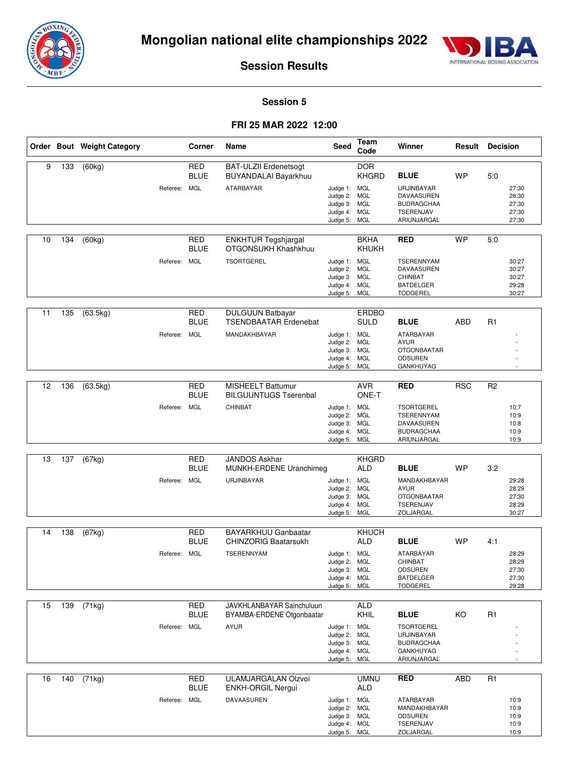



#### **Session 5**

#### **FRI 25 MAR 2022 12:00**

|    |     | Order Bout Weight Category | Corner                                    | Name                                                                    | Seed                                                                         | <b>Team</b><br>Code         | Winner                                                                                                     | Result     | Decision                                               |
|----|-----|----------------------------|-------------------------------------------|-------------------------------------------------------------------------|------------------------------------------------------------------------------|-----------------------------|------------------------------------------------------------------------------------------------------------|------------|--------------------------------------------------------|
| 9  | 133 | (60kg)                     | <b>RED</b><br><b>BLUE</b><br>Referee: MGL | <b>BAT-ULZII Erdenetsogt</b><br>BUYANDALAI Bayarkhuu<br>ATARBAYAR       | Judge 1: MGL<br>Judge 2: MGL<br>Judge 3: MGL<br>Judge 4: MGL<br>Judge 5: MGL | <b>DOR</b><br><b>KHGRD</b>  | <b>BLUE</b><br>URJINBAYAR<br>DAVAASUREN<br><b>BUDRAGCHAA</b><br>TSERENJAV<br>ARIUNJARGAL                   | <b>WP</b>  | 5:0<br>27:30<br>26:30<br>27:30<br>27:30<br>27:30       |
| 10 | 134 | (60kg)                     | <b>RED</b><br><b>BLUE</b><br>Referee: MGL | <b>ENKHTUR Tegshjargal</b><br>OTGONSUKH Khashkhuu<br><b>TSORTGEREL</b>  | Judge 1: MGL<br>Judge 2: MGL<br>Judge 3: MGL<br>Judge 4: MGL<br>Judge 5: MGL | <b>BKHA</b><br>KHUKH        | <b>RED</b><br><b>TSERENNYAM</b><br>DAVAASUREN<br>CHINBAT<br><b>BATDELGER</b><br><b>TODGEREL</b>            | <b>WP</b>  | 5:0<br>30:27<br>30:27<br>30:27<br>29:28<br>30:27       |
| 11 | 135 | (63.5kg)                   | <b>RED</b><br><b>BLUE</b><br>Referee: MGL | <b>DULGUUN Batbayar</b><br><b>TSENDBAATAR Erdenebat</b><br>MANDAKHBAYAR | Judge 1: MGL<br>Judge 2: MGL<br>Judge 3: MGL<br>Judge 4: MGL<br>Judge 5: MGL | <b>ERDBO</b><br><b>SULD</b> | <b>BLUE</b><br><b>ATARBAYAR</b><br><b>AYUR</b><br><b>OTGONBAATAR</b><br><b>ODSUREN</b><br><b>GANKHUYAG</b> | <b>ABD</b> | R1                                                     |
| 12 | 136 | (63.5kg)                   | <b>RED</b><br><b>BLUE</b><br>Referee: MGL | <b>MISHEELT Battumur</b><br><b>BILGUUNTUGS Tserenbal</b><br>CHINBAT     | Judge 1: MGL<br>Judge 2: MGL<br>Judge 3: MGL<br>Judge 4: MGL<br>Judge 5: MGL | <b>AVR</b><br>ONE-T         | <b>RED</b><br><b>TSORTGEREL</b><br><b>TSERENNYAM</b><br>DAVAASUREN<br><b>BUDRAGCHAA</b><br>ARIUNJARGAL     | <b>RSC</b> | R <sub>2</sub><br>10:7<br>10:9<br>10:8<br>10:9<br>10:9 |
| 13 | 137 | (67kg)                     | <b>RED</b><br><b>BLUE</b><br>Referee: MGL | <b>JANDOS Askhar</b><br>MUNKH-ERDENE Uranchimeg<br>URJINBAYAR           | Judge 1: MGL<br>Judge 2: MGL<br>Judge 3: MGL<br>Judge 4: MGL<br>Judge 5: MGL | <b>KHGRD</b><br><b>ALD</b>  | <b>BLUE</b><br>MANDAKHBAYAR<br><b>AYUR</b><br><b>OTGONBAATAR</b><br><b>TSERENJAV</b><br>ZOLJARGAL          | <b>WP</b>  | 3:2<br>29:28<br>28:29<br>27:30<br>28:29<br>30:27       |
| 14 | 138 | (67kg)                     | <b>RED</b><br><b>BLUE</b><br>Referee: MGL | BAYARKHUU Ganbaatar<br><b>CHINZORIG Baatarsukh</b><br><b>TSERENNYAM</b> | Judge 1: MGL<br>Judge 2: MGL<br>Judge 3: MGL<br>Judge 4: MGL<br>Judge 5: MGL | KHUCH<br><b>ALD</b>         | <b>BLUE</b><br>ATARBAYAR<br>CHINBAT<br><b>ODSUREN</b><br><b>BATDELGER</b><br><b>TODGEREL</b>               | <b>WP</b>  | 4:1<br>28:29<br>28:29<br>27:30<br>27:30<br>29:28       |
| 15 | 139 | (71kg)                     | <b>RED</b><br><b>BLUE</b><br>Referee: MGL | JAVKHLANBAYAR Sainchuluun<br>BYAMBA-ERDENE Otgonbaatar<br><b>AYUR</b>   | Judge 1: MGL<br>Judge 2: MGL<br>Judge 3: MGL<br>Judge 4: MGL<br>Judge 5: MGL | <b>ALD</b><br>KHIL          | <b>BLUE</b><br><b>TSORTGEREL</b><br>URJINBAYAR<br><b>BUDRAGCHAA</b><br>GANKHUYAG<br>ARIUNJARGAL            | KO         | R <sub>1</sub>                                         |
| 16 | 140 | (71kg)                     | <b>RED</b><br><b>BLUE</b><br>Referee: MGL | ULAMJARGALAN Olzvoi<br>ENKH-ORGIL Nergui<br>DAVAASUREN                  | Judge 1: MGL<br>Judge 2: MGL<br>Judge 3: MGL<br>Judge 4: MGL                 | UMNU<br><b>ALD</b>          | <b>RED</b><br>ATARBAYAR<br>MANDAKHBAYAR<br><b>ODSUREN</b><br>TSERENJAV                                     | ABD        | R <sub>1</sub><br>10:9<br>10:9<br>10:9<br>10:9         |

Judge 5:

MGL

ZOLJARGAL

10:9

 $\overline{\phantom{a}}$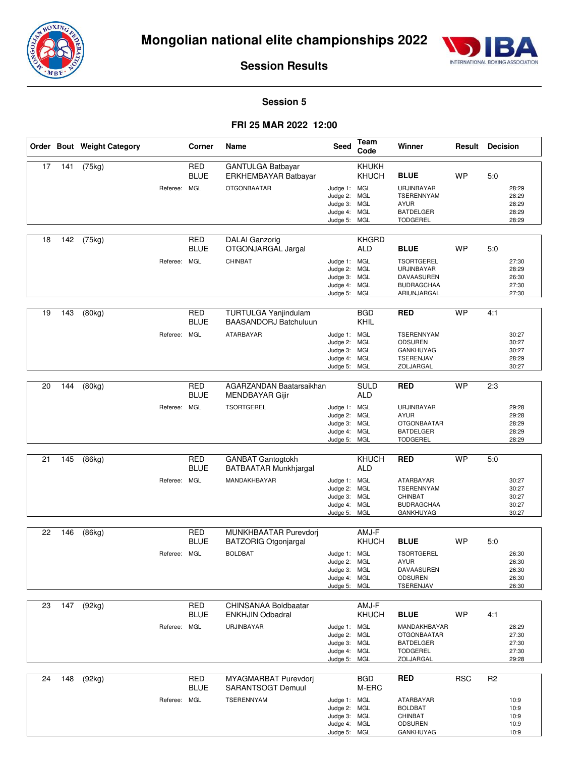



#### **Session 5**

#### **FRI 25 MAR 2022 12:00**

|    |     | Order Bout Weight Category | Corner                                    | Name                                                                     | Seed                                                                         | Team<br>Code                            | Winner                                                                                                | Result     | <b>Decision</b> |                                           |
|----|-----|----------------------------|-------------------------------------------|--------------------------------------------------------------------------|------------------------------------------------------------------------------|-----------------------------------------|-------------------------------------------------------------------------------------------------------|------------|-----------------|-------------------------------------------|
| 17 | 141 | (75kg)                     | <b>RED</b><br><b>BLUE</b><br>Referee: MGL | GANTULGA Batbayar<br>ERKHEMBAYAR Batbayar<br><b>OTGONBAATAR</b>          | Judge 1: MGL<br>Judge 2: MGL<br>Judge 3: MGL<br>Judge 4: MGL<br>Judge 5: MGL | KHUKH<br>KHUCH                          | <b>BLUE</b><br>URJINBAYAR<br><b>TSERENNYAM</b><br><b>AYUR</b><br><b>BATDELGER</b><br><b>TODGEREL</b>  | <b>WP</b>  | 5:0             | 28:29<br>28:29<br>28:29<br>28:29<br>28:29 |
| 18 | 142 | (75kg)                     | <b>RED</b><br><b>BLUE</b><br>Referee: MGL | <b>DALAI</b> Ganzorig<br>OTGONJARGAL Jargal<br>CHINBAT                   | Judge 1: MGL<br>Judge 2: MGL<br>Judge 3: MGL<br>Judge 4: MGL<br>Judge 5:     | <b>KHGRD</b><br><b>ALD</b><br>MGL       | <b>BLUE</b><br><b>TSORTGEREL</b><br>URJINBAYAR<br>DAVAASUREN<br><b>BUDRAGCHAA</b><br>ARIUNJARGAL      | <b>WP</b>  | 5.0             | 27:30<br>28:29<br>26:30<br>27:30<br>27:30 |
| 19 | 143 | (80kg)                     | <b>RED</b><br><b>BLUE</b><br>Referee: MGL | TURTULGA Yanjindulam<br><b>BAASANDORJ Batchuluun</b><br>ATARBAYAR        | Judge 1: MGL<br>Judge 2: MGL<br>Judge 3: MGL<br>Judge 4: MGL<br>Judge 5: MGL | <b>BGD</b><br><b>KHIL</b>               | <b>RED</b><br>TSERENNYAM<br><b>ODSUREN</b><br>GANKHUYAG<br>TSERENJAV<br>ZOLJARGAL                     | <b>WP</b>  | 4:1             | 30:27<br>30:27<br>30:27<br>28:29<br>30:27 |
| 20 | 144 | (80kg)                     | <b>RED</b><br><b>BLUE</b><br>Referee: MGL | AGARZANDAN Baatarsaikhan<br>MENDBAYAR Gijir<br><b>TSORTGEREL</b>         | Judge 1: MGL<br>Judge 2: MGL<br>Judge 3: MGL<br>Judge 4:<br>Judge 5: MGL     | <b>SULD</b><br><b>ALD</b><br><b>MGL</b> | <b>RED</b><br>URJINBAYAR<br><b>AYUR</b><br><b>OTGONBAATAR</b><br><b>BATDELGER</b><br><b>TODGEREL</b>  | <b>WP</b>  | 2:3             | 29:28<br>29:28<br>28:29<br>28:29<br>28:29 |
| 21 | 145 | (86kg)                     | <b>RED</b><br><b>BLUE</b><br>Referee: MGL | <b>GANBAT Gantogtokh</b><br><b>BATBAATAR Munkhjargal</b><br>MANDAKHBAYAR | Judge 1: MGL<br>Judge 2: MGL<br>Judge 3: MGL<br>Judge 4: MGL<br>Judge 5: MGL | <b>KHUCH</b><br><b>ALD</b>              | <b>RED</b><br>ATARBAYAR<br><b>TSERENNYAM</b><br><b>CHINBAT</b><br><b>BUDRAGCHAA</b><br>GANKHUYAG      | <b>WP</b>  | 5:0             | 30:27<br>30:27<br>30:27<br>30:27<br>30:27 |
| 22 | 146 | (86kg)                     | <b>RED</b><br><b>BLUE</b><br>Referee: MGL | MUNKHBAATAR Purevdorj<br><b>BATZORIG Otgonjargal</b><br><b>BOLDBAT</b>   | Judge 1: MGL<br>Judge 2: MGL<br>Judge 3: MGL<br>Judge 4: MGL<br>Judge 5: MGL | AMJ-F<br><b>KHUCH</b>                   | <b>BLUE</b><br><b>TSORTGEREL</b><br><b>AYUR</b><br>DAVAASUREN<br>ODSUREN<br>TSERENJAV                 | <b>WP</b>  | 5:0             | 26:30<br>26:30<br>26:30<br>26:30<br>26:30 |
| 23 | 147 | (92kg)                     | <b>RED</b><br><b>BLUE</b><br>Referee: MGL | CHINSANAA Boldbaatar<br><b>ENKHJIN Odbadral</b><br>URJINBAYAR            | Judge 1: MGL<br>Judge 2: MGL<br>Judge 3: MGL<br>Judge 4: MGL<br>Judge 5: MGL | AMJ-F<br>KHUCH                          | <b>BLUE</b><br>MANDAKHBAYAR<br><b>OTGONBAATAR</b><br><b>BATDELGER</b><br><b>TODGEREL</b><br>ZOLJARGAL | <b>WP</b>  | 4:1             | 28:29<br>27:30<br>27:30<br>27:30<br>29:28 |
| 24 | 148 | (92kg)                     | <b>RED</b><br><b>BLUE</b><br>Referee: MGL | MYAGMARBAT Purevdorj<br><b>SARANTSOGT Demuul</b><br>TSERENNYAM           | Judge 1: MGL<br>Judge 2: MGL<br>Judge 3: MGL<br>Judge 4: MGL<br>Judge 5: MGL | <b>BGD</b><br>M-ERC                     | <b>RED</b><br>ATARBAYAR<br><b>BOLDBAT</b><br>CHINBAT<br>ODSUREN<br>GANKHUYAG                          | <b>RSC</b> | R <sub>2</sub>  | 10:9<br>10:9<br>10:9<br>10:9<br>10:9      |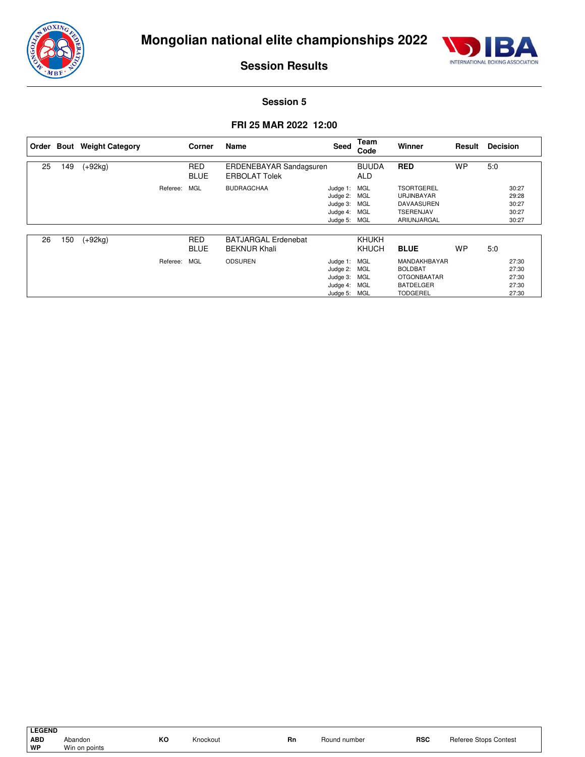



#### **Session 5**

#### **FRI 25 MAR 2022 12:00**

|    |     | Order Bout Weight Category |          | Corner                    | Name                                              | Seed                                                                         | Team<br>Code               | Winner                                                                                      | Result    | <b>Decision</b> |                                           |
|----|-----|----------------------------|----------|---------------------------|---------------------------------------------------|------------------------------------------------------------------------------|----------------------------|---------------------------------------------------------------------------------------------|-----------|-----------------|-------------------------------------------|
| 25 | 149 | $(+92kg)$                  |          | <b>RED</b><br><b>BLUE</b> | ERDENEBAYAR Sandagsuren<br><b>ERBOLAT Tolek</b>   |                                                                              | <b>BUUDA</b><br><b>ALD</b> | <b>RED</b>                                                                                  | <b>WP</b> | 5:0             |                                           |
|    |     |                            | Referee: | MGL                       | <b>BUDRAGCHAA</b>                                 | Judge 1: MGL<br>Judge 2: MGL<br>Judge 3: MGL<br>Judge 4: MGL<br>Judge 5: MGL |                            | <b>TSORTGEREL</b><br><b>URJINBAYAR</b><br><b>DAVAASUREN</b><br>TSERENJAV<br>ARIUNJARGAL     |           |                 | 30:27<br>29:28<br>30:27<br>30:27<br>30:27 |
| 26 | 150 | $(+92kg)$                  |          | <b>RED</b><br><b>BLUE</b> | <b>BATJARGAL Erdenebat</b><br><b>BEKNUR Khali</b> |                                                                              | KHUKH<br>KHUCH             | <b>BLUE</b>                                                                                 | <b>WP</b> | 5:0             |                                           |
|    |     |                            | Referee: | MGL                       | <b>ODSUREN</b>                                    | Judge 1: MGL<br>Judge 2: MGL<br>Judge 3: MGL<br>Judge 4: MGL<br>Judge 5: MGL |                            | MANDAKHBAYAR<br><b>BOLDBAT</b><br><b>OTGONBAATAR</b><br><b>BATDELGER</b><br><b>TODGEREL</b> |           |                 | 27:30<br>27:30<br>27:30<br>27:30<br>27:30 |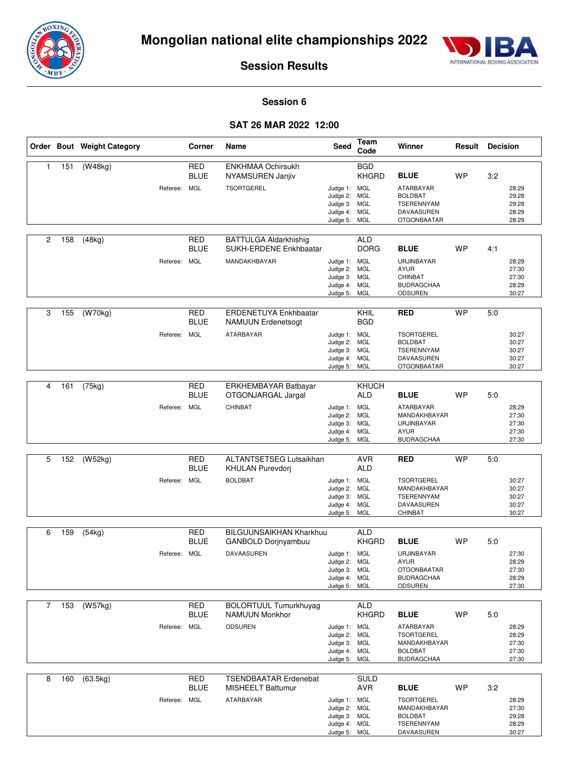



#### **Session 6**

#### **SAT 26 MAR 2022 12:00**

|   |     | Order Bout Weight Category |              | Corner                                  | Name                                                                   | Seed                                                                         | Team<br>Code                      | Winner                                                                                                            | <b>Result Decision</b> |     |                                           |
|---|-----|----------------------------|--------------|-----------------------------------------|------------------------------------------------------------------------|------------------------------------------------------------------------------|-----------------------------------|-------------------------------------------------------------------------------------------------------------------|------------------------|-----|-------------------------------------------|
| 1 | 151 | (W48kg)                    | Referee: MGL | <b>RED</b><br><b>BLUE</b>               | <b>ENKHMAA Ochirsukh</b><br>NYAMSUREN Janjiv<br><b>TSORTGEREL</b>      | Judge 1: MGL<br>Judge 2: MGL<br>Judge 3: MGL<br>Judge 4: MGL<br>Judge 5: MGL | <b>BGD</b><br><b>KHGRD</b>        | <b>BLUE</b><br>ATARBAYAR<br><b>BOLDBAT</b><br><b>TSERENNYAM</b><br>DAVAASUREN<br><b>OTGONBAATAR</b>               | <b>WP</b>              | 3:2 | 28:29<br>29:28<br>29:28<br>28:29<br>28:29 |
| 2 | 158 | (48kg)                     | Referee: MGL | <b>RED</b><br><b>BLUE</b>               | <b>BATTULGA Aldarkhishig</b><br>SUKH-ERDENE Enkhbaatar<br>MANDAKHBAYAR | Judge 1: MGL<br>Judge 2: MGL<br>Judge 3: MGL<br>Judge 4: MGL<br>Judge 5: MGL | <b>ALD</b><br><b>DORG</b>         | <b>BLUE</b><br>URJINBAYAR<br><b>AYUR</b><br>CHINBAT<br><b>BUDRAGCHAA</b><br><b>ODSUREN</b>                        | <b>WP</b>              | 4:1 | 28:29<br>27:30<br>27:30<br>28:29<br>30:27 |
| 3 | 155 | (W70kg)                    | Referee:     | <b>RED</b><br><b>BLUE</b><br><b>MGL</b> | ERDENETUYA Enkhbaatar<br><b>NAMUUN Erdenetsogt</b><br>ATARBAYAR        | Judge 1: MGL<br>Judge 2: MGL<br>Judge 3: MGL<br>Judge 4: MGL<br>Judge 5: MGL | KHIL<br><b>BGD</b>                | <b>RED</b><br><b>TSORTGEREL</b><br><b>BOLDBAT</b><br><b>TSERENNYAM</b><br><b>DAVAASUREN</b><br><b>OTGONBAATAR</b> | <b>WP</b>              | 5:0 | 30:27<br>30:27<br>30:27<br>30:27<br>30:27 |
| 4 | 161 | (75kg)                     | Referee: MGL | <b>RED</b><br><b>BLUE</b>               | <b>ERKHEMBAYAR Batbayar</b><br>OTGONJARGAL Jargal<br>CHINBAT           | Judge 1: MGL<br>Judge 2:<br>Judge 3: MGL<br>Judge 4: MGL<br>Judge 5: MGL     | <b>KHUCH</b><br><b>ALD</b><br>MGL | <b>BLUE</b><br>ATARBAYAR<br>MANDAKHBAYAR<br>URJINBAYAR<br><b>AYUR</b><br><b>BUDRAGCHAA</b>                        | <b>WP</b>              | 5:0 | 28:29<br>27:30<br>27:30<br>27:30<br>27:30 |
| 5 | 152 | (W52kg)                    | Referee:     | <b>RED</b><br><b>BLUE</b><br><b>MGL</b> | ALTANTSETSEG Lutsaikhan<br>KHULAN Purevdorj<br><b>BOLDBAT</b>          | Judge 1: MGL<br>Judge 2: MGL<br>Judge 3: MGL<br>Judge 4: MGL<br>Judge 5: MGL | <b>AVR</b><br><b>ALD</b>          | <b>RED</b><br><b>TSORTGEREL</b><br>MANDAKHBAYAR<br><b>TSERENNYAM</b><br>DAVAASUREN<br>CHINBAT                     | <b>WP</b>              | 5:0 | 30:27<br>30:27<br>30:27<br>30:27<br>30:27 |
| 6 | 159 | (54kg)                     | Referee: MGL | <b>RED</b><br><b>BLUE</b>               | <b>BILGUUNSAIKHAN Kharkhuu</b><br>GANBOLD Dorjnyambuu<br>DAVAASUREN    | Judge 1: MGL<br>Judge 2: MGL<br>Judge 3: MGL<br>Judge 4: MGL<br>Judge 5: MGL | <b>ALD</b><br><b>KHGRD</b>        | <b>BLUE</b><br>URJINBAYAR<br><b>AYUR</b><br><b>OTGONBAATAR</b><br><b>BUDRAGCHAA</b><br><b>ODSUREN</b>             | <b>WP</b>              | 5:0 | 27:30<br>28:29<br>27:30<br>28:29<br>27:30 |
| 7 | 153 | (W57kg)                    | Referee: MGL | RED<br><b>BLUE</b>                      | <b>BOLORTUUL Tumurkhuyag</b><br>NAMUUN Monkhor<br><b>ODSUREN</b>       | Judge 1: MGL<br>Judge 2: MGL<br>Judge 3: MGL<br>Judge 4: MGL<br>Judge 5: MGL | <b>ALD</b><br><b>KHGRD</b>        | <b>BLUE</b><br>ATARBAYAR<br><b>TSORTGEREL</b><br>MANDAKHBAYAR<br><b>BOLDBAT</b><br><b>BUDRAGCHAA</b>              | <b>WP</b>              | 5:0 | 28:29<br>28:29<br>27:30<br>27:30<br>27:30 |
| 8 | 160 | (63.5kg)                   | Referee: MGL | <b>RED</b><br><b>BLUE</b>               | <b>TSENDBAATAR Erdenebat</b><br><b>MISHEELT Battumur</b><br>ATARBAYAR  | Judge 1: MGL<br>Judge 2: MGL<br>Judge 3: MGL<br>Judge 4: MGL<br>Judge 5: MGL | <b>SULD</b><br><b>AVR</b>         | <b>BLUE</b><br><b>TSORTGEREL</b><br>MANDAKHBAYAR<br><b>BOLDBAT</b><br>TSERENNYAM<br>DAVAASUREN                    | WP                     | 3:2 | 28:29<br>27:30<br>29:28<br>28:29<br>30:27 |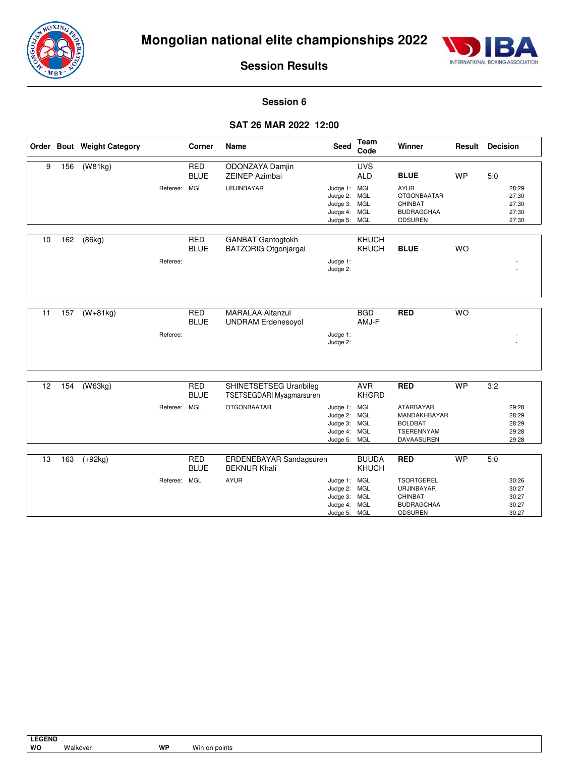



#### **Session 6**

#### **SAT 26 MAR 2022 12:00**

|    |     | Order Bout Weight Category |              | Corner                    | <b>Name</b>                                             | Seed                                                                         | Team<br>Code                 | Winner                                                                              | Result    | <b>Decision</b> |                                           |
|----|-----|----------------------------|--------------|---------------------------|---------------------------------------------------------|------------------------------------------------------------------------------|------------------------------|-------------------------------------------------------------------------------------|-----------|-----------------|-------------------------------------------|
| 9  | 156 | (W81kg)                    |              | <b>RED</b><br><b>BLUE</b> | ODONZAYA Damjin<br><b>ZEINEP Azimbai</b>                |                                                                              | <b>UVS</b><br><b>ALD</b>     | <b>BLUE</b>                                                                         | <b>WP</b> | 5.0             |                                           |
|    |     |                            | Referee:     | <b>MGL</b>                | URJINBAYAR                                              | Judge 1: MGL<br>Judge 2: MGL<br>Judge 3: MGL<br>Judge 4: MGL<br>Judge 5: MGL |                              | <b>AYUR</b><br><b>OTGONBAATAR</b><br><b>CHINBAT</b><br><b>BUDRAGCHAA</b><br>ODSUREN |           |                 | 28:29<br>27:30<br>27:30<br>27:30<br>27:30 |
| 10 | 162 | (86kg)                     | Referee:     | <b>RED</b><br><b>BLUE</b> | <b>GANBAT Gantogtokh</b><br><b>BATZORIG Otgonjargal</b> | Judge 1:<br>Judge 2:                                                         | <b>KHUCH</b><br><b>KHUCH</b> | <b>BLUE</b>                                                                         | <b>WO</b> |                 |                                           |
| 11 | 157 | $(W+81kg)$                 | Referee:     | <b>RED</b><br><b>BLUE</b> | <b>MARALAA Altanzul</b><br><b>UNDRAM Erdenesoyol</b>    | Judge 1:<br>Judge 2:                                                         | <b>BGD</b><br>AMJ-F          | <b>RED</b>                                                                          | <b>WO</b> |                 |                                           |
| 12 | 154 |                            |              | <b>RED</b>                | <b>SHINETSETSEG Uranbileg</b>                           |                                                                              | <b>AVR</b>                   | <b>RED</b>                                                                          | <b>WP</b> | 3:2             |                                           |
|    |     | (W63kg)                    |              | <b>BLUE</b>               | TSETSEGDARI Myagmarsuren                                |                                                                              | <b>KHGRD</b>                 |                                                                                     |           |                 |                                           |
|    |     |                            | Referee:     | <b>MGL</b>                | <b>OTGONBAATAR</b>                                      | Judge 1: MGL<br>Judge 2: MGL<br>Judge 3: MGL<br>Judge 4: MGL<br>Judge 5: MGL |                              | ATARBAYAR<br>MANDAKHBAYAR<br><b>BOLDBAT</b><br>TSERENNYAM<br>DAVAASUREN             |           |                 | 29:28<br>28:29<br>28:29<br>29:28<br>29:28 |
| 13 | 163 | $(+92kg)$                  |              | <b>RED</b>                | ERDENEBAYAR Sandagsuren                                 |                                                                              | <b>BUUDA</b>                 | <b>RED</b>                                                                          | <b>WP</b> | 5:0             |                                           |
|    |     |                            | Referee: MGL | <b>BLUE</b>               | <b>BEKNUR Khali</b><br><b>AYUR</b>                      | Judge 1: MGL<br>Judge 2: MGL<br>Judge 3: MGL<br>Judge 4: MGL<br>Judge 5: MGL | <b>KHUCH</b>                 | <b>TSORTGEREL</b><br>URJINBAYAR<br>CHINBAT<br><b>BUDRAGCHAA</b><br><b>ODSUREN</b>   |           |                 | 30:26<br>30:27<br>30:27<br>30:27<br>30:27 |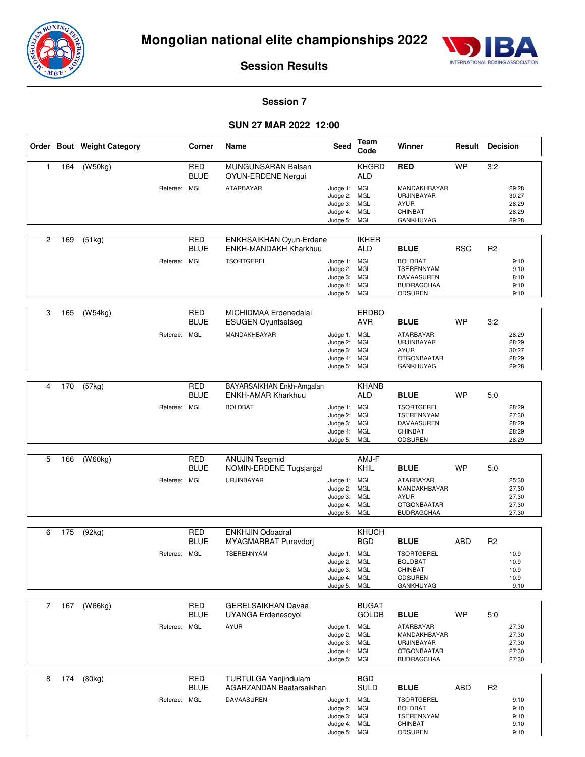



#### **Session 7**

#### **SUN 27 MAR 2022 12:00**

|              |     | Order Bout Weight Category |              | Corner                    | Name                                                    | Seed                                                                         | Team<br>Code                 | Winner                                                                              | Result     | <b>Decision</b>                                |  |
|--------------|-----|----------------------------|--------------|---------------------------|---------------------------------------------------------|------------------------------------------------------------------------------|------------------------------|-------------------------------------------------------------------------------------|------------|------------------------------------------------|--|
| $\mathbf{1}$ | 164 | (W50kg)                    |              | <b>RED</b><br><b>BLUE</b> | <b>MUNGUNSARAN Balsan</b><br>OYUN-ERDENE Nergui         |                                                                              | <b>KHGRD</b><br><b>ALD</b>   | <b>RED</b>                                                                          | <b>WP</b>  | 3:2                                            |  |
|              |     |                            | Referee:     | MGL                       | <b>ATARBAYAR</b>                                        | Judge 1: MGL<br>Judge 2: MGL<br>Judge 3: MGL<br>Judge 4: MGL<br>Judge 5: MGL |                              | MANDAKHBAYAR<br>URJINBAYAR<br><b>AYUR</b><br>CHINBAT<br>GANKHUYAG                   |            | 29:28<br>30:27<br>28:29<br>28:29<br>29:28      |  |
|              |     |                            |              |                           |                                                         |                                                                              |                              |                                                                                     |            |                                                |  |
| 2            | 169 | (51kg)                     |              | <b>RED</b><br><b>BLUE</b> | ENKHSAIKHAN Oyun-Erdene<br><b>ENKH-MANDAKH Kharkhuu</b> |                                                                              | <b>IKHER</b><br><b>ALD</b>   | <b>BLUE</b>                                                                         | <b>RSC</b> | R2                                             |  |
|              |     |                            | Referee:     | <b>MGL</b>                | <b>TSORTGEREL</b>                                       | Judge 1: MGL<br>Judge 2: MGL<br>Judge 3: MGL<br>Judge 4: MGL                 |                              | <b>BOLDBAT</b><br><b>TSERENNYAM</b><br>DAVAASUREN<br><b>BUDRAGCHAA</b>              |            | 9:10<br>9:10<br>8:10<br>9:10                   |  |
|              |     |                            |              |                           |                                                         | Judge 5: MGL                                                                 |                              | <b>ODSUREN</b>                                                                      |            | 9:10                                           |  |
| 3            | 165 | $\overline{(W54kg)}$       |              | <b>RED</b><br><b>BLUE</b> | MICHIDMAA Erdenedalai<br><b>ESUGEN Oyuntsetseg</b>      |                                                                              | <b>ERDBO</b><br><b>AVR</b>   | <b>BLUE</b>                                                                         | <b>WP</b>  | 3:2                                            |  |
|              |     |                            | Referee:     | MGL                       | MANDAKHBAYAR                                            | Judge 1: MGL<br>Judge 2: MGL<br>Judge 3: MGL<br>Judge 4: MGL<br>Judge 5: MGL |                              | ATARBAYAR<br>URJINBAYAR<br><b>AYUR</b><br><b>OTGONBAATAR</b><br>GANKHUYAG           |            | 28:29<br>28:29<br>30:27<br>28:29<br>29:28      |  |
|              |     |                            |              |                           |                                                         |                                                                              |                              |                                                                                     |            |                                                |  |
| 4            | 170 | (57kg)                     |              | RED<br><b>BLUE</b>        | BAYARSAIKHAN Enkh-Amgalan<br><b>ENKH-AMAR Kharkhuu</b>  |                                                                              | <b>KHANB</b><br><b>ALD</b>   | <b>BLUE</b>                                                                         | <b>WP</b>  | 5:0                                            |  |
|              |     |                            | Referee:     | <b>MGL</b>                | <b>BOLDBAT</b>                                          | Judge 1: MGL<br>Judge 2: MGL<br>Judge 3: MGL<br>Judge 4: MGL<br>Judge 5: MGL |                              | <b>TSORTGEREL</b><br>TSERENNYAM<br>DAVAASUREN<br>CHINBAT<br>ODSUREN                 |            | 28:29<br>27:30<br>28:29<br>28:29<br>28:29      |  |
| 5            | 166 | (W60kg)                    |              | <b>RED</b><br><b>BLUE</b> | <b>ANUJIN Tsegmid</b><br>NOMIN-ERDENE Tugsjargal        |                                                                              | AMJ-F<br>KHIL                | <b>BLUE</b>                                                                         | <b>WP</b>  | 5:0                                            |  |
|              |     |                            | Referee:     | <b>MGL</b>                | URJINBAYAR                                              | Judge 1: MGL<br>Judge 2: MGL<br>Judge 3: MGL<br>Judge 4: MGL<br>Judge 5: MGL |                              | ATARBAYAR<br>MANDAKHBAYAR<br><b>AYUR</b><br><b>OTGONBAATAR</b><br><b>BUDRAGCHAA</b> |            | 25:30<br>27:30<br>27:30<br>27:30<br>27:30      |  |
| 6            | 175 | (92kg)                     |              | <b>RED</b><br><b>BLUE</b> | <b>ENKHJIN Odbadral</b><br>MYAGMARBAT Purevdorj         |                                                                              | KHUCH<br><b>BGD</b>          | <b>BLUE</b>                                                                         | ABD        | R2                                             |  |
|              |     |                            | Referee: MGL |                           | TSERENNYAM                                              | Judge 1: MGL<br>Judge 2: MGL<br>Judge 3: MGL<br>Judge 4: MGL<br>Judge 5: MGL |                              | <b>TSORTGEREL</b><br><b>BOLDBAT</b><br>CHINBAT<br><b>ODSUREN</b><br>GANKHUYAG       |            | 10:9<br>10:9<br>10:9<br>10:9<br>9:10           |  |
| 7            | 167 | (W66kg)                    |              | RED<br><b>BLUE</b>        | GERELSAIKHAN Davaa<br>UYANGA Erdenesoyol                |                                                                              | <b>BUGAT</b><br><b>GOLDB</b> | <b>BLUE</b>                                                                         | <b>WP</b>  | 5:0                                            |  |
|              |     |                            | Referee: MGL |                           | <b>AYUR</b>                                             | Judge 1: MGL<br>Judge 2: MGL<br>Judge 3: MGL<br>Judge 4: MGL<br>Judge 5: MGL |                              | ATARBAYAR<br>MANDAKHBAYAR<br>URJINBAYAR<br><b>OTGONBAATAR</b><br><b>BUDRAGCHAA</b>  |            | 27:30<br>27:30<br>27:30<br>27:30<br>27:30      |  |
| 8            | 174 | (80kg)                     |              | <b>RED</b>                | TURTULGA Yanjindulam                                    |                                                                              | <b>BGD</b>                   |                                                                                     |            |                                                |  |
|              |     |                            | Referee: MGL | <b>BLUE</b>               | AGARZANDAN Baatarsaikhan<br>DAVAASUREN                  | Judge 1: MGL<br>Judge 2: MGL<br>Judge 3: MGL<br>Judge 4: MGL                 | SULD                         | <b>BLUE</b><br><b>TSORTGEREL</b><br><b>BOLDBAT</b><br>TSERENNYAM<br>CHINBAT         | <b>ABD</b> | R <sub>2</sub><br>9:10<br>9:10<br>9:10<br>9:10 |  |

Judge 5:

MGL

ODSUREN

9:10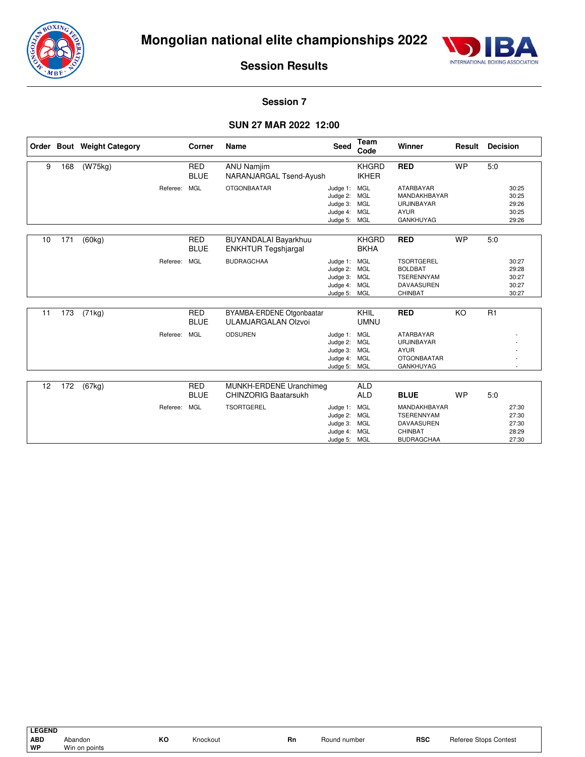



#### **Session 7**

#### **SUN 27 MAR 2022 12:00**

|    |     | Order Bout Weight Category |          | Corner                    | <b>Name</b>                                               | <b>Seed</b>                                                                  | Team<br>Code                 | Winner                                                                                                | Result    | <b>Decision</b>                                  |
|----|-----|----------------------------|----------|---------------------------|-----------------------------------------------------------|------------------------------------------------------------------------------|------------------------------|-------------------------------------------------------------------------------------------------------|-----------|--------------------------------------------------|
| 9  | 168 | (W75kg)                    |          | <b>RED</b><br><b>BLUE</b> | <b>ANU Namjim</b><br>NARANJARGAL Tsend-Ayush              |                                                                              | <b>KHGRD</b><br><b>IKHER</b> | <b>RED</b>                                                                                            | <b>WP</b> | 5:0                                              |
|    |     |                            | Referee: | <b>MGL</b>                | <b>OTGONBAATAR</b>                                        | Judge 1: MGL<br>Judge 2: MGL<br>Judge 3: MGL<br>Judge 4: MGL<br>Judge 5: MGL |                              | <b>ATARBAYAR</b><br>MANDAKHBAYAR<br>URJINBAYAR<br><b>AYUR</b><br><b>GANKHUYAG</b>                     |           | 30:25<br>30:25<br>29:26<br>30:25<br>29:26        |
| 10 | 171 | (60kg)                     |          | <b>RED</b><br><b>BLUE</b> | <b>BUYANDALAI Bayarkhuu</b><br><b>ENKHTUR Tegshjargal</b> |                                                                              | <b>KHGRD</b><br><b>BKHA</b>  | <b>RED</b>                                                                                            | <b>WP</b> | 5:0                                              |
|    |     |                            | Referee: | MGL                       | <b>BUDRAGCHAA</b>                                         | Judge 1: MGL<br>Judge 2: MGL<br>Judge 3: MGL<br>Judge 4: MGL<br>Judge 5: MGL |                              | <b>TSORTGEREL</b><br><b>BOLDBAT</b><br><b>TSERENNYAM</b><br>DAVAASUREN<br>CHINBAT                     |           | 30:27<br>29:28<br>30:27<br>30:27<br>30:27        |
| 11 | 173 | (71kg)                     |          | <b>RED</b><br><b>BLUE</b> | BYAMBA-ERDENE Otgonbaatar<br><b>ULAMJARGALAN Olzvoi</b>   |                                                                              | KHIL<br><b>UMNU</b>          | <b>RED</b>                                                                                            | KO        | R1                                               |
|    |     |                            | Referee: | <b>MGL</b>                | <b>ODSUREN</b>                                            | Judge 1: MGL<br>Judge 2: MGL<br>Judge 3: MGL<br>Judge 4: MGL<br>Judge 5: MGL |                              | ATARBAYAR<br>URJINBAYAR<br><b>AYUR</b><br><b>OTGONBAATAR</b><br><b>GANKHUYAG</b>                      |           |                                                  |
| 12 | 172 | (67kg)                     |          | <b>RED</b>                | MUNKH-ERDENE Uranchimeg                                   |                                                                              | <b>ALD</b>                   |                                                                                                       |           |                                                  |
|    |     |                            | Referee: | <b>BLUE</b><br><b>MGL</b> | <b>CHINZORIG Baatarsukh</b><br><b>TSORTGEREL</b>          | Judge 1: MGL<br>Judge 2:<br>Judge 3: MGL<br>Judge 4: MGL<br>Judge 5: MGL     | <b>ALD</b><br>MGL            | <b>BLUE</b><br>MANDAKHBAYAR<br><b>TSERENNYAM</b><br><b>DAVAASUREN</b><br>CHINBAT<br><b>BUDRAGCHAA</b> | <b>WP</b> | 5:0<br>27:30<br>27:30<br>27:30<br>28:29<br>27:30 |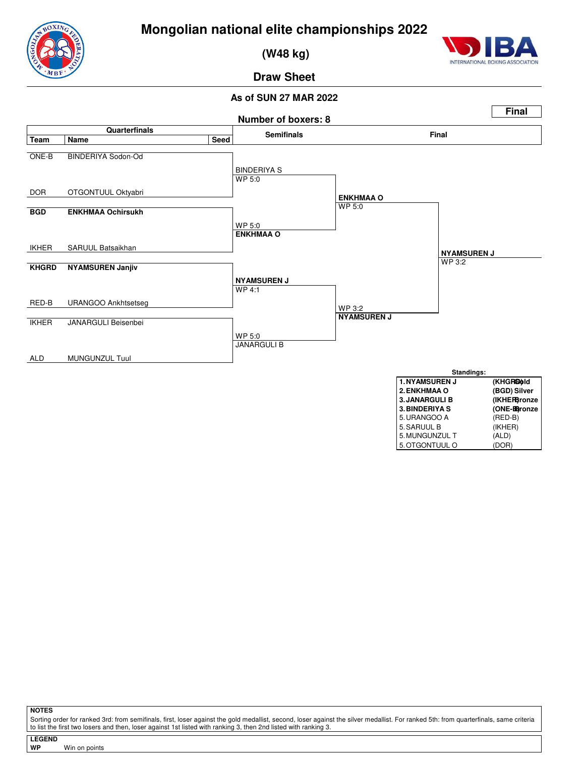



 **(W48 kg)**



**Draw Sheet**

#### **As of SUN 27 MAR 2022**



**NOTES**

Sorting order for ranked 3rd: from semifinals, first, loser against the gold medallist, second, loser against the silver medallist. For ranked 5th: from quarterfinals, same criteria to list the first two losers and then, loser against 1st listed with ranking 3, then 2nd listed with ranking 3.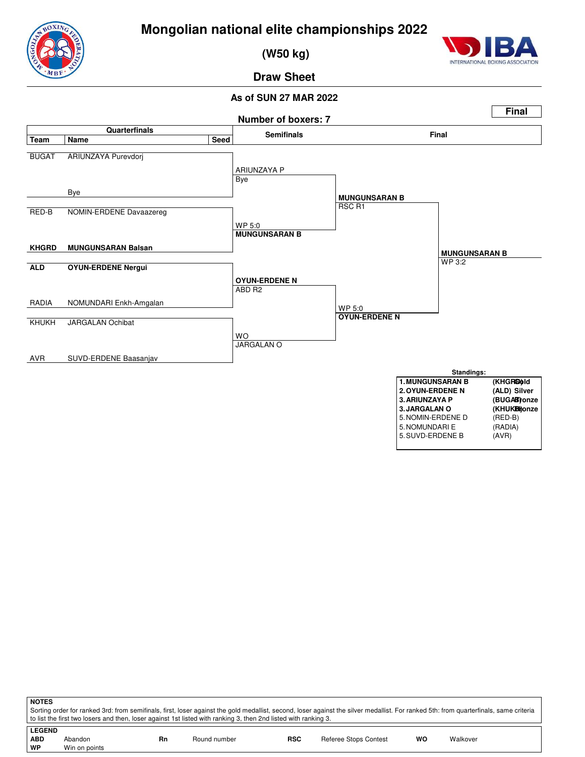

 **(W50 kg)**



**Draw Sheet**

#### **As of SUN 27 MAR 2022**



**NOTES** Sorting order for ranked 3rd: from semifinals, first, loser against the gold medallist, second, loser against the silver medallist. For ranked 5th: from quarterfinals, same criteria to list the first two losers and then, loser against 1st listed with ranking 3, then 2nd listed with ranking 3. **LEGEND**

| , LEGEND       |               |    |              |            |                       |    |          |
|----------------|---------------|----|--------------|------------|-----------------------|----|----------|
| $\mathsf{ABD}$ | Abandon       | Rn | Round number | <b>RSC</b> | Referee Stops Contest | wc | Walkover |
| ∣ wP           | Win on points |    |              |            |                       |    |          |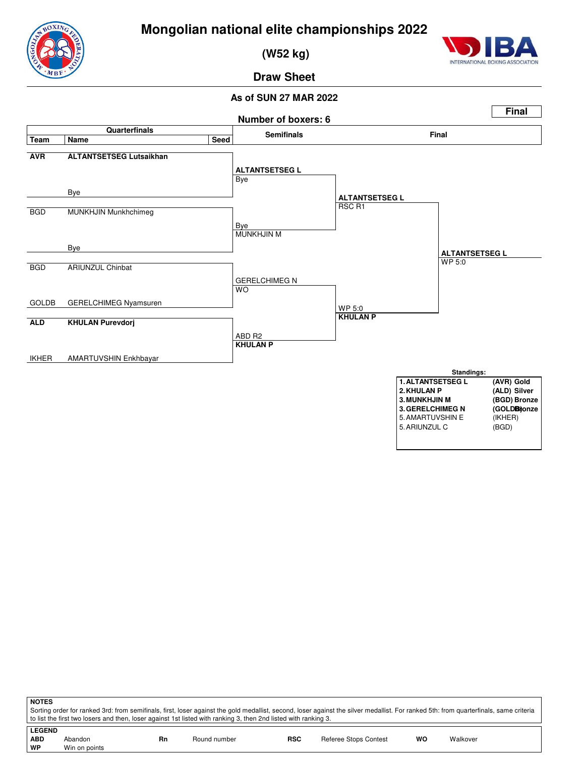



 **(W52 kg)**



**Draw Sheet**

#### **As of SUN 27 MAR 2022**



**NOTES**

Sorting order for ranked 3rd: from semifinals, first, loser against the gold medallist, second, loser against the silver medallist. For ranked 5th: from quarterfinals, same criteria to list the first two losers and then, loser against 1st listed with ranking 3, then 2nd listed with ranking 3.

| LEGEND |               |    |              |            |                              |    |          |
|--------|---------------|----|--------------|------------|------------------------------|----|----------|
| ∣ ABD  | Abandon       | Rn | Round number | <b>RSC</b> | <b>Referee Stops Contest</b> | WO | Walkover |
| ∣ WP   | Win on points |    |              |            |                              |    |          |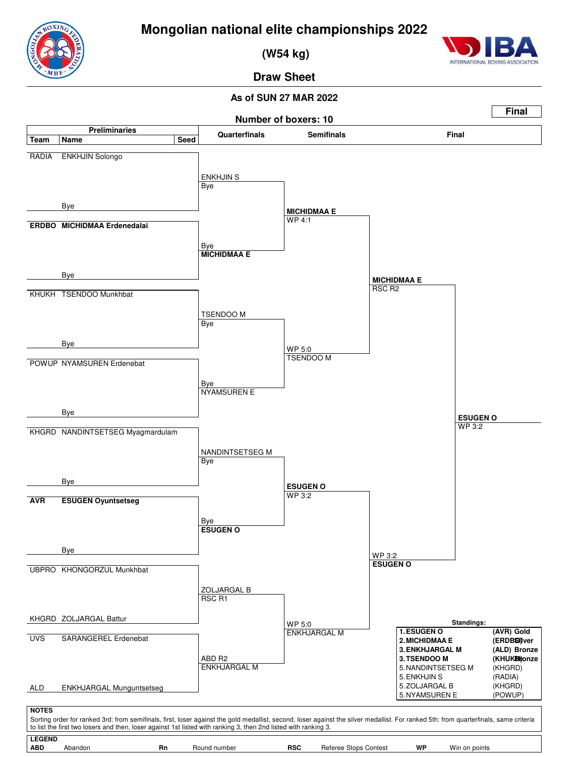**(W54 kg)**



**Draw Sheet**

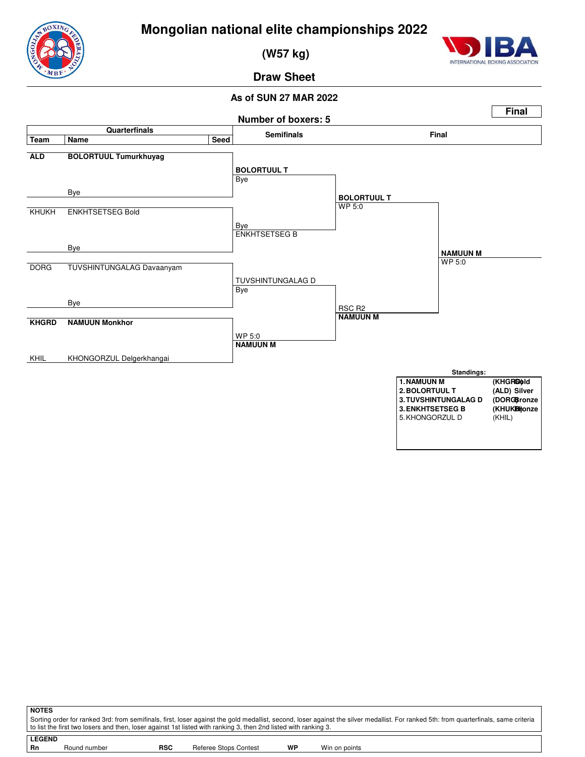



 **(W57 kg)**



**Draw Sheet**



| <b>NOTES</b>                                                                                                                                                                          |                                                                                                                 |            |                       |    |               |  |  |  |
|---------------------------------------------------------------------------------------------------------------------------------------------------------------------------------------|-----------------------------------------------------------------------------------------------------------------|------------|-----------------------|----|---------------|--|--|--|
| Sorting order for ranked 3rd: from semifinals, first, loser against the gold medallist, second, loser against the silver medallist. For ranked 5th: from quarterfinals, same criteria |                                                                                                                 |            |                       |    |               |  |  |  |
|                                                                                                                                                                                       | to list the first two losers and then, loser against 1st listed with ranking 3, then 2nd listed with ranking 3. |            |                       |    |               |  |  |  |
| <b>LEGEND</b>                                                                                                                                                                         |                                                                                                                 |            |                       |    |               |  |  |  |
| <b>Rn</b>                                                                                                                                                                             | Round number                                                                                                    | <b>RSC</b> | Referee Stops Contest | WP | Win on points |  |  |  |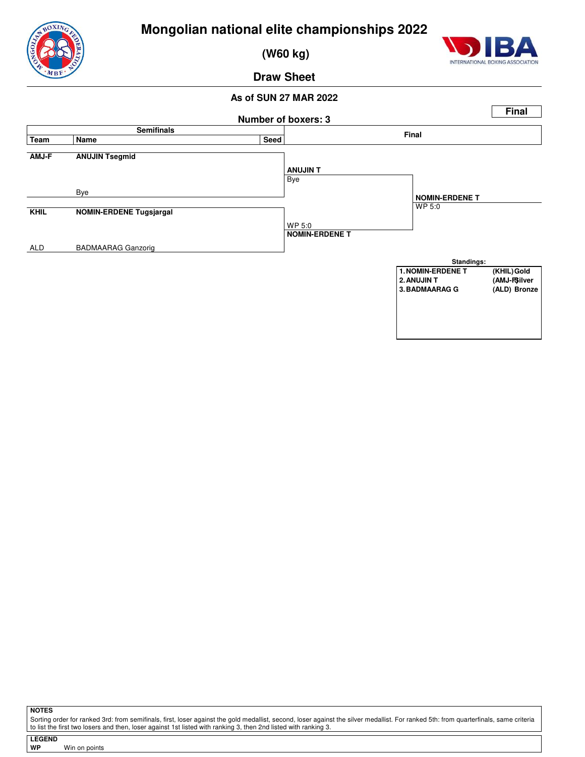

 **(W60 kg)**



**Draw Sheet**

#### **As of SUN 27 MAR 2022**



**NOTES**

Sorting order for ranked 3rd: from semifinals, first, loser against the gold medallist, second, loser against the silver medallist. For ranked 5th: from quarterfinals, same criteria<br>to list the first two losers and then, l

| <b>LEGEND</b> |  |
|---------------|--|
| WP            |  |

**Win on points**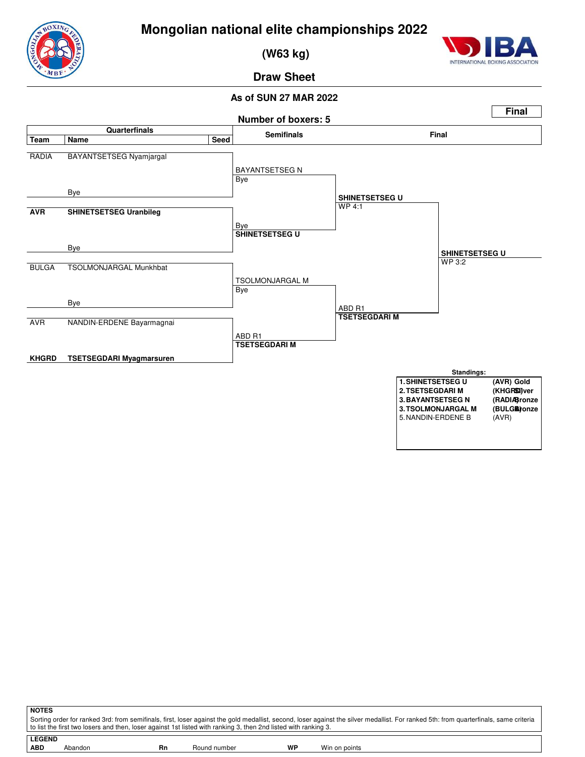



 **(W63 kg)**



**Draw Sheet**



| <b>NOTES</b>                                                                                                                                                                          |         |    |              |    |               |  |  |  |
|---------------------------------------------------------------------------------------------------------------------------------------------------------------------------------------|---------|----|--------------|----|---------------|--|--|--|
| Sorting order for ranked 3rd: from semifinals, first, loser against the gold medallist, second, loser against the silver medallist. For ranked 5th: from quarterfinals, same criteria |         |    |              |    |               |  |  |  |
| to list the first two losers and then, loser against 1st listed with ranking 3, then 2nd listed with ranking 3.                                                                       |         |    |              |    |               |  |  |  |
|                                                                                                                                                                                       |         |    |              |    |               |  |  |  |
| <b>LEGEND</b>                                                                                                                                                                         |         |    |              |    |               |  |  |  |
| <b>ABD</b>                                                                                                                                                                            | Abandon | Rn | Round number | WP | Win on points |  |  |  |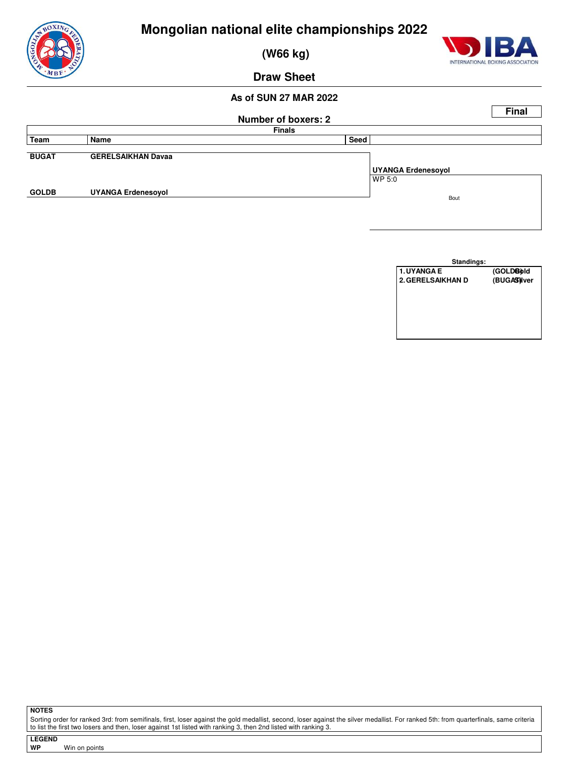

 **(W66 kg)**



**Draw Sheet**

#### **As of SUN 27 MAR 2022**

|              |                           |                            |                           | <b>Final</b> |
|--------------|---------------------------|----------------------------|---------------------------|--------------|
|              |                           | <b>Number of boxers: 2</b> |                           |              |
|              |                           | <b>Finals</b>              |                           |              |
| <b>Team</b>  | Name                      | Seed                       |                           |              |
|              |                           |                            |                           |              |
| <b>BUGAT</b> | <b>GERELSAIKHAN Davaa</b> |                            |                           |              |
|              |                           |                            | <b>UYANGA Erdenesoyol</b> |              |
|              |                           |                            | WP 5:0                    |              |
| <b>GOLDB</b> | <b>UYANGA Erdenesoyol</b> |                            |                           |              |
|              |                           |                            | Bout                      |              |
|              |                           |                            |                           |              |
|              |                           |                            |                           |              |
|              |                           |                            |                           |              |



**NOTES**

Sorting order for ranked 3rd: from semifinals, first, loser against the gold medallist, second, loser against the silver medallist. For ranked 5th: from quarterfinals, same criteria<br>to list the first two losers and then, l

| <b>LEGEND</b> |  |               |
|---------------|--|---------------|
| WP            |  | Win on points |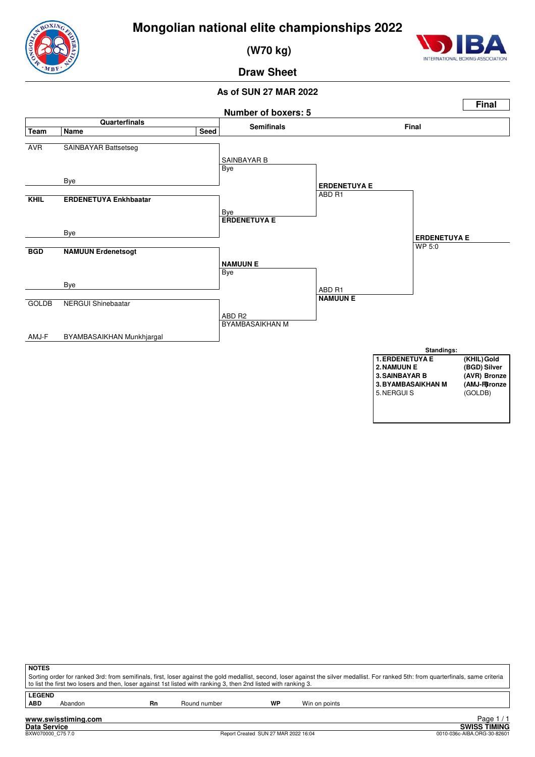

 **(W70 kg)**



#### **Draw Sheet**



| <b>NOTES</b>  |                                                                                                                                                                                       |    |                                                                                                                 |           |               |  |  |  |
|---------------|---------------------------------------------------------------------------------------------------------------------------------------------------------------------------------------|----|-----------------------------------------------------------------------------------------------------------------|-----------|---------------|--|--|--|
|               | Sorting order for ranked 3rd: from semifinals, first, loser against the gold medallist, second, loser against the silver medallist. For ranked 5th: from quarterfinals, same criteria |    |                                                                                                                 |           |               |  |  |  |
|               |                                                                                                                                                                                       |    | to list the first two losers and then, loser against 1st listed with ranking 3, then 2nd listed with ranking 3. |           |               |  |  |  |
| <b>LEGEND</b> |                                                                                                                                                                                       |    |                                                                                                                 |           |               |  |  |  |
| <b>ABD</b>    | Abandon                                                                                                                                                                               | Rn | Round number                                                                                                    | <b>WP</b> | Win on points |  |  |  |
|               |                                                                                                                                                                                       |    |                                                                                                                 |           |               |  |  |  |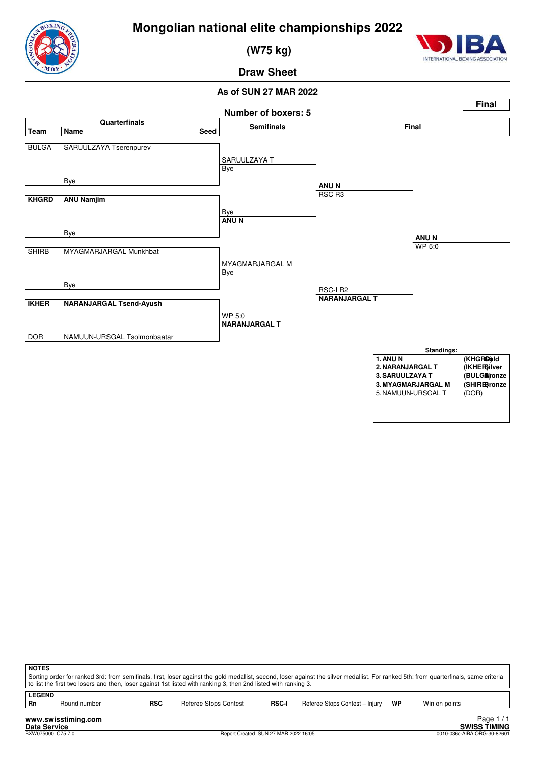

 **(W75 kg)**



**Draw Sheet**



| <b>NOTES</b><br>Sorting order for ranked 3rd: from semifinals, first, loser against the gold medallist, second, loser against the silver medallist. For ranked 5th: from quarterfinals, same criteria<br>to list the first two losers and then, loser against 1st listed with ranking 3, then 2nd listed with ranking 3. |              |            |                       |              |                                |    |               |  |  |  |
|--------------------------------------------------------------------------------------------------------------------------------------------------------------------------------------------------------------------------------------------------------------------------------------------------------------------------|--------------|------------|-----------------------|--------------|--------------------------------|----|---------------|--|--|--|
| <b>LEGEND</b><br>Rn                                                                                                                                                                                                                                                                                                      | Round number | <b>RSC</b> | Referee Stops Contest | <b>RSC-I</b> | Referee Stops Contest - Injury | WP | Win on points |  |  |  |
| Page<br>www.swisstiming.com                                                                                                                                                                                                                                                                                              |              |            |                       |              |                                |    |               |  |  |  |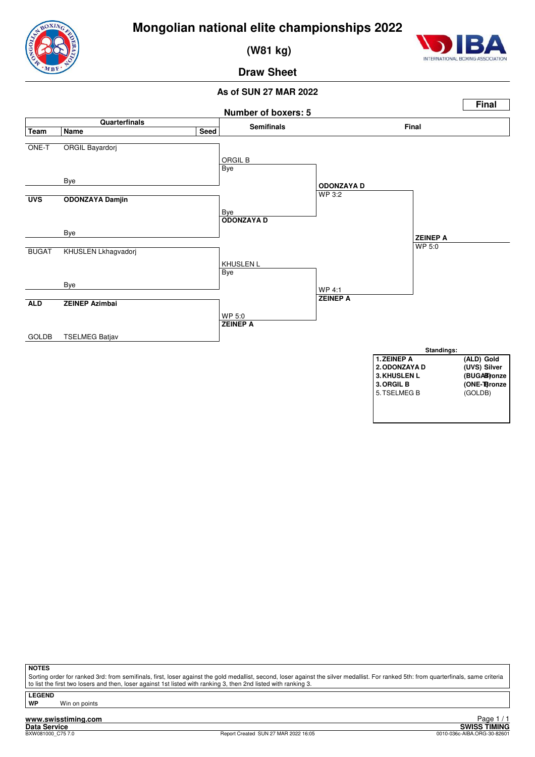

 **(W81 kg)**



**Draw Sheet**

#### **As of SUN 27 MAR 2022**



**NOTES**

Sorting order for ranked 3rd: from semifinals, first, loser against the gold medallist, second, loser against the silver medallist. For ranked 5th: from quarterfinals, same criteria to list the first two losers and then, loser against 1st listed with ranking 3, then 2nd listed with ranking 3

**LEGEND**

**Win on points** 

**www.swisstiming.com**<br>Data Service<br>BXW081000 C75.7.0

External of the SWISS TIMING<br>
D010-036c-AIBA.ORG-30-82601 Page 1 / 1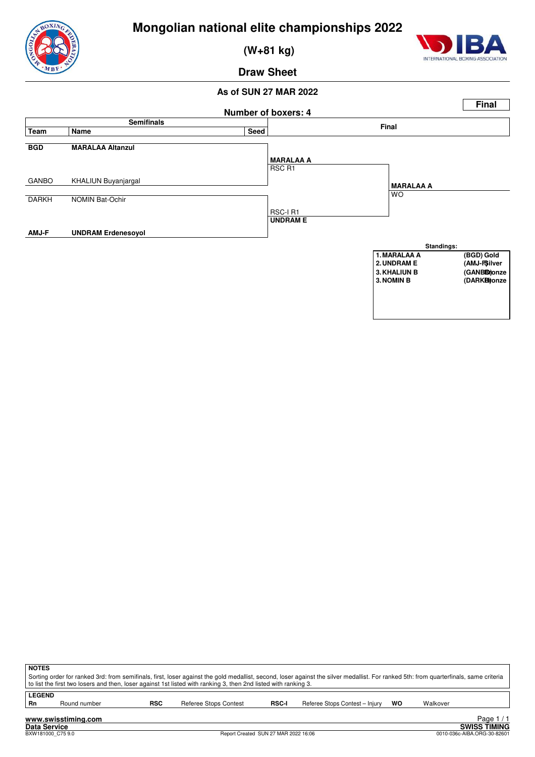

 **(W+81 kg)**



**Draw Sheet**



| ∣ NOTES                                                                                                                                                                               |                                                                                                                 |            |                       |              |                                |    |          |  |  |  |  |
|---------------------------------------------------------------------------------------------------------------------------------------------------------------------------------------|-----------------------------------------------------------------------------------------------------------------|------------|-----------------------|--------------|--------------------------------|----|----------|--|--|--|--|
| Sorting order for ranked 3rd: from semifinals, first, loser against the gold medallist, second, loser against the silver medallist. For ranked 5th: from quarterfinals, same criteria |                                                                                                                 |            |                       |              |                                |    |          |  |  |  |  |
|                                                                                                                                                                                       | to list the first two losers and then, loser against 1st listed with ranking 3, then 2nd listed with ranking 3. |            |                       |              |                                |    |          |  |  |  |  |
|                                                                                                                                                                                       |                                                                                                                 |            |                       |              |                                |    |          |  |  |  |  |
| <b>LEGEND</b>                                                                                                                                                                         |                                                                                                                 |            |                       |              |                                |    |          |  |  |  |  |
| - Rn                                                                                                                                                                                  | Round number                                                                                                    | <b>RSC</b> | Referee Stops Contest | <b>RSC-I</b> | Referee Stops Contest - Injury | wo | Walkover |  |  |  |  |
|                                                                                                                                                                                       |                                                                                                                 |            |                       |              |                                |    |          |  |  |  |  |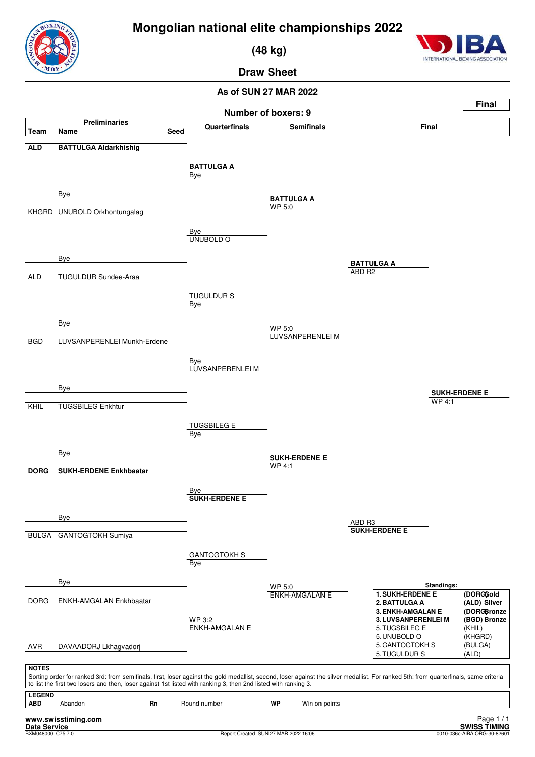

 **(48 kg)**

## **Draw Sheet**

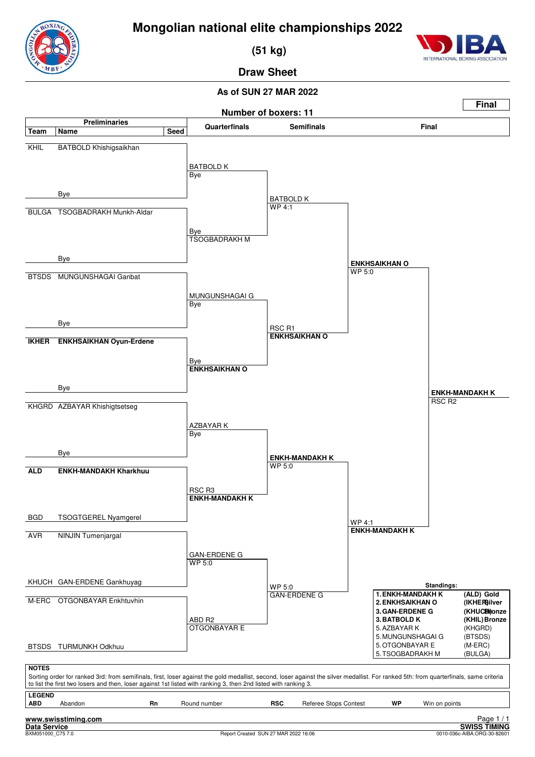

INTERNATIONAL BOXIN

 **(51 kg)**

# **Draw Sheet**

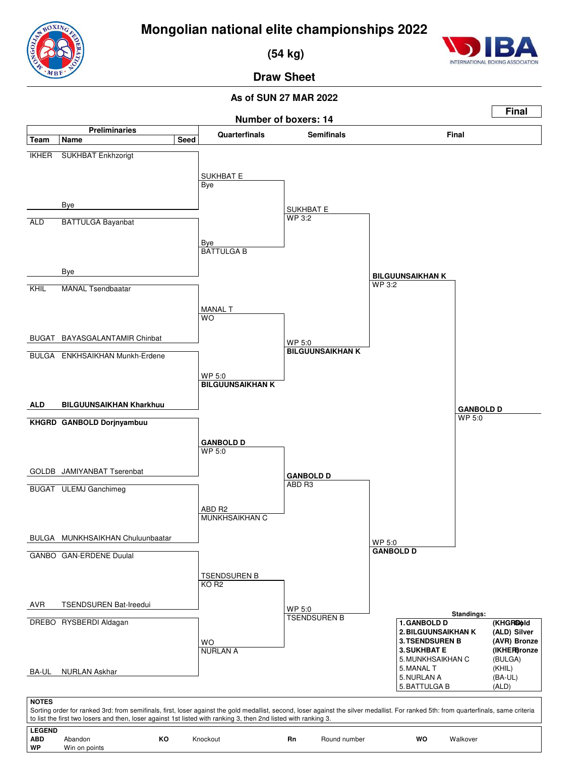

 **(54 kg)**



**Draw Sheet**

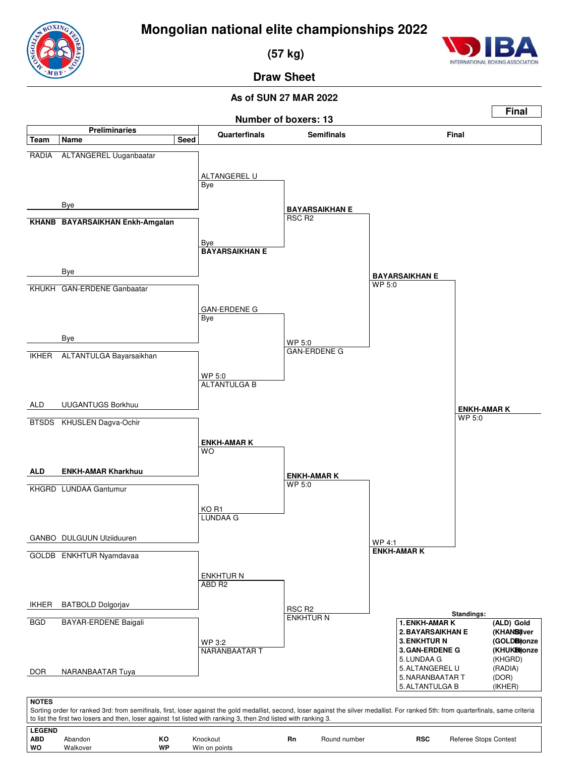

 **(57 kg)**



**Draw Sheet**

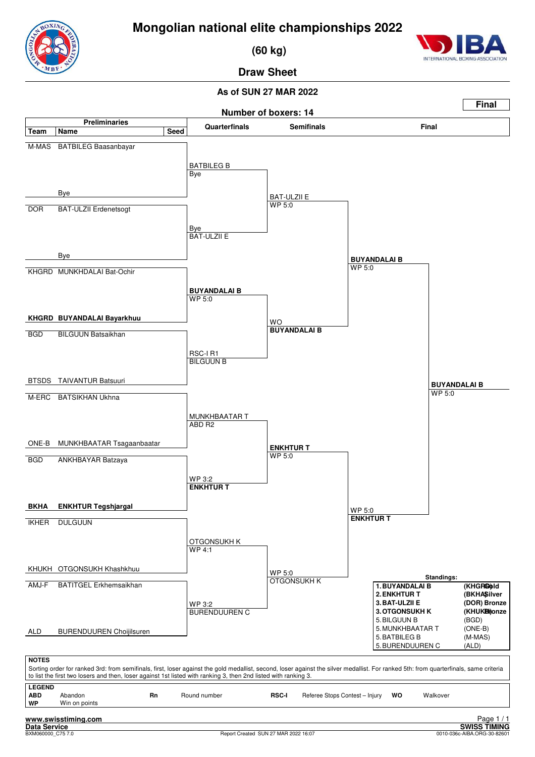

 **(60 kg)**



**Draw Sheet**

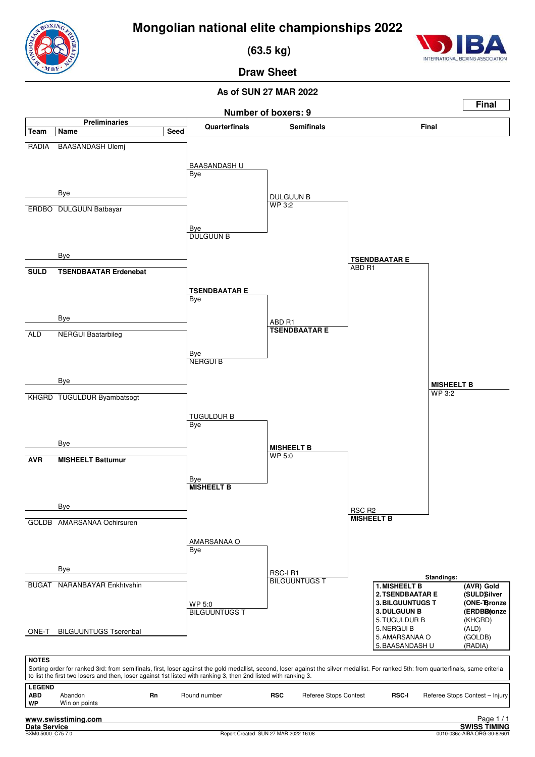

 **(63.5 kg)**



**Draw Sheet**

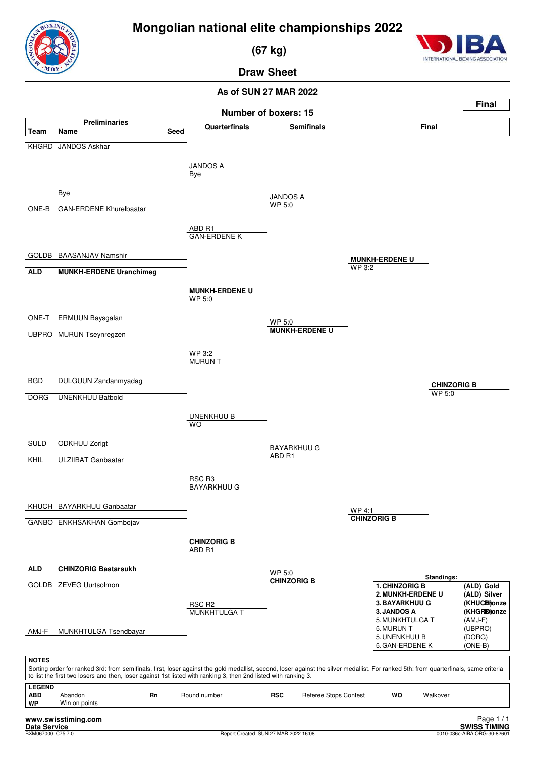

 **(67 kg)**

### **Draw Sheet**

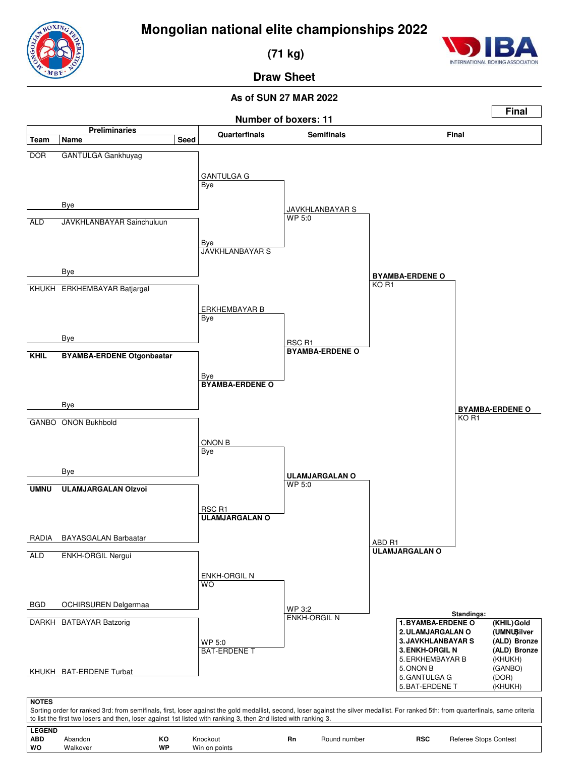

 **(71 kg)**



**Draw Sheet**

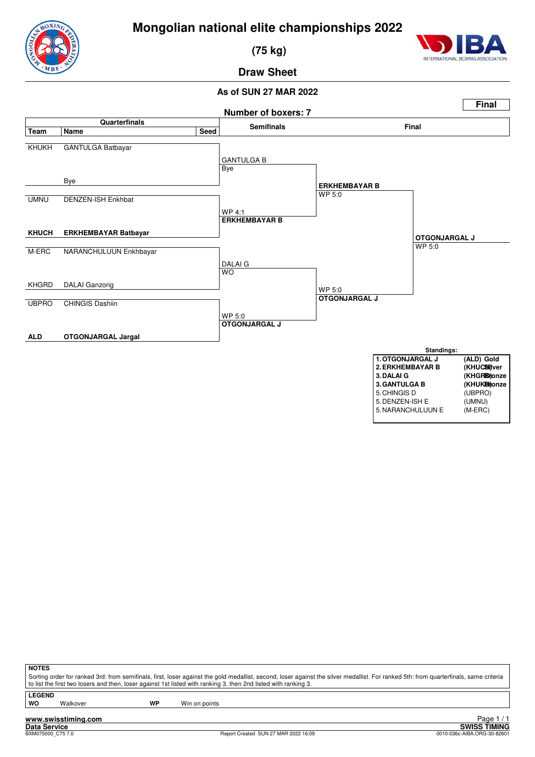

 **(75 kg)**



#### **Draw Sheet**

#### **As of SUN 27 MAR 2022**



| ∧IO I |
|-------|
|       |

Sorting order for ranked 3rd: from semifinals, first, loser against the gold medallist, second, loser against the silver medallist. For ranked 5th: from quarterfinals, same criteria to list the first two losers and then, loser against 1st listed with ranking 3, then 2nd listed with ranking 3.

**LEGEND**

Walkover **WP** Win on points

**www.swisstiming.com**

Report Created SUN 27 MAR 2022 16:09

Tage 1/1<br>Data Service<br>BXM075000\_C757.0 **SWISS TIMING**<br>BXM075000\_C757.0 **SWISS TIMING** Page 1 / 1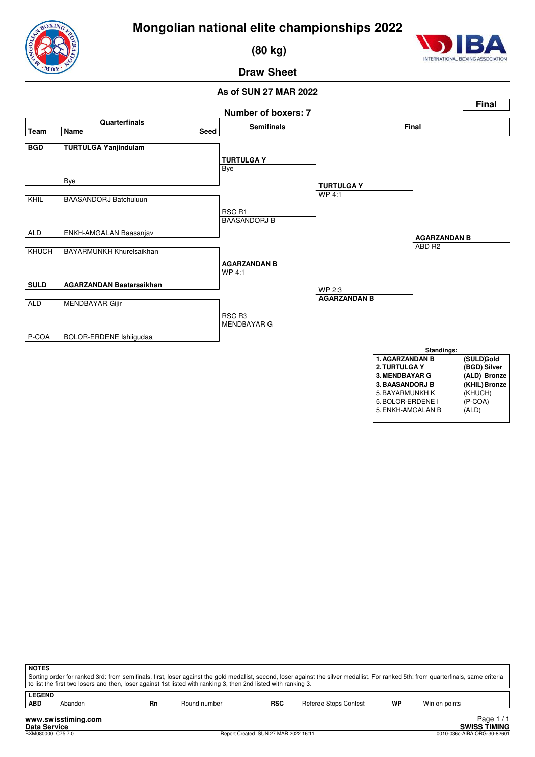

 **(80 kg)**



#### **Draw Sheet**



| <b>NOTES</b>                                                                                                                                                                          |                                                                                                                 |    |              |            |                       |    |               |  |  |  |  |
|---------------------------------------------------------------------------------------------------------------------------------------------------------------------------------------|-----------------------------------------------------------------------------------------------------------------|----|--------------|------------|-----------------------|----|---------------|--|--|--|--|
| Sorting order for ranked 3rd: from semifinals, first, loser against the gold medallist, second, loser against the silver medallist. For ranked 5th: from quarterfinals, same criteria |                                                                                                                 |    |              |            |                       |    |               |  |  |  |  |
|                                                                                                                                                                                       | to list the first two losers and then, loser against 1st listed with ranking 3, then 2nd listed with ranking 3. |    |              |            |                       |    |               |  |  |  |  |
| <b>LEGEND</b>                                                                                                                                                                         |                                                                                                                 |    |              |            |                       |    |               |  |  |  |  |
| <b>ABD</b>                                                                                                                                                                            | Abandon                                                                                                         | Rn | Round number | <b>RSC</b> | Referee Stops Contest | WP | Win on points |  |  |  |  |
|                                                                                                                                                                                       |                                                                                                                 |    |              |            |                       |    |               |  |  |  |  |
|                                                                                                                                                                                       | Page<br>www.swisstiming.com                                                                                     |    |              |            |                       |    |               |  |  |  |  |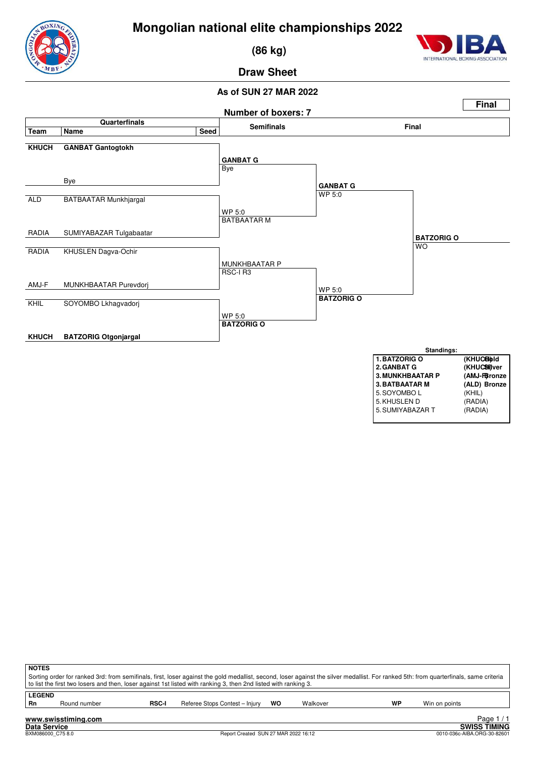

 **(86 kg)**



#### **Draw Sheet**

#### **As of SUN 27 MAR 2022**



| <b>NOTES</b><br>Sorting order for ranked 3rd: from semifinals, first, loser against the gold medallist, second, loser against the silver medallist. For ranked 5th: from quarterfinals, same criteria<br>to list the first two losers and then, loser against 1st listed with ranking 3, then 2nd listed with ranking 3. |  |  |  |  |  |  |  |  |  |  |
|--------------------------------------------------------------------------------------------------------------------------------------------------------------------------------------------------------------------------------------------------------------------------------------------------------------------------|--|--|--|--|--|--|--|--|--|--|
| <b>LEGEND</b><br>WP<br>Referee Stops Contest - Injury<br><b>RSC-I</b><br>Rn<br>wo<br>Walkover<br>Win on points<br>Round number                                                                                                                                                                                           |  |  |  |  |  |  |  |  |  |  |
| Page<br>www.swisstiming.com                                                                                                                                                                                                                                                                                              |  |  |  |  |  |  |  |  |  |  |

**Data Service SWISS TIMING**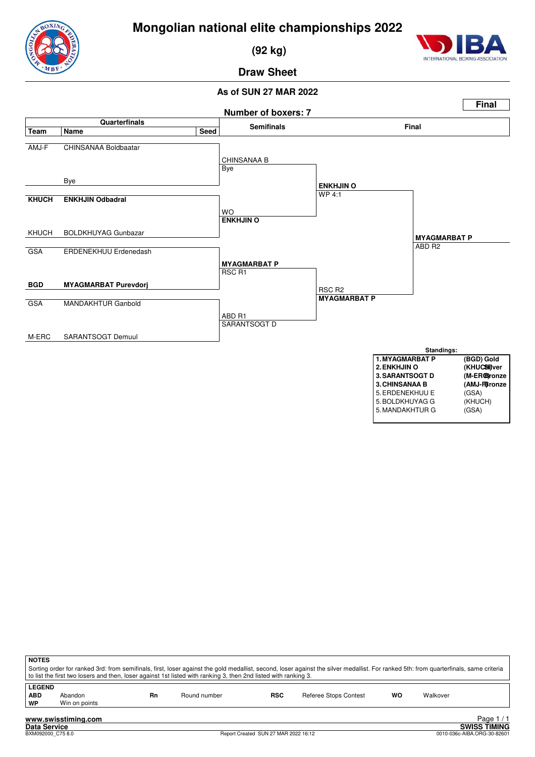

 **(92 kg)**



#### **Draw Sheet**



| <b>NOTES</b>                                                                                                                                                                          |                                                                                                                 |    |              |                                      |                              |           |          |                             |  |  |  |  |
|---------------------------------------------------------------------------------------------------------------------------------------------------------------------------------------|-----------------------------------------------------------------------------------------------------------------|----|--------------|--------------------------------------|------------------------------|-----------|----------|-----------------------------|--|--|--|--|
| Sorting order for ranked 3rd: from semifinals, first, loser against the gold medallist, second, loser against the silver medallist. For ranked 5th: from quarterfinals, same criteria |                                                                                                                 |    |              |                                      |                              |           |          |                             |  |  |  |  |
|                                                                                                                                                                                       | to list the first two losers and then, loser against 1st listed with ranking 3, then 2nd listed with ranking 3. |    |              |                                      |                              |           |          |                             |  |  |  |  |
| <b>LEGEND</b>                                                                                                                                                                         |                                                                                                                 |    |              |                                      |                              |           |          |                             |  |  |  |  |
| <b>ABD</b>                                                                                                                                                                            | Abandon                                                                                                         | Rn | Round number | <b>RSC</b>                           | <b>Referee Stops Contest</b> | <b>WO</b> | Walkover |                             |  |  |  |  |
| WP                                                                                                                                                                                    | Win on points                                                                                                   |    |              |                                      |                              |           |          |                             |  |  |  |  |
|                                                                                                                                                                                       |                                                                                                                 |    |              |                                      |                              |           |          |                             |  |  |  |  |
|                                                                                                                                                                                       | www.swisstiming.com                                                                                             |    |              |                                      |                              |           |          | Page $1/1$                  |  |  |  |  |
| <b>Data Service</b>                                                                                                                                                                   |                                                                                                                 |    |              |                                      |                              |           |          | <b>SWISS TIMING</b>         |  |  |  |  |
|                                                                                                                                                                                       | BXM092000 C75 8.0                                                                                               |    |              | Report Created SUN 27 MAR 2022 16:12 |                              |           |          | 0010-036c-AIBA.ORG-30-82601 |  |  |  |  |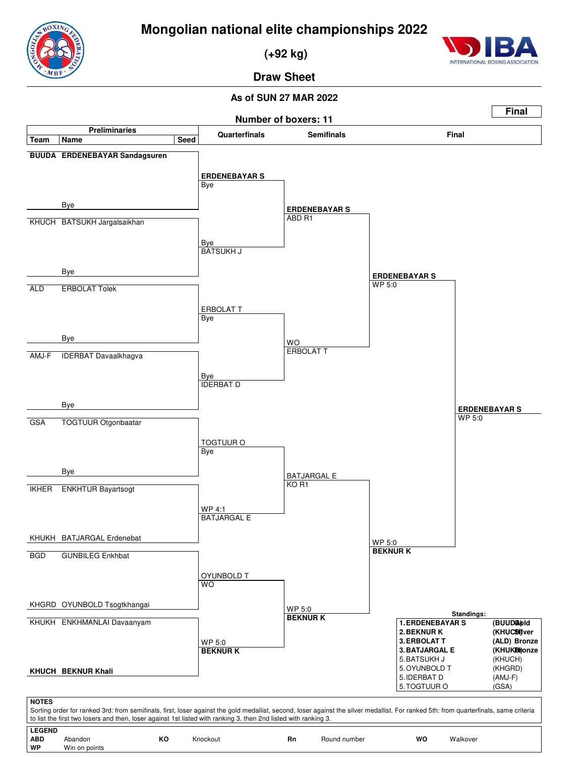

 **(+92 kg)**



**Draw Sheet**

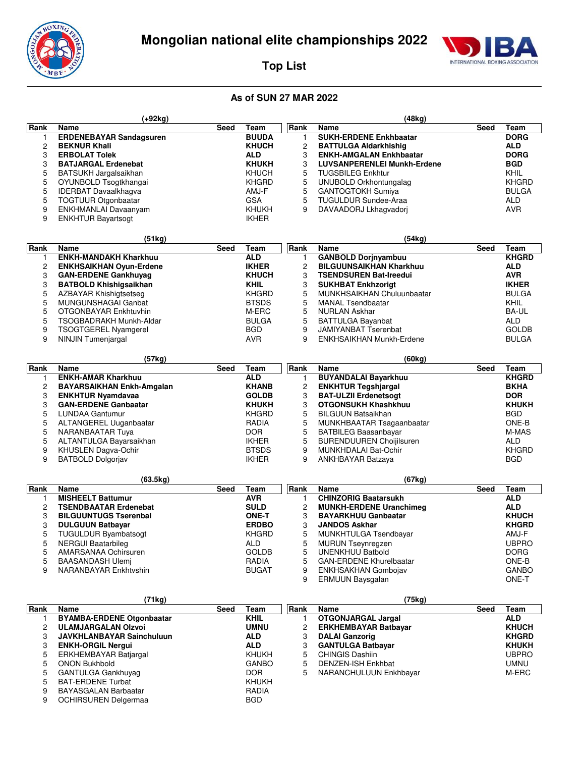

 **(+92kg)**



 **(48kg)**

**Top List**

#### **As of SUN 27 MAR 2022**

| Rank                    | Name                                           | Seed | Team         | Rank           | Name                               | Seed | Team         |
|-------------------------|------------------------------------------------|------|--------------|----------------|------------------------------------|------|--------------|
| 1                       | <b>BUUDA</b><br><b>ERDENEBAYAR Sandagsuren</b> |      |              | 1              | <b>SUKH-ERDENE Enkhbaatar</b>      |      | <b>DORG</b>  |
| 2                       | <b>BEKNUR Khali</b>                            |      | <b>KHUCH</b> | 2              | <b>BATTULGA Aldarkhishig</b>       |      | <b>ALD</b>   |
| 3                       | <b>ERBOLAT Tolek</b>                           |      | ALD          | 3              | <b>ENKH-AMGALAN Enkhbaatar</b>     |      | <b>DORG</b>  |
| 3                       | <b>BATJARGAL Erdenebat</b>                     |      | <b>KHUKH</b> | 3              | <b>LUVSANPERENLEI Munkh-Erdene</b> |      | <b>BGD</b>   |
| 5                       | BATSUKH Jargalsaikhan                          |      | <b>KHUCH</b> | 5              | <b>TUGSBILEG Enkhtur</b>           |      | KHIL         |
|                         |                                                |      |              |                |                                    |      |              |
| 5                       | OYUNBOLD Tsogtkhangai                          |      | <b>KHGRD</b> | 5              | UNUBOLD Orkhontungalag             |      | <b>KHGRD</b> |
| 5                       | <b>IDERBAT Davaalkhagva</b>                    |      | AMJ-F        | 5              | <b>GANTOGTOKH Sumiya</b>           |      | <b>BULGA</b> |
| 5                       | TOGTUUR Otgonbaatar                            |      | <b>GSA</b>   | 5              | <b>TUGULDUR Sundee-Araa</b>        |      | ALD          |
| 9                       | ENKHMANLAI Davaanyam                           |      | <b>KHUKH</b> | 9              | DAVAADORJ Lkhagvadorj              |      | AVR          |
| 9                       | <b>ENKHTUR Bayartsogt</b>                      |      | <b>IKHER</b> |                |                                    |      |              |
|                         |                                                |      |              |                |                                    |      |              |
|                         | (51kg)                                         |      |              |                | (54kg)                             |      |              |
| Rank                    | Name                                           | Seed | Team         | Rank           | <b>Name</b>                        | Seed | Team         |
| 1                       | <b>ENKH-MANDAKH Kharkhuu</b>                   |      | <b>ALD</b>   | 1              | <b>GANBOLD Dorjnyambuu</b>         |      | <b>KHGRD</b> |
| $\overline{\mathbf{c}}$ | <b>ENKHSAIKHAN Oyun-Erdene</b>                 |      | <b>IKHER</b> | $\overline{c}$ | <b>BILGUUNSAIKHAN Kharkhuu</b>     |      | <b>ALD</b>   |
| 3                       | <b>GAN-ERDENE Gankhuyag</b>                    |      | <b>KHUCH</b> | 3              | <b>TSENDSUREN Bat-Ireedui</b>      |      | <b>AVR</b>   |
| 3                       | <b>BATBOLD Khishigsaikhan</b>                  |      | <b>KHIL</b>  | 3              | <b>SUKHBAT Enkhzorigt</b>          |      | <b>IKHER</b> |
| 5                       | <b>AZBAYAR Khishigtsetseg</b>                  |      | <b>KHGRD</b> | 5              | MUNKHSAIKHAN Chuluunbaatar         |      | <b>BULGA</b> |
| 5                       | MUNGUNSHAGAI Ganbat                            |      | <b>BTSDS</b> | 5              | <b>MANAL Tsendbaatar</b>           |      | KHIL         |
|                         |                                                |      |              |                |                                    |      |              |
| 5                       | OTGONBAYAR Enkhtuvhin                          |      | M-ERC        | 5              | <b>NURLAN Askhar</b>               |      | BA-UL        |
| 5                       | TSOGBADRAKH Munkh-Aldar                        |      | <b>BULGA</b> | 5              | <b>BATTULGA Bayanbat</b>           |      | <b>ALD</b>   |
| 9                       | <b>TSOGTGEREL Nyamgerel</b>                    |      | <b>BGD</b>   | 9              | <b>JAMIYANBAT Tserenbat</b>        |      | <b>GOLDB</b> |
| 9                       | <b>NINJIN Tumenjargal</b>                      |      | AVR          | 9              | ENKHSAIKHAN Munkh-Erdene           |      | <b>BULGA</b> |
|                         |                                                |      |              |                |                                    |      |              |
|                         | (57kg)                                         |      |              |                | (60kg)                             |      |              |
| Rank                    | Name                                           | Seed | Team         | Rank           | Name                               | Seed | <b>Team</b>  |
| 1                       | <b>ENKH-AMAR Kharkhuu</b>                      |      | <b>ALD</b>   | 1              | <b>BUYANDALAI Bayarkhuu</b>        |      | <b>KHGRD</b> |
| 2                       | <b>BAYARSAIKHAN Enkh-Amgalan</b>               |      | <b>KHANB</b> | 2              | <b>ENKHTUR Tegshjargal</b>         |      | <b>BKHA</b>  |
| 3                       | <b>ENKHTUR Nyamdavaa</b>                       |      | <b>GOLDB</b> | 3              | <b>BAT-ULZII Erdenetsogt</b>       |      | <b>DOR</b>   |
| 3                       | <b>GAN-ERDENE Ganbaatar</b>                    |      | <b>KHUKH</b> | 3              | OTGONSUKH Khashkhuu                |      | <b>KHUKH</b> |
| 5                       | <b>LUNDAA Gantumur</b>                         |      | <b>KHGRD</b> | 5              | <b>BILGUUN Batsaikhan</b>          |      | <b>BGD</b>   |
| 5                       | ALTANGEREL Uuganbaatar                         |      | RADIA        | 5              | MUNKHBAATAR Tsagaanbaatar          |      | ONE-B        |
| 5                       | NARANBAATAR Tuya                               |      | <b>DOR</b>   | 5              | <b>BATBILEG Baasanbayar</b>        |      | M-MAS        |
| 5                       | ALTANTULGA Bayarsaikhan                        |      | <b>IKHER</b> | 5              | <b>BURENDUUREN Choijilsuren</b>    |      | ALD          |
| 9                       | KHUSLEN Dagva-Ochir                            |      | <b>BTSDS</b> | 9              | MUNKHDALAI Bat-Ochir               |      | <b>KHGRD</b> |
| 9                       | <b>BATBOLD Dolgorjav</b>                       |      | <b>IKHER</b> | 9              | ANKHBAYAR Batzaya                  |      | BGD          |
|                         |                                                |      |              |                |                                    |      |              |
|                         | (63.5kg)                                       |      |              |                | (67kg)                             |      |              |
| Rank                    | Name                                           | Seed | Team         | Rank           | Name                               | Seed | <b>Team</b>  |
| 1                       | <b>MISHEELT Battumur</b>                       |      | <b>AVR</b>   | 1              | <b>CHINZORIG Baatarsukh</b>        |      | <b>ALD</b>   |
| 2                       | <b>TSENDBAATAR Erdenebat</b>                   |      | <b>SULD</b>  | 2              | <b>MUNKH-ERDENE Uranchimed</b>     |      | <b>ALD</b>   |
|                         | <b>BILGUUNTUGS Tserenbal</b>                   |      | <b>ONE-T</b> | 3              |                                    |      | <b>KHUCH</b> |
| 3                       |                                                |      |              |                | <b>BAYARKHUU Ganbaatar</b>         |      |              |
| 3                       | <b>DULGUUN Batbayar</b>                        |      | <b>ERDBO</b> | 3              | <b>JANDOS Askhar</b>               |      | <b>KHGRD</b> |
| 5                       | <b>TUGULDUR Byambatsogt</b>                    |      | <b>KHGRD</b> | 5              | MUNKHTULGA Tsendbayar              |      | AMJ-F        |
| 5                       | <b>NERGUI Baatarbileg</b>                      |      | <b>ALD</b>   | 5              | <b>MURUN Tseynregzen</b>           |      | <b>UBPRO</b> |
| 5                       | AMARSANAA Ochirsuren                           |      | <b>GOLDB</b> | 5              | <b>UNENKHUU Batbold</b>            |      | <b>DORG</b>  |
| 5                       | <b>BAASANDASH Ulemi</b>                        |      | RADIA        | 5              | <b>GAN-ERDENE Khurelbaatar</b>     |      | ONE-B        |
| 9                       | NARANBAYAR Enkhtyshin                          |      | <b>BUGAT</b> | 9              | <b>ENKHSAKHAN Gombojav</b>         |      | <b>GANBO</b> |
|                         |                                                |      |              | 9              | <b>ERMUUN Baysgalan</b>            |      | ONE-T        |
|                         |                                                |      |              |                |                                    |      |              |
|                         | (71kg)                                         |      |              |                | (75kg)                             |      |              |
| Rank                    | Name                                           | Seed | Team         | Rank           | Name                               | Seed | Team         |
| 1                       | <b>BYAMBA-ERDENE Otgonbaatar</b>               |      | <b>KHIL</b>  | 1              | <b>OTGONJARGAL Jargal</b>          |      | <b>ALD</b>   |
| 2                       | <b>ULAMJARGALAN Olzvoi</b>                     |      | <b>UMNU</b>  | 2              | <b>ERKHEMBAYAR Batbayar</b>        |      | <b>KHUCH</b> |
| 3                       | <b>JAVKHLANBAYAR Sainchuluun</b>               |      | <b>ALD</b>   | 3              | <b>DALAI Ganzorig</b>              |      | <b>KHGRD</b> |
| 3                       | <b>ENKH-ORGIL Nergui</b>                       |      | <b>ALD</b>   | 3              | <b>GANTULGA Batbayar</b>           |      | <b>KHUKH</b> |
| 5                       | ERKHEMBAYAR Batjargal                          |      | KHUKH        | 5              | <b>CHINGIS Dashiin</b>             |      | <b>UBPRO</b> |
| 5                       | <b>ONON Bukhbold</b>                           |      | <b>GANBO</b> | 5              | <b>DENZEN-ISH Enkhbat</b>          |      | <b>UMNU</b>  |
| 5                       | GANTULGA Gankhuyag                             |      | <b>DOR</b>   | 5              | NARANCHULUUN Enkhbayar             |      | M-ERC        |
| 5                       | <b>BAT-ERDENE Turbat</b>                       |      | <b>KHUKH</b> |                |                                    |      |              |
| 9                       | BAYASGALAN Barbaatar                           |      | RADIA        |                |                                    |      |              |
|                         |                                                |      |              |                |                                    |      |              |

9 OCHIRSUREN Delgermaa BGD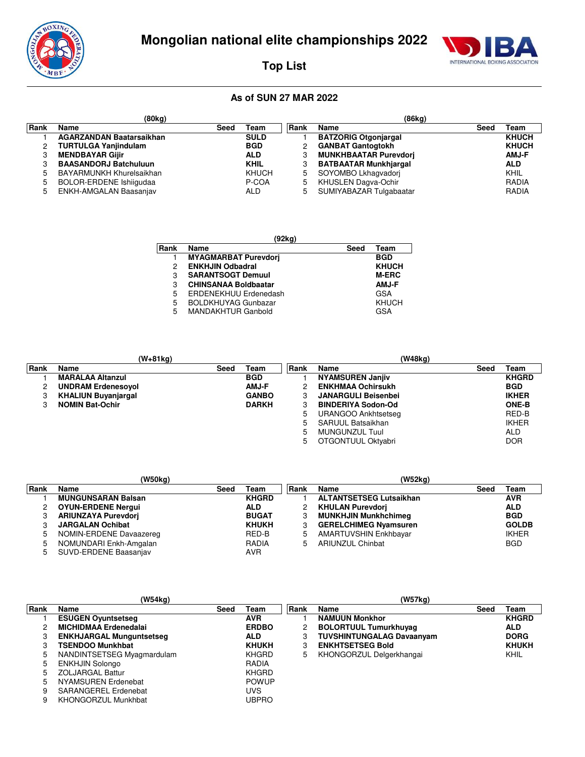

**Top List**

# INTERNATIONAL BOXING ASSOCIATION

|      | (80kg)                          |      |             |             | (86kg)                       |      |              |
|------|---------------------------------|------|-------------|-------------|------------------------------|------|--------------|
| Rank | Name                            | Seed | Team        | <b>Rank</b> | Name                         | Seed | Team         |
|      | <b>AGARZANDAN Baatarsaikhan</b> |      | <b>SULD</b> |             | <b>BATZORIG Otgonjargal</b>  |      | <b>KHUCH</b> |
|      | <b>TURTULGA Yanjindulam</b>     |      | <b>BGD</b>  |             | <b>GANBAT Gantogtokh</b>     |      | <b>KHUCH</b> |
|      | <b>MENDBAYAR Gijir</b>          |      | <b>ALD</b>  |             | <b>MUNKHBAATAR Purevdori</b> |      | <b>AMJ-F</b> |
|      | <b>BAASANDORJ Batchuluun</b>    |      | <b>KHIL</b> |             | <b>BATBAATAR Munkhjargal</b> |      | <b>ALD</b>   |
|      | BAYARMUNKH Khurelsaikhan        |      | KHUCH       | 5.          | SOYOMBO Lkhagvadori          |      | KHIL         |
|      | <b>BOLOR-ERDENE Ishiigudaa</b>  |      | P-COA       | 5           | KHUSLEN Dagva-Ochir          |      | <b>RADIA</b> |
|      | ENKH-AMGALAN Baasanjav          |      | <b>ALD</b>  | 5           | SUMIYABAZAR Tulgabaatar      |      | <b>RADIA</b> |

|      | (92kg)                      |      |              |  |  |  |  |  |  |  |  |  |
|------|-----------------------------|------|--------------|--|--|--|--|--|--|--|--|--|
| Rank | Name                        | Seed | Team         |  |  |  |  |  |  |  |  |  |
|      | <b>MYAGMARBAT Purevdori</b> |      | <b>BGD</b>   |  |  |  |  |  |  |  |  |  |
| 2    | <b>ENKHJIN Odbadral</b>     |      | <b>KHUCH</b> |  |  |  |  |  |  |  |  |  |
| 3    | <b>SARANTSOGT Demuul</b>    |      | <b>M-ERC</b> |  |  |  |  |  |  |  |  |  |
| 3    | <b>CHINSANAA Boldbaatar</b> |      | <b>AMJ-F</b> |  |  |  |  |  |  |  |  |  |
| 5    | ERDENEKHUU Erdenedash       |      | GSA          |  |  |  |  |  |  |  |  |  |
| 5    | <b>BOLDKHUYAG Gunbazar</b>  |      | KHUCH        |  |  |  |  |  |  |  |  |  |
| 5    | <b>MANDAKHTUR Ganbold</b>   |      | GSA          |  |  |  |  |  |  |  |  |  |

|      | (W+81kg)                   |      |              |      | (W48ka)                    |      |              |
|------|----------------------------|------|--------------|------|----------------------------|------|--------------|
| Rank | Name                       | Seed | Team         | Rank | Name                       | Seed | Team         |
|      | <b>MARALAA Altanzul</b>    |      | <b>BGD</b>   |      | <b>NYAMSUREN Janjiv</b>    |      | <b>KHGRD</b> |
|      | <b>UNDRAM Erdenesovol</b>  |      | <b>AMJ-F</b> |      | <b>ENKHMAA Ochirsukh</b>   |      | <b>BGD</b>   |
| 3    | <b>KHALIUN Buyanjargal</b> |      | <b>GANBO</b> | 3    | <b>JANARGULI Beisenbei</b> |      | <b>IKHER</b> |
|      | <b>NOMIN Bat-Ochir</b>     |      | <b>DARKH</b> |      | <b>BINDERIYA Sodon-Od</b>  |      | <b>ONE-B</b> |
|      |                            |      |              | 5    | URANGOO Ankhtsetseg        |      | RED-B        |
|      |                            |      |              | 5.   | SARUUL Batsaikhan          |      | <b>IKHER</b> |
|      |                            |      |              | 5    | MUNGUNZUL Tuul             |      | <b>ALD</b>   |
|      |                            |      |              | 5    | OTGONTUUL Oktyabri         |      | <b>DOR</b>   |

|       | (W50kg)                    |      |              |        | (W52kg)                        |      |              |
|-------|----------------------------|------|--------------|--------|--------------------------------|------|--------------|
| ∣Rank | <b>Name</b>                | Seed | Team         | l Rank | Name                           | Seed | Team         |
|       | <b>MUNGUNSARAN Balsan</b>  |      | <b>KHGRD</b> |        | <b>ALTANTSETSEG Lutsaikhan</b> |      | <b>AVR</b>   |
|       | <b>OYUN-ERDENE Nergui</b>  |      | <b>ALD</b>   |        | <b>KHULAN Purevdori</b>        |      | <b>ALD</b>   |
|       | <b>ARIUNZAYA Purevdori</b> |      | <b>BUGAT</b> |        | <b>MUNKHJIN Munkhchimeg</b>    |      | <b>BGD</b>   |
|       | <b>JARGALAN Ochibat</b>    |      | <b>KHUKH</b> |        | <b>GERELCHIMEG Nyamsuren</b>   |      | <b>GOLDB</b> |
|       | NOMIN-ERDENE Davaazereg    |      | RED-B        | 5      | AMARTUVSHIN Enkhbayar          |      | <b>IKHER</b> |
|       | NOMUNDARI Enkh-Amgalan     |      | <b>RADIA</b> | 5      | <b>ARIUNZUL Chinbat</b>        |      | <b>BGD</b>   |
|       | SUVD-ERDENE Baasanjav      |      | <b>AVR</b>   |        |                                |      |              |

|      | (W54kg)                         |      |              |      | (W57kg)                          |      |              |
|------|---------------------------------|------|--------------|------|----------------------------------|------|--------------|
| Rank | Name                            | Seed | Team         | Rank | Name                             | Seed | Team         |
|      | <b>ESUGEN Ovuntsetseg</b>       |      | AVR          |      | <b>NAMUUN Monkhor</b>            |      | <b>KHGRD</b> |
| 2    | <b>MICHIDMAA Erdenedalai</b>    |      | <b>ERDBO</b> |      | <b>BOLORTUUL Tumurkhuyag</b>     |      | <b>ALD</b>   |
| 3    | <b>ENKHJARGAL Munguntsetseg</b> |      | ALD          | 3    | <b>TUVSHINTUNGALAG Davaanyam</b> |      | <b>DORG</b>  |
| 3    | <b>TSENDOO Munkhbat</b>         |      | <b>KHUKH</b> | З    | <b>ENKHTSETSEG Bold</b>          |      | <b>KHUKH</b> |
| 5    | NANDINTSETSEG Myagmardulam      |      | <b>KHGRD</b> | 5    | KHONGORZUL Delgerkhangai         |      | KHIL         |
| 5    | <b>ENKHJIN Solongo</b>          |      | <b>RADIA</b> |      |                                  |      |              |
| 5    | <b>ZOLJARGAL Battur</b>         |      | <b>KHGRD</b> |      |                                  |      |              |
| 5    | NYAMSUREN Erdenebat             |      | <b>POWUP</b> |      |                                  |      |              |
| 9    | SARANGEREL Erdenebat            |      | <b>UVS</b>   |      |                                  |      |              |
| 9    | KHONGORZUL Munkhbat             |      | <b>UBPRO</b> |      |                                  |      |              |